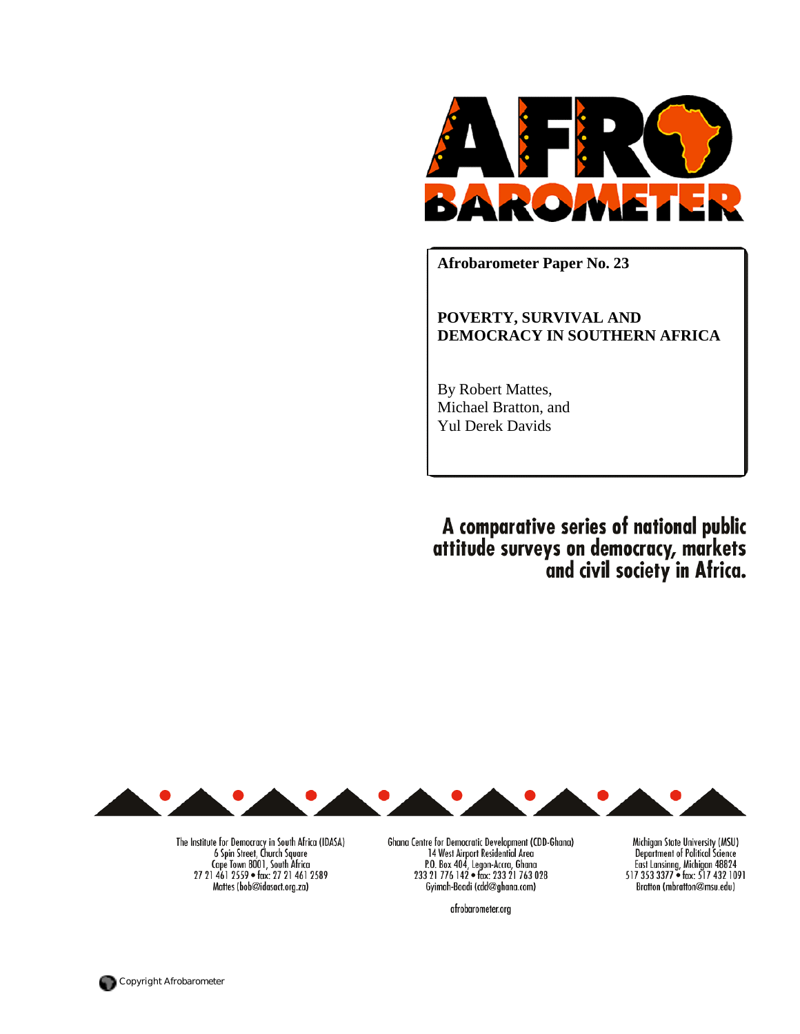

**Afrobarometer Paper No. 23** 

**POVERTY, SURVIVAL AND DEMOCRACY IN SOUTHERN AFRICA** 

By Robert Mattes, Michael Bratton, and Yul Derek Davids

A comparative series of national public<br>attitude surveys on democracy, markets<br>and civil society in Africa.



The Institute for Democracy in South Africa (IDASA)<br>6 Spin Street, Church Square Cape Town 8001, South Africa 27 21 461 2559 · fax: 27 21 461 2589 Mattes (bob@idasact.org.za)

Ghana Centre for Democratic Development (CDD-Ghana)<br>14 West Airport Residential Area<br>P.O. Box 404, Legon-Accra, Ghana<br>233 21 776 142 • fax: 233 21 763 028<br>Gyimah-Boadi (cdd@ghana.com)

afrobarometer.org

Michigan State University (MSU)<br>Department of Political Science East Lansinng, Michigan 48824<br>517 353 3377 • fax: 517 432 1091 Bratton (mbratton@msu.edu)

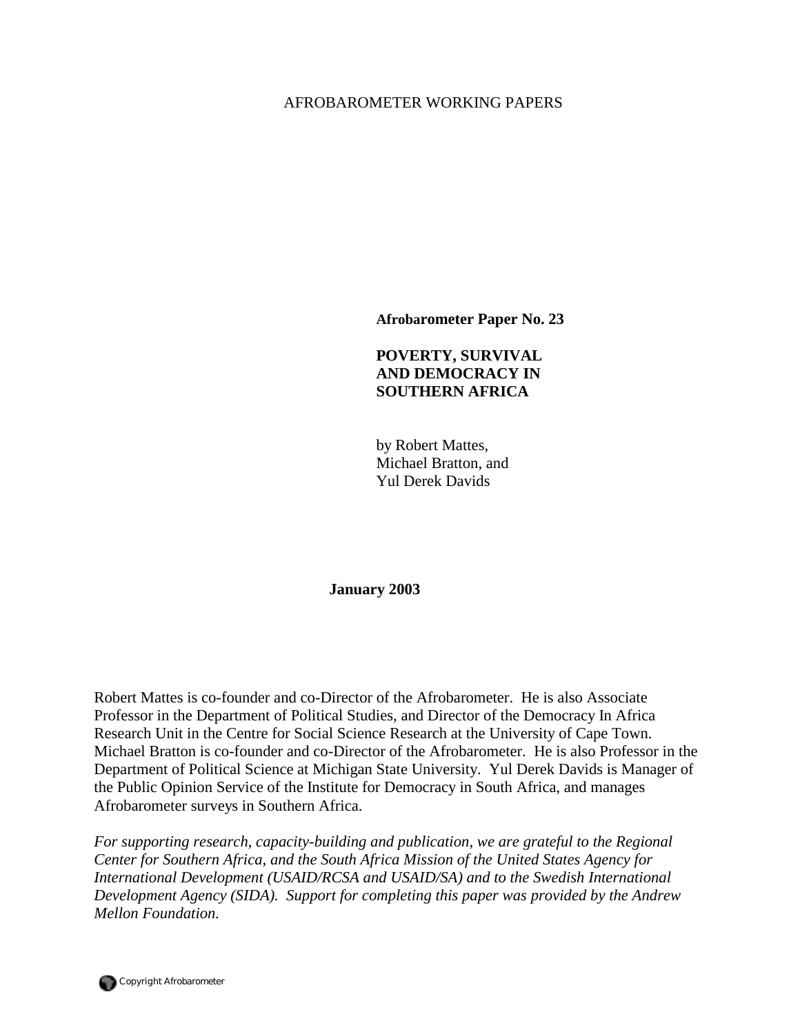## AFROBAROMETER WORKING PAPERS

**Afrobarometer Paper No. 23** 

## **POVERTY, SURVIVAL AND DEMOCRACY IN SOUTHERN AFRICA**

by Robert Mattes, Michael Bratton, and Yul Derek Davids

**January 2003** 

Robert Mattes is co-founder and co-Director of the Afrobarometer. He is also Associate Professor in the Department of Political Studies, and Director of the Democracy In Africa Research Unit in the Centre for Social Science Research at the University of Cape Town. Michael Bratton is co-founder and co-Director of the Afrobarometer. He is also Professor in the Department of Political Science at Michigan State University. Yul Derek Davids is Manager of the Public Opinion Service of the Institute for Democracy in South Africa, and manages Afrobarometer surveys in Southern Africa.

*For supporting research, capacity-building and publication, we are grateful to the Regional Center for Southern Africa, and the South Africa Mission of the United States Agency for International Development (USAID/RCSA and USAID/SA) and to the Swedish International Development Agency (SIDA). Support for completing this paper was provided by the Andrew Mellon Foundation.*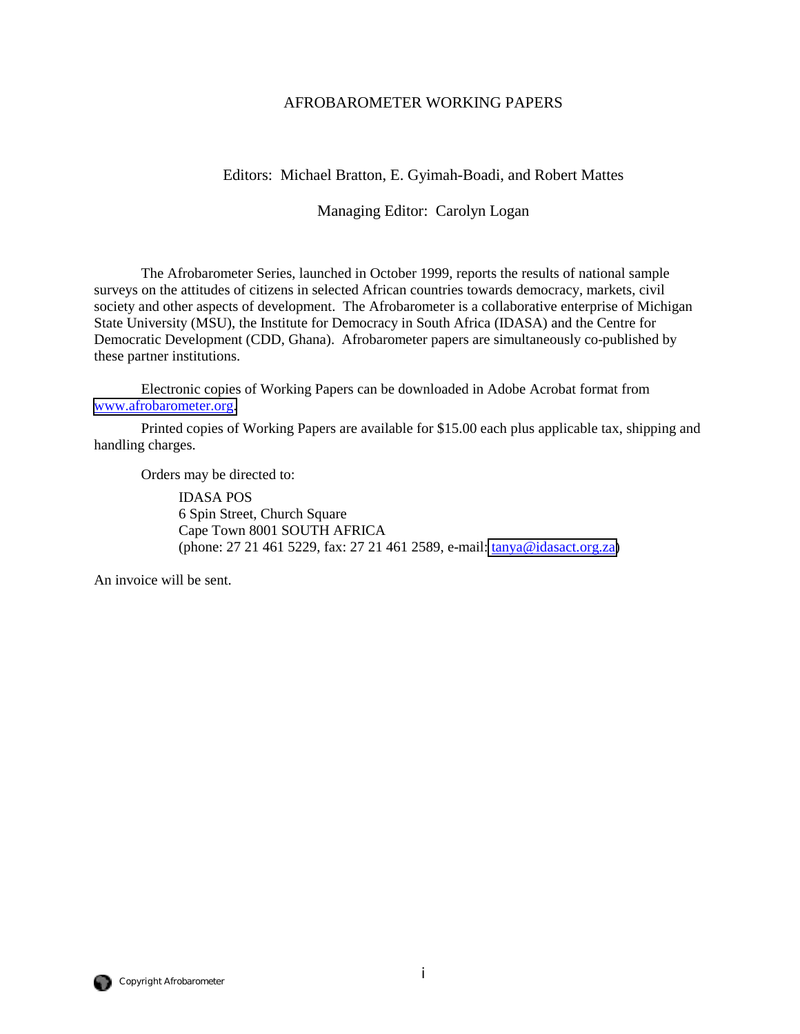## AFROBAROMETER WORKING PAPERS

## Editors: Michael Bratton, E. Gyimah-Boadi, and Robert Mattes

## Managing Editor: Carolyn Logan

The Afrobarometer Series, launched in October 1999, reports the results of national sample surveys on the attitudes of citizens in selected African countries towards democracy, markets, civil society and other aspects of development. The Afrobarometer is a collaborative enterprise of Michigan State University (MSU), the Institute for Democracy in South Africa (IDASA) and the Centre for Democratic Development (CDD, Ghana). Afrobarometer papers are simultaneously co-published by these partner institutions.

Electronic copies of Working Papers can be downloaded in Adobe Acrobat format from [www.afrobarometer.org.](http://www.afrobarometer.org/)

Printed copies of Working Papers are available for \$15.00 each plus applicable tax, shipping and handling charges.

Orders may be directed to:

 IDASA POS 6 Spin Street, Church Square Cape Town 8001 SOUTH AFRICA (phone: 27 21 461 5229, fax: 27 21 461 2589, e-mail: [tanya@idasact.org.za\)](mailto: tanya@idasact.org.za)

An invoice will be sent.

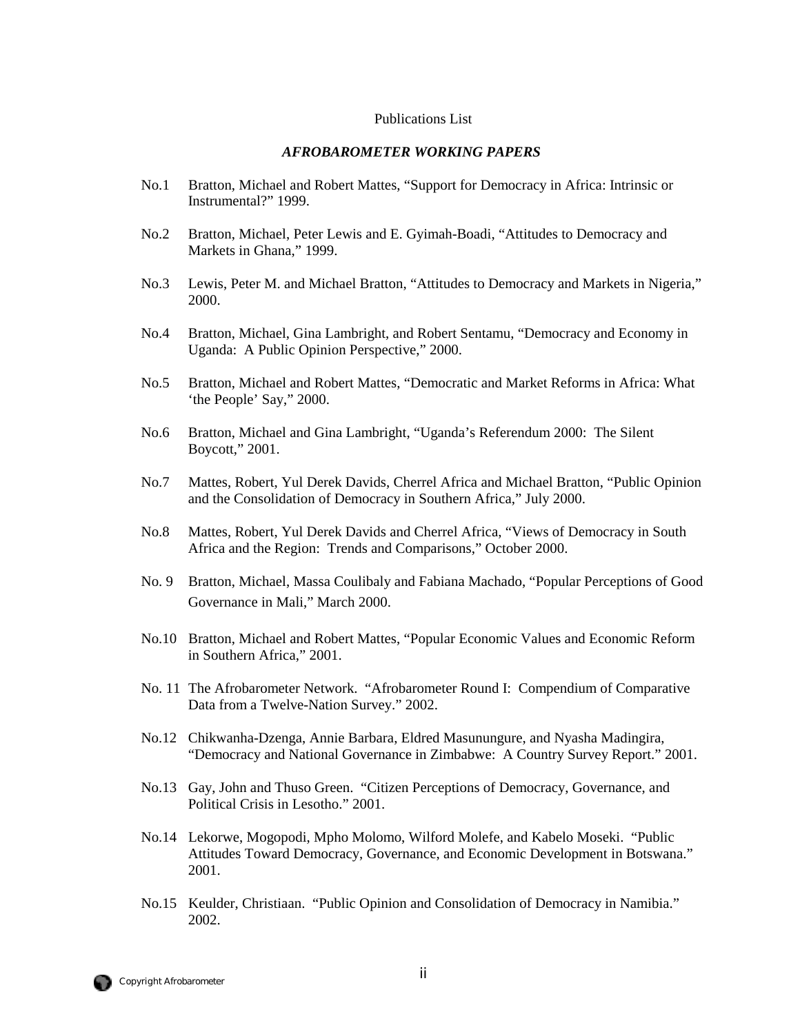## Publications List

### *AFROBAROMETER WORKING PAPERS*

- No.1 Bratton, Michael and Robert Mattes, "Support for Democracy in Africa: Intrinsic or Instrumental?" 1999.
- No.2 Bratton, Michael, Peter Lewis and E. Gyimah-Boadi, "Attitudes to Democracy and Markets in Ghana," 1999.
- No.3 Lewis, Peter M. and Michael Bratton, "Attitudes to Democracy and Markets in Nigeria," 2000.
- No.4 Bratton, Michael, Gina Lambright, and Robert Sentamu, "Democracy and Economy in Uganda: A Public Opinion Perspective," 2000.
- No.5 Bratton, Michael and Robert Mattes, "Democratic and Market Reforms in Africa: What 'the People' Say," 2000.
- No.6 Bratton, Michael and Gina Lambright, "Uganda's Referendum 2000: The Silent Boycott," 2001.
- No.7 Mattes, Robert, Yul Derek Davids, Cherrel Africa and Michael Bratton, "Public Opinion and the Consolidation of Democracy in Southern Africa," July 2000.
- No.8 Mattes, Robert, Yul Derek Davids and Cherrel Africa, "Views of Democracy in South Africa and the Region: Trends and Comparisons," October 2000.
- No. 9 Bratton, Michael, Massa Coulibaly and Fabiana Machado, "Popular Perceptions of Good Governance in Mali," March 2000.
- No.10 Bratton, Michael and Robert Mattes, "Popular Economic Values and Economic Reform in Southern Africa," 2001.
- No. 11 The Afrobarometer Network. "Afrobarometer Round I: Compendium of Comparative Data from a Twelve-Nation Survey." 2002.
- No.12 Chikwanha-Dzenga, Annie Barbara, Eldred Masunungure, and Nyasha Madingira, "Democracy and National Governance in Zimbabwe: A Country Survey Report." 2001.
- No.13 Gay, John and Thuso Green. "Citizen Perceptions of Democracy, Governance, and Political Crisis in Lesotho." 2001.
- No.14 Lekorwe, Mogopodi, Mpho Molomo, Wilford Molefe, and Kabelo Moseki. "Public Attitudes Toward Democracy, Governance, and Economic Development in Botswana." 2001.
- No.15 Keulder, Christiaan. "Public Opinion and Consolidation of Democracy in Namibia." 2002.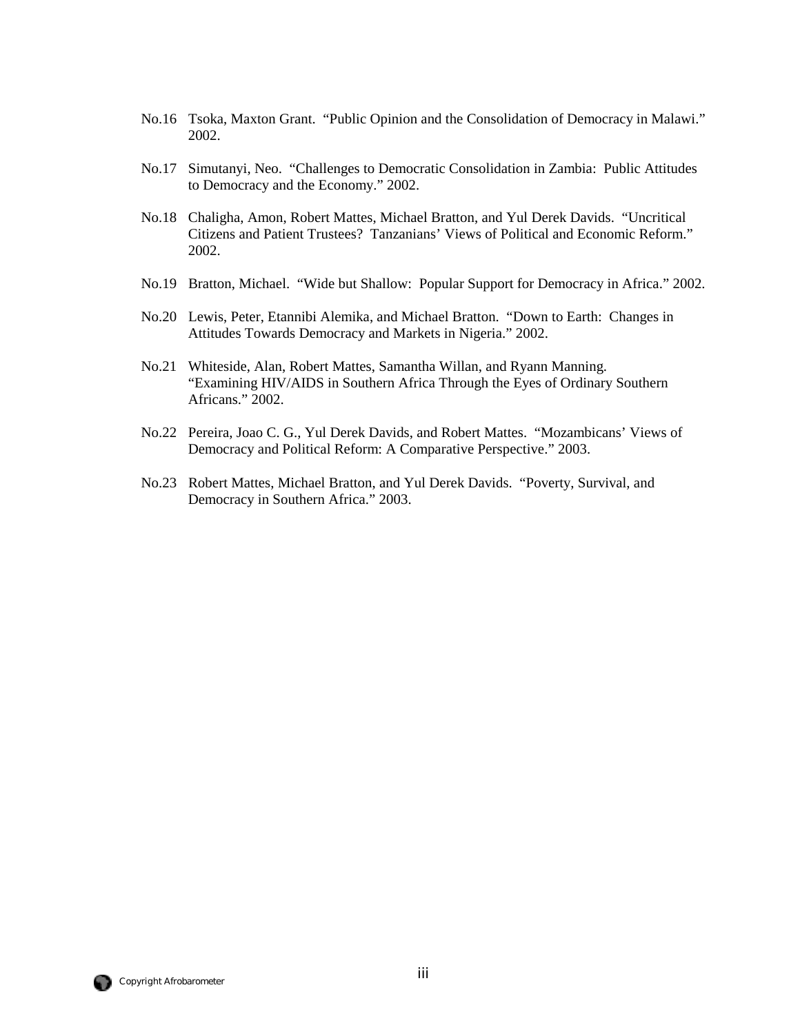- No.16 Tsoka, Maxton Grant. "Public Opinion and the Consolidation of Democracy in Malawi." 2002.
- No.17 Simutanyi, Neo. "Challenges to Democratic Consolidation in Zambia: Public Attitudes to Democracy and the Economy." 2002.
- No.18 Chaligha, Amon, Robert Mattes, Michael Bratton, and Yul Derek Davids. "Uncritical Citizens and Patient Trustees? Tanzanians' Views of Political and Economic Reform." 2002.
- No.19 Bratton, Michael. "Wide but Shallow: Popular Support for Democracy in Africa." 2002.
- No.20 Lewis, Peter, Etannibi Alemika, and Michael Bratton. "Down to Earth: Changes in Attitudes Towards Democracy and Markets in Nigeria." 2002.
- No.21 Whiteside, Alan, Robert Mattes, Samantha Willan, and Ryann Manning. "Examining HIV/AIDS in Southern Africa Through the Eyes of Ordinary Southern Africans." 2002.
- No.22 Pereira, Joao C. G., Yul Derek Davids, and Robert Mattes. "Mozambicans' Views of Democracy and Political Reform: A Comparative Perspective." 2003.
- No.23 Robert Mattes, Michael Bratton, and Yul Derek Davids. "Poverty, Survival, and Democracy in Southern Africa." 2003.

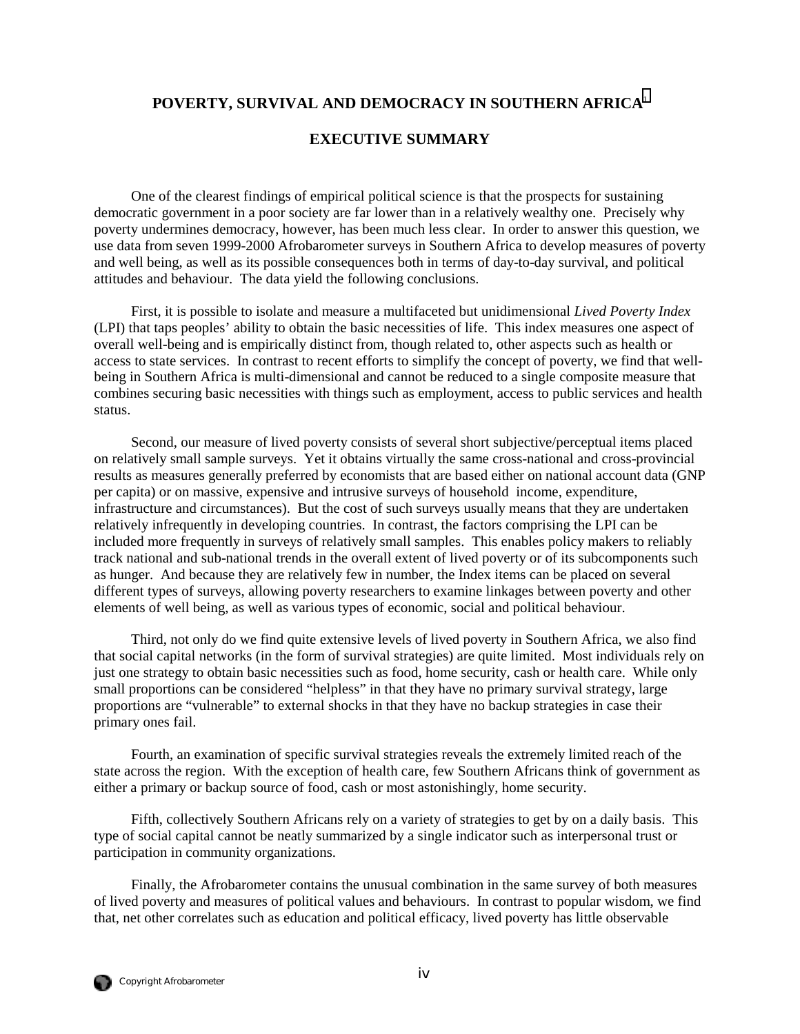## **POVERTY, SURVIVAL AND DEMOCRACY IN SOUTHERN AFRICA**[1](#page-65-0)

## **EXECUTIVE SUMMARY**

One of the clearest findings of empirical political science is that the prospects for sustaining democratic government in a poor society are far lower than in a relatively wealthy one. Precisely why poverty undermines democracy, however, has been much less clear. In order to answer this question, we use data from seven 1999-2000 Afrobarometer surveys in Southern Africa to develop measures of poverty and well being, as well as its possible consequences both in terms of day-to-day survival, and political attitudes and behaviour. The data yield the following conclusions.

First, it is possible to isolate and measure a multifaceted but unidimensional *Lived Poverty Index*  (LPI) that taps peoples' ability to obtain the basic necessities of life. This index measures one aspect of overall well-being and is empirically distinct from, though related to, other aspects such as health or access to state services. In contrast to recent efforts to simplify the concept of poverty, we find that wellbeing in Southern Africa is multi-dimensional and cannot be reduced to a single composite measure that combines securing basic necessities with things such as employment, access to public services and health status.

Second, our measure of lived poverty consists of several short subjective/perceptual items placed on relatively small sample surveys. Yet it obtains virtually the same cross-national and cross-provincial results as measures generally preferred by economists that are based either on national account data (GNP per capita) or on massive, expensive and intrusive surveys of household income, expenditure, infrastructure and circumstances). But the cost of such surveys usually means that they are undertaken relatively infrequently in developing countries. In contrast, the factors comprising the LPI can be included more frequently in surveys of relatively small samples. This enables policy makers to reliably track national and sub-national trends in the overall extent of lived poverty or of its subcomponents such as hunger. And because they are relatively few in number, the Index items can be placed on several different types of surveys, allowing poverty researchers to examine linkages between poverty and other elements of well being, as well as various types of economic, social and political behaviour.

Third, not only do we find quite extensive levels of lived poverty in Southern Africa, we also find that social capital networks (in the form of survival strategies) are quite limited. Most individuals rely on just one strategy to obtain basic necessities such as food, home security, cash or health care. While only small proportions can be considered "helpless" in that they have no primary survival strategy, large proportions are "vulnerable" to external shocks in that they have no backup strategies in case their primary ones fail.

Fourth, an examination of specific survival strategies reveals the extremely limited reach of the state across the region. With the exception of health care, few Southern Africans think of government as either a primary or backup source of food, cash or most astonishingly, home security.

Fifth, collectively Southern Africans rely on a variety of strategies to get by on a daily basis. This type of social capital cannot be neatly summarized by a single indicator such as interpersonal trust or participation in community organizations.

Finally, the Afrobarometer contains the unusual combination in the same survey of both measures of lived poverty and measures of political values and behaviours. In contrast to popular wisdom, we find that, net other correlates such as education and political efficacy, lived poverty has little observable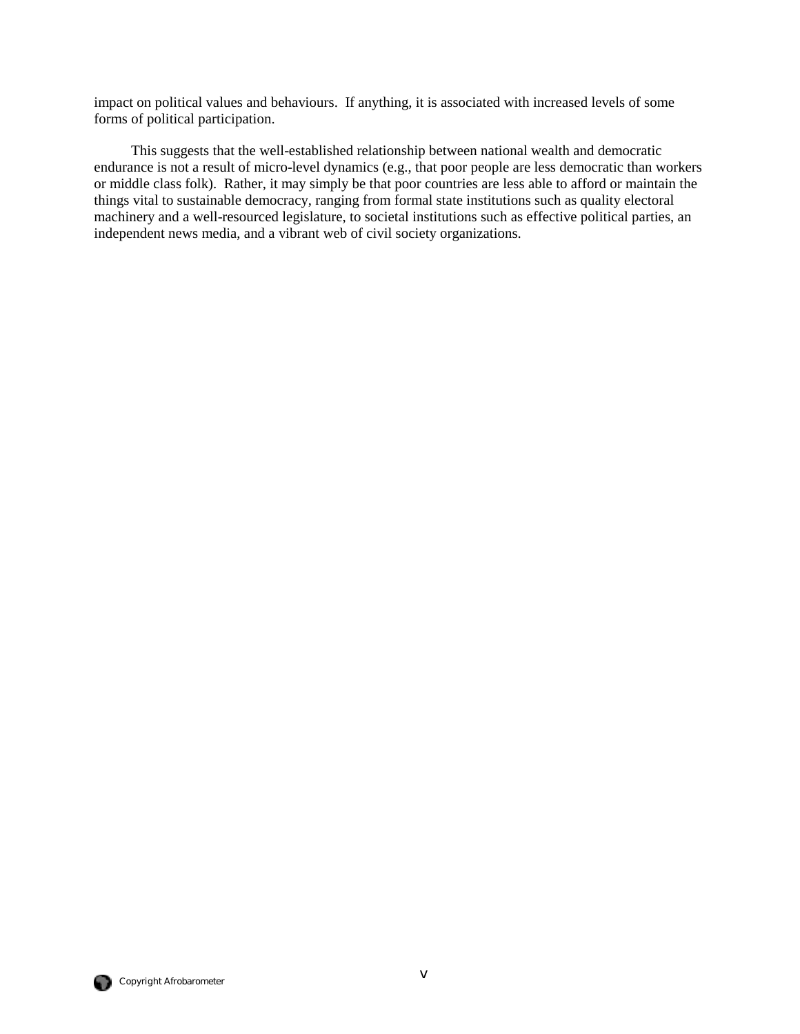impact on political values and behaviours. If anything, it is associated with increased levels of some forms of political participation.

This suggests that the well-established relationship between national wealth and democratic endurance is not a result of micro-level dynamics (e.g., that poor people are less democratic than workers or middle class folk). Rather, it may simply be that poor countries are less able to afford or maintain the things vital to sustainable democracy, ranging from formal state institutions such as quality electoral machinery and a well-resourced legislature, to societal institutions such as effective political parties, an independent news media, and a vibrant web of civil society organizations.

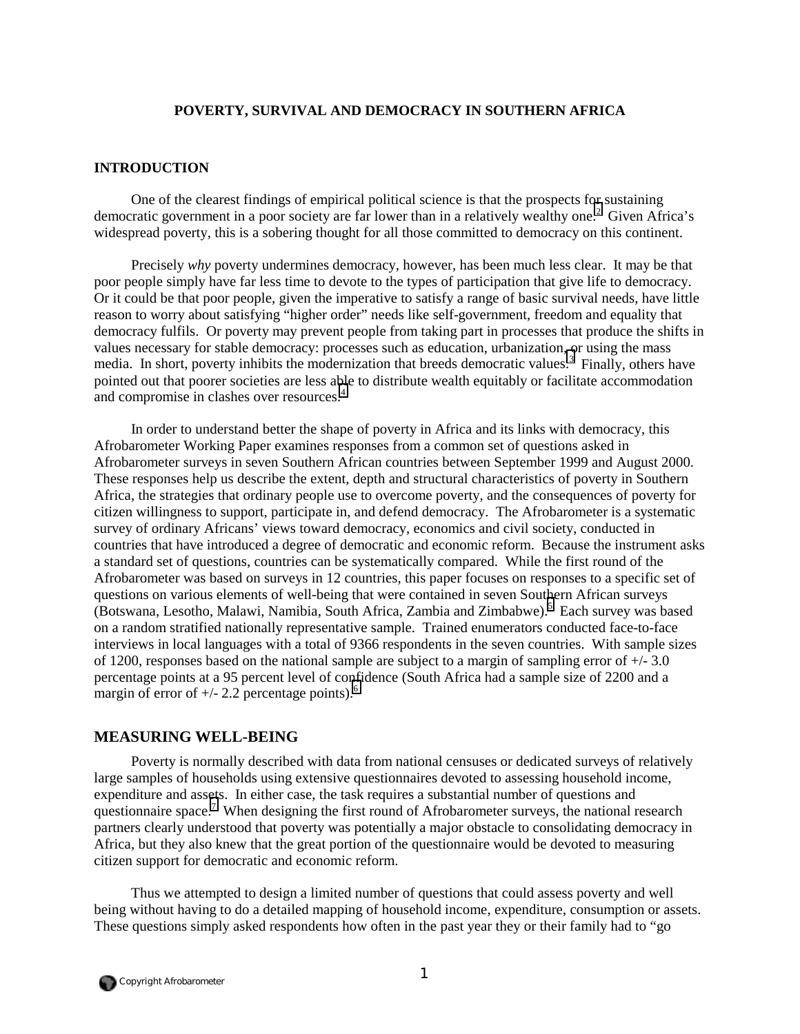## **POVERTY, SURVIVAL AND DEMOCRACY IN SOUTHERN AFRICA**

## **INTRODUCTION**

One of the clearest findings of empirical political science is that the prospects for sustaining democratic government in a poor society are far lower than in a relatively wealthy one.<sup>2</sup> Given Africa's widespread poverty, this is a sobering thought for all those committed to democracy on this continent.

Precisely *why* poverty undermines democracy, however, has been much less clear. It may be that poor people simply have far less time to devote to the types of participation that give life to democracy. Or it could be that poor people, given the imperative to satisfy a range of basic survival needs, have little reason to worry about satisfying "higher order" needs like self-government, freedom and equality that democracy fulfils. Or poverty may prevent people from taking part in processes that produce the shifts in values necessary for stable democracy: processes such as education, urbanization[, o](#page-65-0)r using the mass media. In short, poverty inhibits the modernization that breeds democratic values.<sup>3</sup> Finally, others have pointed out that poorer societies are less able to distribute wealth equitably or facilitate accommodation and compromise in clashes over resources.<sup>[4](#page-65-0)</sup>

In order to understand better the shape of poverty in Africa and its links with democracy, this Afrobarometer Working Paper examines responses from a common set of questions asked in Afrobarometer surveys in seven Southern African countries between September 1999 and August 2000. These responses help us describe the extent, depth and structural characteristics of poverty in Southern Africa, the strategies that ordinary people use to overcome poverty, and the consequences of poverty for citizen willingness to support, participate in, and defend democracy. The Afrobarometer is a systematic survey of ordinary Africans' views toward democracy, economics and civil society, conducted in countries that have introduced a degree of democratic and economic reform. Because the instrument asks a standard set of questions, countries can be systematically compared. While the first round of the Afrobarometer was based on surveys in 12 countries, this paper focuses on responses to a specific set of questions on various elements of well-being that were contained in seven Southern African surveys (Botswana, Lesotho, Malawi, Namibia, South Africa, Zambia and Zimbabwe).<sup>[5](#page-65-0)</sup> Each survey was based on a random stratified nationally representative sample. Trained enumerators conducted face-to-face interviews in local languages with a total of 9366 respondents in the seven countries. With sample sizes of 1200, responses based on the national sample are subject to a margin of sampling error of +/- 3.0 percentage points at a 95 percent level of confidence (South Africa had a sample size of 2200 and a margin of error of  $+/- 2.2$  percentage points).<sup>[6](#page-65-0)</sup>

## **MEASURING WELL-BEING**

Poverty is normally described with data from national censuses or dedicated surveys of relatively large samples of households using extensive questionnaires devoted to assessing household income, expenditure and assets. In either case, the task requires a substantial number of questions and questionnaire space.<sup>[7](#page-65-0)</sup> When designing the first round of Afrobarometer surveys, the national research partners clearly understood that poverty was potentially a major obstacle to consolidating democracy in Africa, but they also knew that the great portion of the questionnaire would be devoted to measuring citizen support for democratic and economic reform.

Thus we attempted to design a limited number of questions that could assess poverty and well being without having to do a detailed mapping of household income, expenditure, consumption or assets. These questions simply asked respondents how often in the past year they or their family had to "go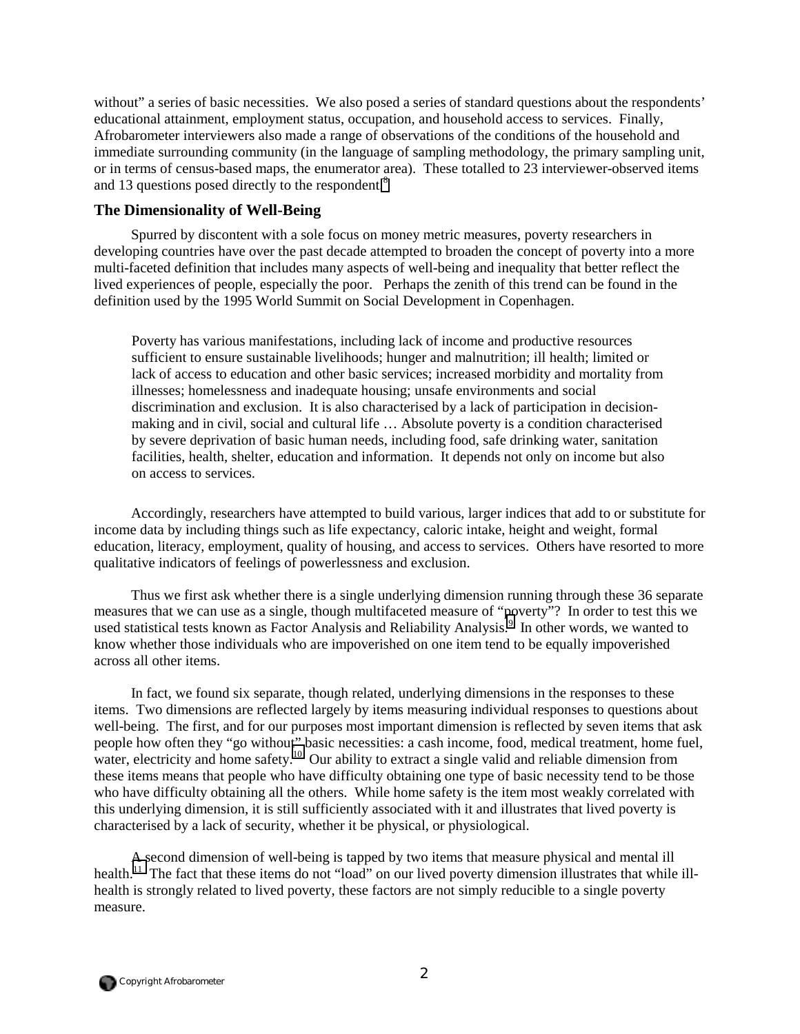without" a series of basic necessities. We also posed a series of standard questions about the respondents' educational attainment, employment status, occupation, and household access to services. Finally, Afrobarometer interviewers also made a range of observations of the conditions of the household and immediate surrounding community (in the language of sampling methodology, the primary sampling unit, or in terms of census-based maps, the enumerator area). These totalled to 23 interviewer-observed items and 13 questions posed directly to the respondent.<sup>[8](#page-65-0)</sup>

## **The Dimensionality of Well-Being**

Spurred by discontent with a sole focus on money metric measures, poverty researchers in developing countries have over the past decade attempted to broaden the concept of poverty into a more multi-faceted definition that includes many aspects of well-being and inequality that better reflect the lived experiences of people, especially the poor. Perhaps the zenith of this trend can be found in the definition used by the 1995 World Summit on Social Development in Copenhagen.

Poverty has various manifestations, including lack of income and productive resources sufficient to ensure sustainable livelihoods; hunger and malnutrition; ill health; limited or lack of access to education and other basic services; increased morbidity and mortality from illnesses; homelessness and inadequate housing; unsafe environments and social discrimination and exclusion. It is also characterised by a lack of participation in decisionmaking and in civil, social and cultural life … Absolute poverty is a condition characterised by severe deprivation of basic human needs, including food, safe drinking water, sanitation facilities, health, shelter, education and information. It depends not only on income but also on access to services.

Accordingly, researchers have attempted to build various, larger indices that add to or substitute for income data by including things such as life expectancy, caloric intake, height and weight, formal education, literacy, employment, quality of housing, and access to services. Others have resorted to more qualitative indicators of feelings of powerlessness and exclusion.

Thus we first ask whether there is a single underlying dimension running through these 36 separate measures that we can use as a single, though multifaceted measure of "poverty"? In order to test this we used statistical tests known as Factor Analysis and Reliability Analysis.<sup>[9](#page-65-0)</sup> In other words, we wanted to know whether those individuals who are impoverished on one item tend to be equally impoverished across all other items.

In fact, we found six separate, though related, underlying dimensions in the responses to these items. Two dimensions are reflected largely by items measuring individual responses to questions about well-being. The first, and for our purposes most important dimension is reflected by seven items that ask people how often they "go without" basic necessities: a cash income, food, medical treatment, home fuel, water, electricity and home safety.<sup>10</sup> Our ability to extract a single valid and reliable dimension from these items means that people who have difficulty obtaining one type of basic necessity tend to be those who have difficulty obtaining all the others. While home safety is the item most weakly correlated with this underlying dimension, it is still sufficiently associated with it and illustrates that lived poverty is characterised by a lack of security, whether it be physical, or physiological.

A second dimension of well-being is tapped by two items that measure physical and mental ill health.<sup>11</sup> The fact that these items do not "load" on our lived poverty dimension illustrates that while illhealth is strongly related to lived poverty, these factors are not simply reducible to a single poverty measure.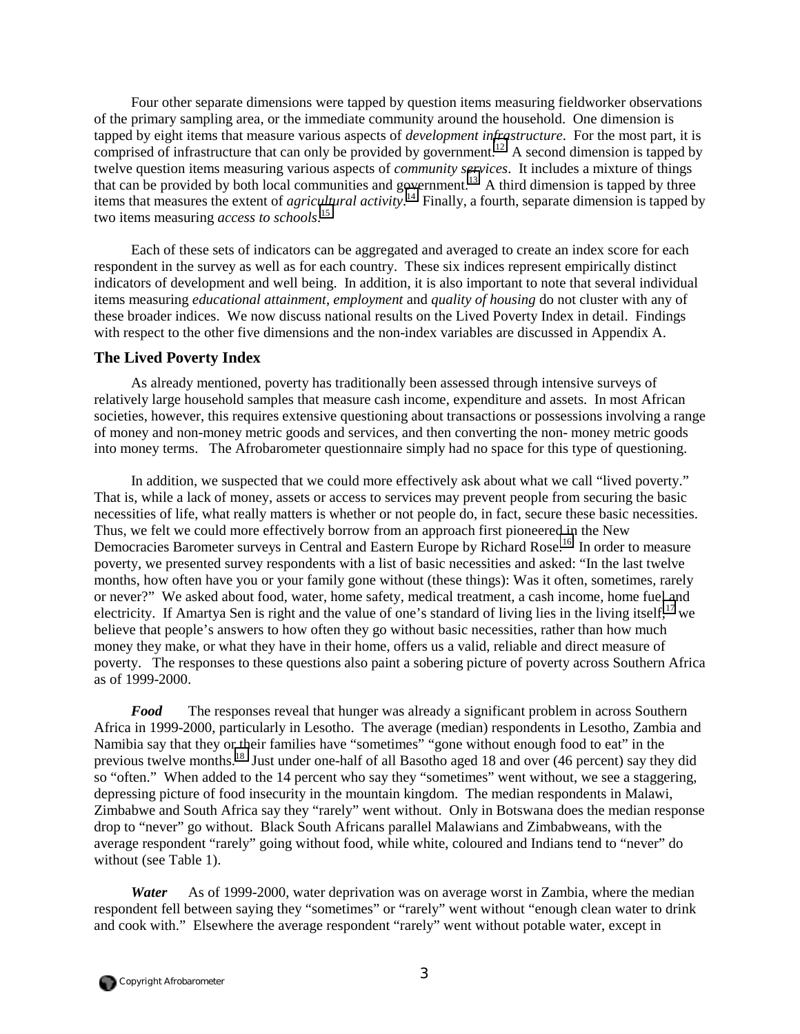Four other separate dimensions were tapped by question items measuring fieldworker observations of the primary sampling area, or the immediate community around the household. One dimension is tapped by eight items that measure various aspects of *development infrastructure*. For the most part, it is comprised of infrastructure that can only be provided by government.<sup>12</sup> A second dimension is tapped by twelve question items measuring various aspects of *community services*. It includes a mixture of things that can be provided by both local communities and government.<sup>13</sup> A third dimension is tapped by three items that measures the extent of *agricultural activity*. [14](#page-65-0) Finally, a fourth, separate dimension is tapped by two items measuring *access to schools*. [15](#page-65-0)

Each of these sets of indicators can be aggregated and averaged to create an index score for each respondent in the survey as well as for each country. These six indices represent empirically distinct indicators of development and well being. In addition, it is also important to note that several individual items measuring *educational attainment*, *employment* and *quality of housing* do not cluster with any of these broader indices. We now discuss national results on the Lived Poverty Index in detail. Findings with respect to the other five dimensions and the non-index variables are discussed in Appendix A.

## **The Lived Poverty Index**

As already mentioned, poverty has traditionally been assessed through intensive surveys of relatively large household samples that measure cash income, expenditure and assets. In most African societies, however, this requires extensive questioning about transactions or possessions involving a range of money and non-money metric goods and services, and then converting the non- money metric goods into money terms. The Afrobarometer questionnaire simply had no space for this type of questioning.

In addition, we suspected that we could more effectively ask about what we call "lived poverty." That is, while a lack of money, assets or access to services may prevent people from securing the basic necessities of life, what really matters is whether or not people do, in fact, secure these basic necessities. Thus, we felt we could more effectively borrow from an approach first pioneered in the New Democracies Barometer surveys in Central and Eastern Europe by Richard Rose.<sup>16</sup> In order to measure poverty, we presented survey respondents with a list of basic necessities and asked: "In the last twelve months, how often have you or your family gone without (these things): Was it often, sometimes, rarely or never?" We asked about food, water, home safety, medical treatment, a cash income, home fuel and electricity. If Amartya Sen is right and the value of one's standard of living lies in the living itself.<sup>17</sup> we believe that people's answers to how often they go without basic necessities, rather than how much money they make, or what they have in their home, offers us a valid, reliable and direct measure of poverty. The responses to these questions also paint a sobering picture of poverty across Southern Africa as of 1999-2000.

*Food* The responses reveal that hunger was already a significant problem in across Southern Africa in 1999-2000, particularly in Lesotho. The average (median) respondents in Lesotho, Zambia and Namibia say that they or their families have "sometimes" "gone without enough food to eat" in the previous twelve months.[18](#page-65-0) Just under one-half of all Basotho aged 18 and over (46 percent) say they did so "often." When added to the 14 percent who say they "sometimes" went without, we see a staggering, depressing picture of food insecurity in the mountain kingdom. The median respondents in Malawi, Zimbabwe and South Africa say they "rarely" went without. Only in Botswana does the median response drop to "never" go without. Black South Africans parallel Malawians and Zimbabweans, with the average respondent "rarely" going without food, while white, coloured and Indians tend to "never" do without (see Table 1).

*Water* As of 1999-2000, water deprivation was on average worst in Zambia, where the median respondent fell between saying they "sometimes" or "rarely" went without "enough clean water to drink and cook with." Elsewhere the average respondent "rarely" went without potable water, except in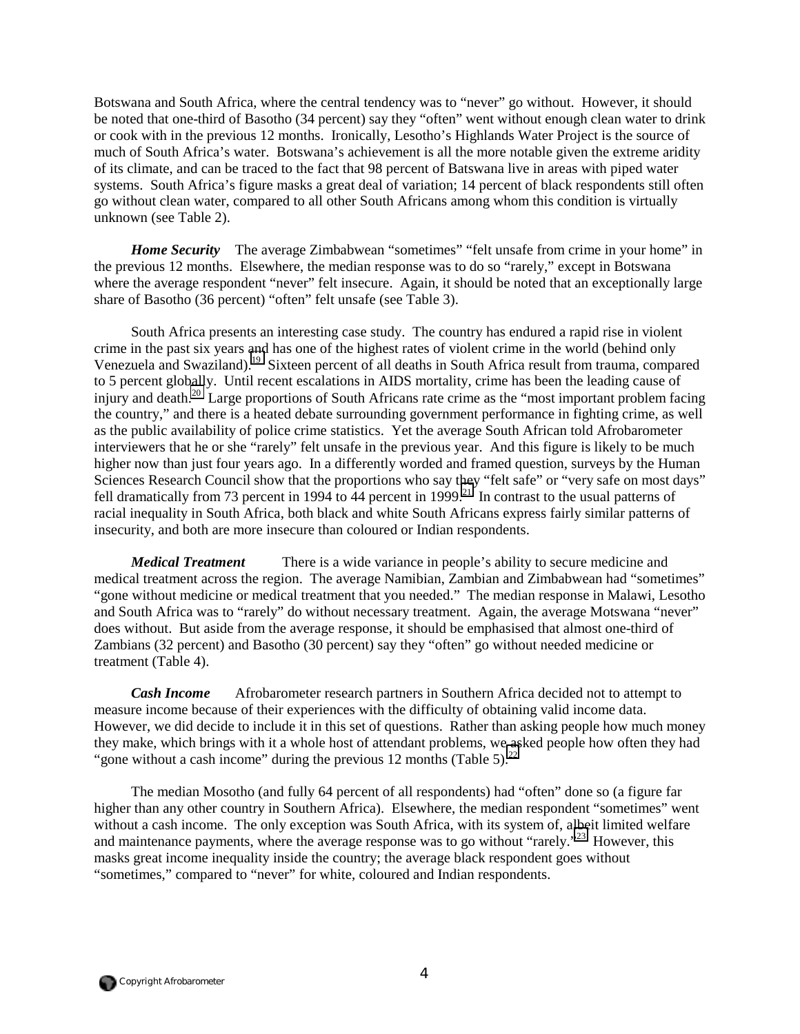Botswana and South Africa, where the central tendency was to "never" go without. However, it should be noted that one-third of Basotho (34 percent) say they "often" went without enough clean water to drink or cook with in the previous 12 months. Ironically, Lesotho's Highlands Water Project is the source of much of South Africa's water. Botswana's achievement is all the more notable given the extreme aridity of its climate, and can be traced to the fact that 98 percent of Batswana live in areas with piped water systems. South Africa's figure masks a great deal of variation; 14 percent of black respondents still often go without clean water, compared to all other South Africans among whom this condition is virtually unknown (see Table 2).

*Home Security* The average Zimbabwean "sometimes" "felt unsafe from crime in your home" in the previous 12 months. Elsewhere, the median response was to do so "rarely," except in Botswana where the average respondent "never" felt insecure. Again, it should be noted that an exceptionally large share of Basotho (36 percent) "often" felt unsafe (see Table 3).

South Africa presents an interesting case study. The country has endured a rapid rise in violent crime in the past six years and has one of the highest rates of violent crime in the world (behind only Venezuela and Swaziland).<sup>19</sup> Sixteen percent of all deaths in South Africa result from trauma, compared to 5 percent globally. Until recent escalations in AIDS mortality, crime has been the leading cause of injury and death.[20](#page-65-0) Large proportions of South Africans rate crime as the "most important problem facing the country," and there is a heated debate surrounding government performance in fighting crime, as well as the public availability of police crime statistics. Yet the average South African told Afrobarometer interviewers that he or she "rarely" felt unsafe in the previous year. And this figure is likely to be much higher now than just four years ago. In a differently worded and framed question, surveys by the Human Sciences Research Council show that the proportions who say they "felt safe" or "very safe on most days" fell dramatically from 73 percent in 1994 to 44 percent in 1999.<sup>21</sup> In contrast to the usual patterns of racial inequality in South Africa, both black and white South Africans express fairly similar patterns of insecurity, and both are more insecure than coloured or Indian respondents.

*Medical Treatment* There is a wide variance in people's ability to secure medicine and medical treatment across the region. The average Namibian, Zambian and Zimbabwean had "sometimes" "gone without medicine or medical treatment that you needed." The median response in Malawi, Lesotho and South Africa was to "rarely" do without necessary treatment. Again, the average Motswana "never" does without. But aside from the average response, it should be emphasised that almost one-third of Zambians (32 percent) and Basotho (30 percent) say they "often" go without needed medicine or treatment (Table 4).

*Cash Income* Afrobarometer research partners in Southern Africa decided not to attempt to measure income because of their experiences with the difficulty of obtaining valid income data. However, we did decide to include it in this set of questions. Rather than asking people how much money they make, which brings with it a whole host of attendant problems, we asked people how often they had "gone without a cash income" during the previous 12 months (Table 5). $^{22}$  $^{22}$  $^{22}$ 

The median Mosotho (and fully 64 percent of all respondents) had "often" done so (a figure far higher than any other country in Southern Africa). Elsewhere, the median respondent "sometimes" went without a cash income. The only exception was South Africa, with its system of, albeit limited welfare and maintenance payments, where the average response was to go without "rarely."<sup>23</sup> However, this masks great income inequality inside the country; the average black respondent goes without "sometimes," compared to "never" for white, coloured and Indian respondents.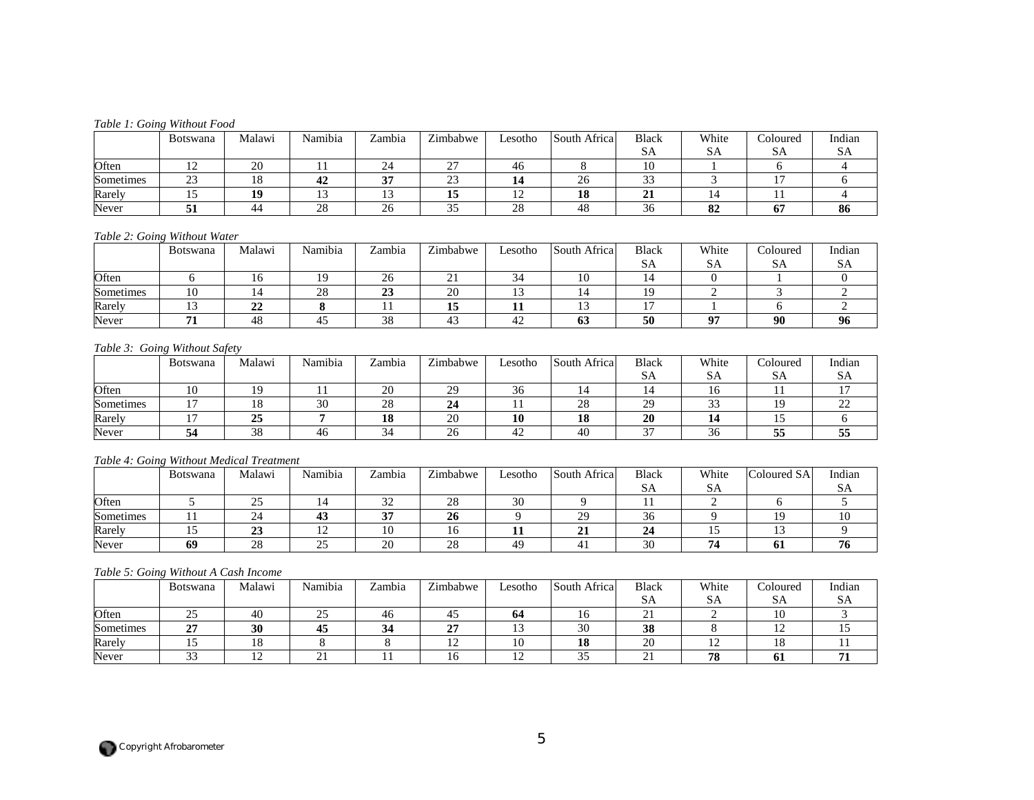#### *Table 1: Going Without Food*

|           | <b>Botswana</b> | Malawi | Namibia<br>$\sim$ $\sim$ | Zambia | Zimbabwe           | Lesotho        | South Africa   | Black                | White            | Coloured | Indian |
|-----------|-----------------|--------|--------------------------|--------|--------------------|----------------|----------------|----------------------|------------------|----------|--------|
|           |                 |        |                          |        |                    |                |                | SА                   | SА               | SА       | SА     |
| Often     | ∸               | 20     |                          | 24     | $\sim$<br><u>_</u> | 46             |                | ΔU.                  |                  |          |        |
| Sometimes | $\sim$<br>ر ے   | 10     | 44                       | $\sim$ | $\sim$<br>د∠       |                | <b>^</b><br>∠∪ | $\sim$<br><u>. .</u> |                  | -        |        |
| Rarely    |                 | 19     |                          |        | 13                 | $\overline{1}$ | 10<br>10       | --                   |                  |          |        |
| Never     |                 | 44     | $\cap$<br>20             | 26     | ◡                  | $\gamma$<br>28 | 48             | <b>^</b><br>30       | $\Omega$ 1<br>ΟZ |          | 86     |

#### *Table 2: Going Without Water*

|           | Botswana | Malawi | Namibia | Zambia | Zimbabwe     | Lesotho | South Africa | <b>Black</b> | White | Coloured | Indian |
|-----------|----------|--------|---------|--------|--------------|---------|--------------|--------------|-------|----------|--------|
|           |          |        |         |        |              |         |              | PО           | υn    | SА       | SA     |
| Often     |          |        |         | 26     | $\sim$<br>∠⊥ | 34      |              |              |       |          |        |
| Sometimes | 10       |        | 28      | 23     | 20           |         |              |              |       |          |        |
| Rarely    |          | ◢      |         |        | . .<br>13    | ┸┸      |              |              |       |          |        |
| Never     |          | 40     |         | 38     |              |         | 03           | 50           | Ωп    | 90       | 96     |

#### *Table 3: Going Without Safety*

|           | <b>Botswana</b> | Malawi              | Namibia         | Zambia       | Zimbabwe | Lesotho          | South Africa | Black     | White     | ∠oloured | Indian |
|-----------|-----------------|---------------------|-----------------|--------------|----------|------------------|--------------|-----------|-----------|----------|--------|
|           |                 |                     |                 |              |          |                  |              | PЧ        | DА        | SA       | SА     |
| Often     |                 |                     |                 | 20           | 29       | $\sim$<br>-36    |              |           |           |          |        |
| Sometimes |                 |                     | 20<br><b>JU</b> | 28           | 24       |                  | $\cap$<br>∠⊂ | ാറ<br>ر ب | ~~<br>ັ   | Q        | ∸      |
| Rarely    |                 | $\sim$ $\sim$<br>دے |                 | 18           | 20       | 10               | 10<br>10     | 20        |           |          |        |
| Never     |                 | $\Omega$<br>38      | 40              | $\sim$<br>34 | 26       | $\sqrt{2}$<br>42 | -40          | $\sim$    | ⌒ ∕<br>30 | --<br>33 | ູບ     |

#### *Table 4: Going Without Medical Treatment*

|           | <b>Botswana</b> | Malawi   | Namibia<br>$\mathbf{r}$ | Zambia    | Zimbabwe | Lesotho | South Africa | <b>Black</b>    | White | Coloured SA<br>$\sim$ 1 | Indian |
|-----------|-----------------|----------|-------------------------|-----------|----------|---------|--------------|-----------------|-------|-------------------------|--------|
|           |                 |          |                         |           |          |         |              | רגט             | DА    |                         | רגט    |
| Often     |                 |          |                         | n n<br>32 | 28       | 30      |              |                 |       |                         |        |
| Sometimes |                 | 24       | 45                      | <b>AF</b> | 26       |         | $\bigcap$    | $\sim$<br>30    |       |                         | ιv     |
| Rarely    |                 | ت        | $\sim$                  | 10        | 10       |         |              |                 |       |                         |        |
| Never     | 69              | ററ<br>20 |                         | 20        | 28       | 49      |              | $\Omega$<br>JU. |       |                         | 70     |

#### *Table 5: Going Without A Cash Income*

|           | Botswana      | Malawi | Namibia             | Zambia | Zimbabwe                 | Lesotho  | South Africa  | <b>Black</b>             | White | <b>Coloured</b>  | Indian |
|-----------|---------------|--------|---------------------|--------|--------------------------|----------|---------------|--------------------------|-------|------------------|--------|
|           |               |        |                     |        |                          |          |               | ЮA                       | υn    | SΑ               | SА     |
| Often     | ~-<br>رے      | 40     | $\sim$ $\sim$<br>رے | 46     | -45                      | 04       |               | $\sim$                   |       | $\sqrt{ }$<br>10 |        |
| Sometimes | $\sim$<br>"   | 30     | -45                 |        | $\sim$<br>، س            | $\sim$   | $\sim$<br>υv  | ഹ<br>IJΟ                 |       | ∸                |        |
| Rarely    |               | 10     |                     |        | $\sim$<br>$\overline{1}$ | 10       | 10<br>10      | $\bigcap$<br>ZU          | ∸     | LΟ<br>10.        |        |
| Never     | $\sim$<br>ر ر | ∸      | - -                 |        | 10                       | <b>I</b> | $\sim$ $\sim$ | $\overline{\phantom{a}}$ | 78    | UТ               |        |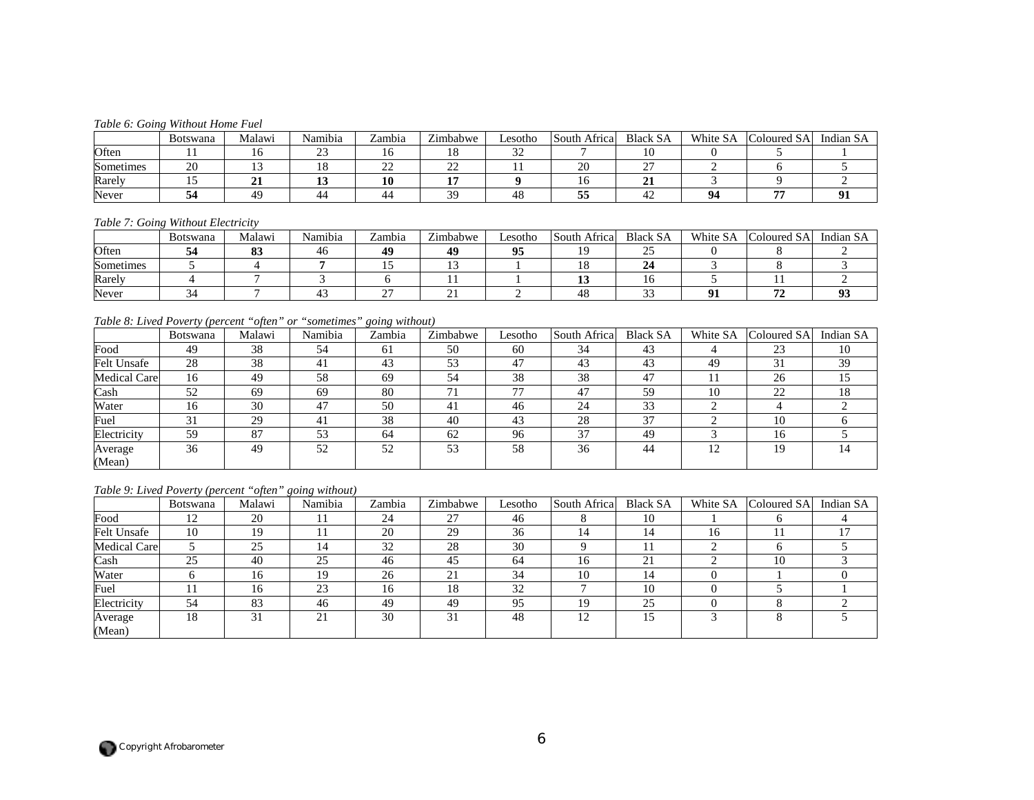#### *Table 6: Going Without Home Fuel*

|           | <b>Botswana</b> | Malawi | Namibia      | Zambia   | Zimbabwe      | Lesotho       | South Africa | <b>Black SA</b> | White SA | $\sim$<br>$\cup$ oloured SA | Indian SA |
|-----------|-----------------|--------|--------------|----------|---------------|---------------|--------------|-----------------|----------|-----------------------------|-----------|
| Often     |                 |        | $\sim$<br>-- | 10       | 10            | $\sim$<br>ے ب |              |                 |          |                             |           |
| Sometimes | 20              |        |              | n n<br>∼ | $\sim$<br>ے ت |               | $\sim$       | $\sim$          |          |                             |           |
| Rarely    |                 | ◢      |              | 10       |               |               |              |                 |          |                             |           |
| Never     |                 | 49     |              | 44       | $\Omega$      | 48            | --           |                 |          | --                          |           |

#### *Table 7: Going Without Electricity*

|           | Botswana | Malawi       | Namibia | Zambia | Zimbabwe | Lesotho | South Africa | <b>Black SA</b> | White SA | $\sim$ 1<br>Coloured SA | Indian SA |
|-----------|----------|--------------|---------|--------|----------|---------|--------------|-----------------|----------|-------------------------|-----------|
| Often     |          | $\sim$<br>υJ | 40      | 49     | 40       | 05      |              |                 |          |                         |           |
| Sometimes |          |              |         | . .    |          |         |              |                 |          |                         |           |
| Rarely    |          |              |         |        |          |         |              |                 |          |                         |           |
| Never     |          |              |         | ~~     |          |         |              |                 |          |                         |           |

## *Table 8: Lived Poverty (percent "often" or "sometimes" going without)*

|                     | <b>Botswana</b> | Malawi | Namibia | Zambia | Zimbabwe | Lesotho | South Africa | <b>Black SA</b> | White SA | Coloured SA | Indian SA |
|---------------------|-----------------|--------|---------|--------|----------|---------|--------------|-----------------|----------|-------------|-----------|
| Food                | 49              | 38     | 54      | 61     | 50       | 60      | 34           | 43              |          | 23          | 10        |
| <b>Felt Unsafe</b>  | 28              | 38     | 41      | 43     | 53       | 47      | 43           |                 | 49       | 31          | 39        |
| <b>Medical Care</b> | 16              | 49     | 58      | 69     | 54       | 38      | 38           | 47              |          | 26          | 15        |
| Cash                | 52              | 69     | 69      | 80     | 71       | 77      | -47          | 59              | 10       | 22          | 18        |
| Water               | 16              | 30     | 47      | 50     | 41       | 46      | 24           | 33              |          |             |           |
| Fuel                | 31              | 29     | 41      | 38     | 40       | 43      | 28           | 37              |          | 10          |           |
| Electricity         | 59              | 87     | 53      | 64     | 62       | 96      | 37           | 49              |          | 16          |           |
| Average             | 36              | 49     | 52      | 52     | 53       | 58      | 36           | 44              | 12       | 19          | 14        |
| (Mean)              |                 |        |         |        |          |         |              |                 |          |             |           |

## *Table 9: Lived Poverty (percent "often" going without)*

|                    | Botswana | Malawi | Namibia | Zambia | Zimbabwe | Lesotho | South Africa | <b>Black SA</b> | White SA | Coloured SA | Indian SA |
|--------------------|----------|--------|---------|--------|----------|---------|--------------|-----------------|----------|-------------|-----------|
| Food               | 12       | 20     |         | 24     | 27       | 46      |              | 10              |          |             |           |
| <b>Felt Unsafe</b> | 10       | 19     |         | 20     | 29       | 36      |              |                 | 16       |             |           |
| Medical Care       |          | 25     | ı4      | 32     | 28       | 30      |              |                 |          |             |           |
| Cash               | 25       | 40     | 25      | 46     | 45       | 64      | 16           | $\bigcap$<br>ΖI |          | 10          |           |
| Water              |          | 16     | 19      | 26     | 21       | 34      |              |                 |          |             |           |
| Fuel               |          | 16     | 23      | 16     | 18       | 32      |              | 10              |          |             |           |
| Electricity        | 54       | 83     | 46      | 49     | 49       | 95      |              | 25              |          |             |           |
| Average<br>(Mean)  | 18       | 31     | 21      | 30     | 31       | 48      |              |                 |          |             |           |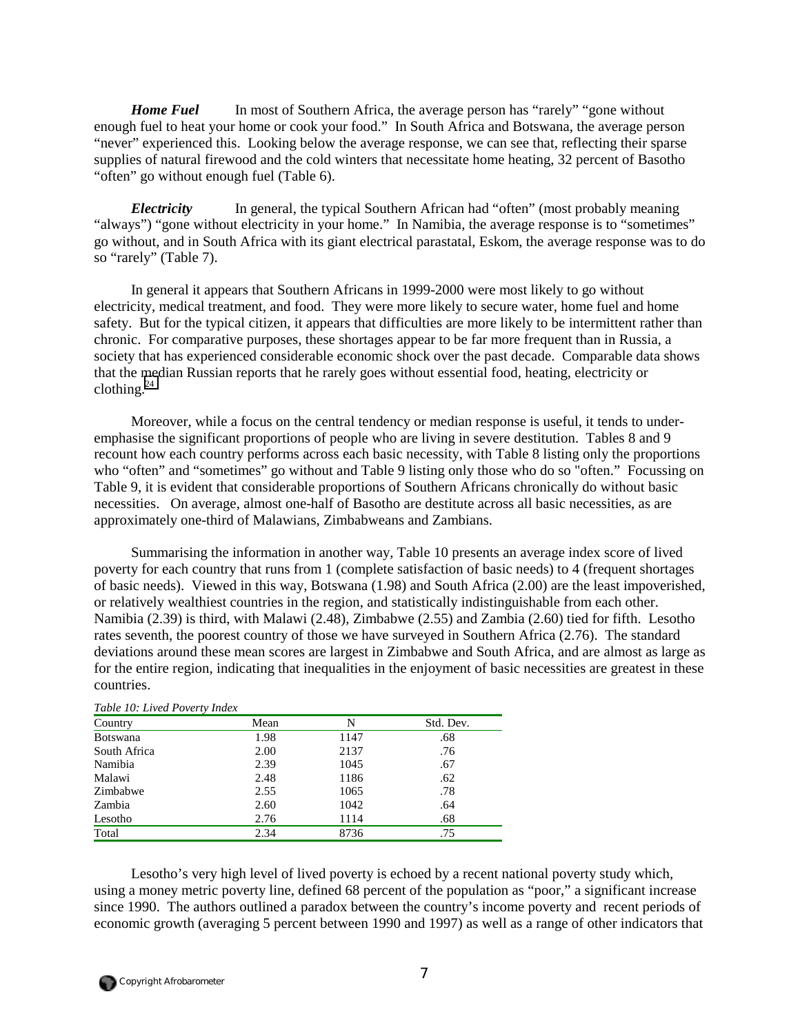*Home Fuel* In most of Southern Africa, the average person has "rarely" "gone without enough fuel to heat your home or cook your food." In South Africa and Botswana, the average person "never" experienced this. Looking below the average response, we can see that, reflecting their sparse supplies of natural firewood and the cold winters that necessitate home heating, 32 percent of Basotho "often" go without enough fuel (Table 6).

*Electricity* In general, the typical Southern African had "often" (most probably meaning "always") "gone without electricity in your home." In Namibia, the average response is to "sometimes" go without, and in South Africa with its giant electrical parastatal, Eskom, the average response was to do so "rarely" (Table 7).

In general it appears that Southern Africans in 1999-2000 were most likely to go without electricity, medical treatment, and food. They were more likely to secure water, home fuel and home safety. But for the typical citizen, it appears that difficulties are more likely to be intermittent rather than chronic. For comparative purposes, these shortages appear to be far more frequent than in Russia, a society that has experienced considerable economic shock over the past decade. Comparable data shows that the median Russian reports that he rarely goes without essential food, heating, electricity or clothing. $^{24}$  $^{24}$  $^{24}$ 

Moreover, while a focus on the central tendency or median response is useful, it tends to underemphasise the significant proportions of people who are living in severe destitution. Tables 8 and 9 recount how each country performs across each basic necessity, with Table 8 listing only the proportions who "often" and "sometimes" go without and Table 9 listing only those who do so "often." Focussing on Table 9, it is evident that considerable proportions of Southern Africans chronically do without basic necessities. On average, almost one-half of Basotho are destitute across all basic necessities, as are approximately one-third of Malawians, Zimbabweans and Zambians.

Summarising the information in another way, Table 10 presents an average index score of lived poverty for each country that runs from 1 (complete satisfaction of basic needs) to 4 (frequent shortages of basic needs). Viewed in this way, Botswana (1.98) and South Africa (2.00) are the least impoverished, or relatively wealthiest countries in the region, and statistically indistinguishable from each other. Namibia (2.39) is third, with Malawi (2.48), Zimbabwe (2.55) and Zambia (2.60) tied for fifth. Lesotho rates seventh, the poorest country of those we have surveyed in Southern Africa (2.76). The standard deviations around these mean scores are largest in Zimbabwe and South Africa, and are almost as large as for the entire region, indicating that inequalities in the enjoyment of basic necessities are greatest in these countries.

| Table 10: Lived Poverty Index |      |      |           |
|-------------------------------|------|------|-----------|
| Country                       | Mean | N    | Std. Dev. |
| <b>Botswana</b>               | 1.98 | 1147 | .68       |
| South Africa                  | 2.00 | 2137 | .76       |
| Namibia                       | 2.39 | 1045 | .67       |
| Malawi                        | 2.48 | 1186 | .62       |
| Zimbabwe                      | 2.55 | 1065 | .78       |
| Zambia                        | 2.60 | 1042 | .64       |
| Lesotho                       | 2.76 | 1114 | .68       |
| Total                         | 2.34 | 8736 | .75       |

# *Table 10: Lived Poverty Index*

Lesotho's very high level of lived poverty is echoed by a recent national poverty study which, using a money metric poverty line, defined 68 percent of the population as "poor," a significant increase since 1990. The authors outlined a paradox between the country's income poverty and recent periods of economic growth (averaging 5 percent between 1990 and 1997) as well as a range of other indicators that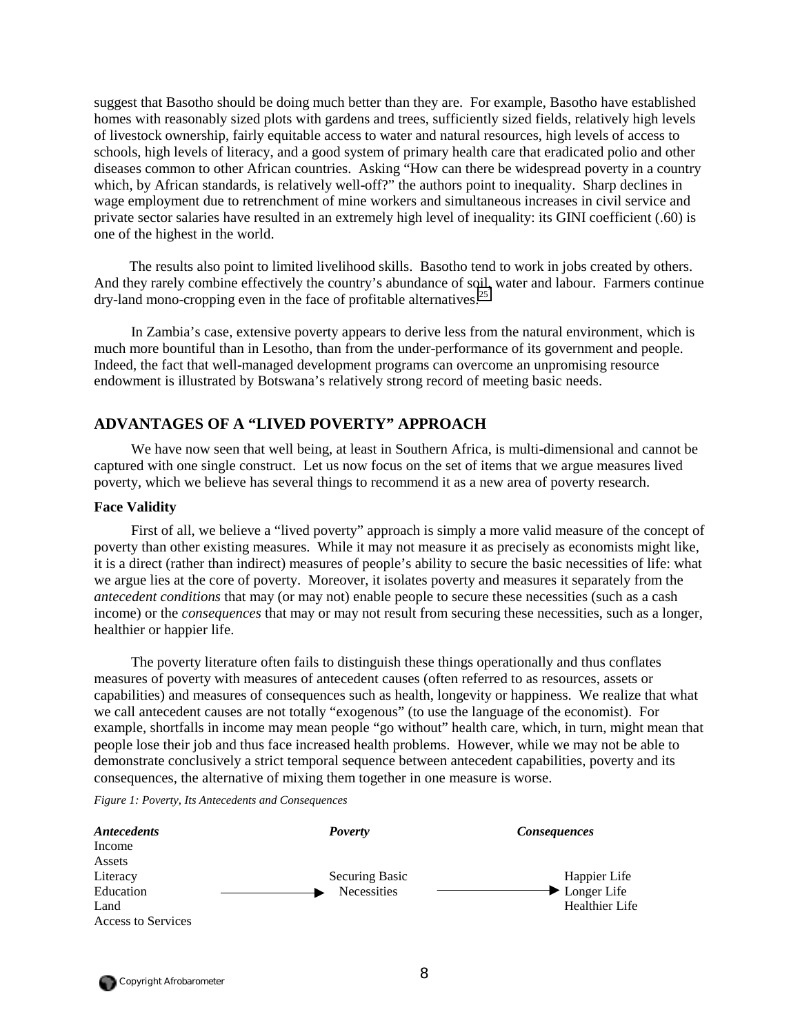suggest that Basotho should be doing much better than they are. For example, Basotho have established homes with reasonably sized plots with gardens and trees, sufficiently sized fields, relatively high levels of livestock ownership, fairly equitable access to water and natural resources, high levels of access to schools, high levels of literacy, and a good system of primary health care that eradicated polio and other diseases common to other African countries. Asking "How can there be widespread poverty in a country which, by African standards, is relatively well-off?" the authors point to inequality. Sharp declines in wage employment due to retrenchment of mine workers and simultaneous increases in civil service and private sector salaries have resulted in an extremely high level of inequality: its GINI coefficient (.60) is one of the highest in the world.

The results also point to limited livelihood skills. Basotho tend to work in jobs created by others. And they rarely combine effectively the country's abundance of soil, water and labour. Farmers continue  $\frac{dy}{dx}$ -land mono-cropping even in the face of profitable alternatives.<sup>[25](#page-65-0)</sup>

In Zambia's case, extensive poverty appears to derive less from the natural environment, which is much more bountiful than in Lesotho, than from the under-performance of its government and people. Indeed, the fact that well-managed development programs can overcome an unpromising resource endowment is illustrated by Botswana's relatively strong record of meeting basic needs.

## **ADVANTAGES OF A "LIVED POVERTY" APPROACH**

We have now seen that well being, at least in Southern Africa, is multi-dimensional and cannot be captured with one single construct. Let us now focus on the set of items that we argue measures lived poverty, which we believe has several things to recommend it as a new area of poverty research.

### **Face Validity**

First of all, we believe a "lived poverty" approach is simply a more valid measure of the concept of poverty than other existing measures. While it may not measure it as precisely as economists might like, it is a direct (rather than indirect) measures of people's ability to secure the basic necessities of life: what we argue lies at the core of poverty. Moreover, it isolates poverty and measures it separately from the *antecedent conditions* that may (or may not) enable people to secure these necessities (such as a cash income) or the *consequences* that may or may not result from securing these necessities, such as a longer, healthier or happier life.

The poverty literature often fails to distinguish these things operationally and thus conflates measures of poverty with measures of antecedent causes (often referred to as resources, assets or capabilities) and measures of consequences such as health, longevity or happiness. We realize that what we call antecedent causes are not totally "exogenous" (to use the language of the economist). For example, shortfalls in income may mean people "go without" health care, which, in turn, might mean that people lose their job and thus face increased health problems. However, while we may not be able to demonstrate conclusively a strict temporal sequence between antecedent capabilities, poverty and its consequences, the alternative of mixing them together in one measure is worse.

*Figure 1: Poverty, Its Antecedents and Consequences*

| <b>Antecedents</b> | <b>Poverty</b> | <b>Consequences</b>               |
|--------------------|----------------|-----------------------------------|
| Income             |                |                                   |
| Assets             |                |                                   |
| Literacy           | Securing Basic | Happier Life                      |
| Education          | Necessities    | $\blacktriangleright$ Longer Life |
| Land               |                | Healthier Life                    |
| Access to Services |                |                                   |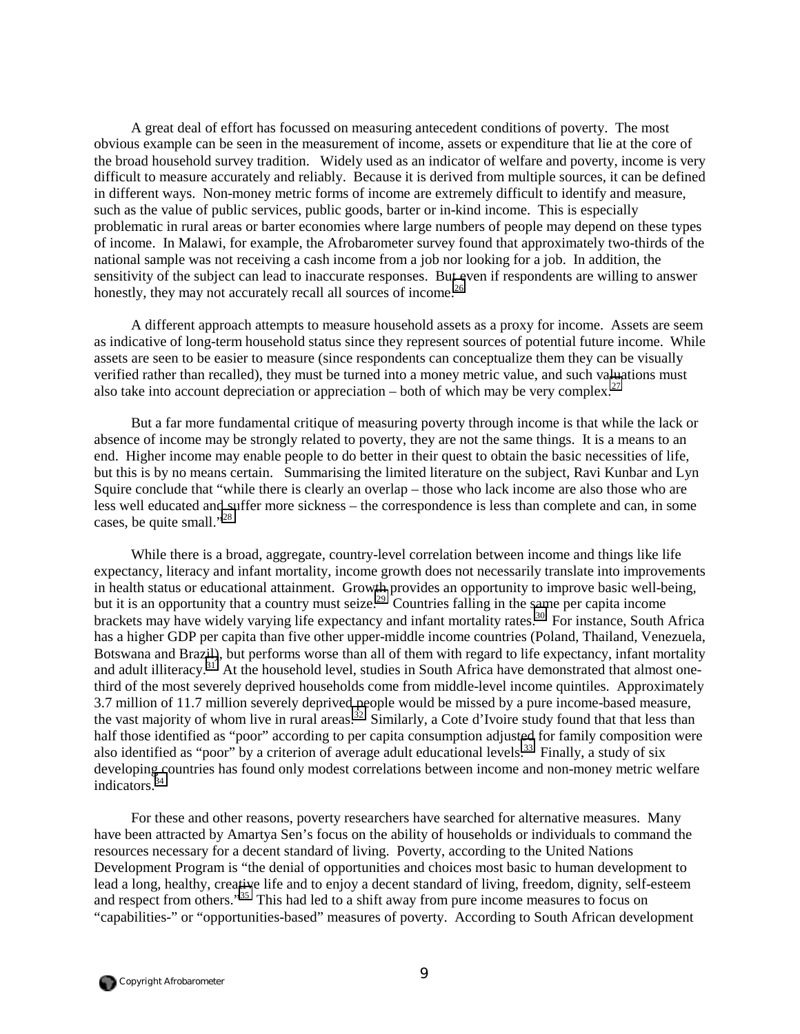A great deal of effort has focussed on measuring antecedent conditions of poverty. The most obvious example can be seen in the measurement of income, assets or expenditure that lie at the core of the broad household survey tradition. Widely used as an indicator of welfare and poverty, income is very difficult to measure accurately and reliably. Because it is derived from multiple sources, it can be defined in different ways. Non-money metric forms of income are extremely difficult to identify and measure, such as the value of public services, public goods, barter or in-kind income. This is especially problematic in rural areas or barter economies where large numbers of people may depend on these types of income. In Malawi, for example, the Afrobarometer survey found that approximately two-thirds of the national sample was not receiving a cash income from a job nor looking for a job. In addition, the sensitivity of the subject can lead to inaccurate responses. But even if respondents are willing to answer honestly, they may not accurately recall all sources of income.<sup>26</sup>

A different approach attempts to measure household assets as a proxy for income. Assets are seem as indicative of long-term household status since they represent sources of potential future income. While assets are seen to be easier to measure (since respondents can conceptualize them they can be visually verified rather than recalled), they must be turned into a money metric value, and such valuations must also take into account depreciation or appreciation – both of which may be very complex.<sup>[27](#page-65-0)</sup>

But a far more fundamental critique of measuring poverty through income is that while the lack or absence of income may be strongly related to poverty, they are not the same things. It is a means to an end. Higher income may enable people to do better in their quest to obtain the basic necessities of life, but this is by no means certain. Summarising the limited literature on the subject, Ravi Kunbar and Lyn Squire conclude that "while there is clearly an overlap – those who lack income are also those who are less well educated and suffer more sickness – the correspondence is less than complete and can, in some cases, be quite small."<sup>28</sup>

While there is a broad, aggregate, country-level correlation between income and things like life expectancy, literacy and infant mortality, income growth does not necessarily translate into improvements in health status or educational attainment. Growth provides an opportunity to improve basic well-being, but it is an opportunity that a country must seize.<sup>29</sup> Countries falling in the same per capita income brackets may have widely varying life expectancy and infant mortality rates.<sup>30</sup> For instance, South Africa has a higher GDP per capita than five other upper-middle income countries (Poland, Thailand, Venezuela, Botswana and Brazil), but performs worse than all of them with regard to life expectancy, infant mortality and adult illiteracy.<sup>31</sup> At the household level, studies in South Africa have demonstrated that almost onethird of the most severely deprived households come from middle-level income quintiles. Approximately 3.7 million of 11.7 million severely deprived people would be missed by a pure income-based measure, the vast majority of whom live in rural areas.<sup>32</sup> Similarly, a Cote d'Ivoire study found that that less than half those identified as "poor" according to per capita consumption adjusted for family composition were also identified as "poor" by a criterion of average adult educational levels.<sup>33</sup> Finally, a study of six developing countries has found only modest correlations between income and non-money metric welfare indicators.<sup>[34](#page-65-0)</sup>

For these and other reasons, poverty researchers have searched for alternative measures. Many have been attracted by Amartya Sen's focus on the ability of households or individuals to command the resources necessary for a decent standard of living. Poverty, according to the United Nations Development Program is "the denial of opportunities and choices most basic to human development to lead a long, healthy, creative life and to enjoy a decent standard of living, freedom, dignity, self-esteem and respect from others."<sup>35</sup> This had led to a shift away from pure income measures to focus on "capabilities-" or "opportunities-based" measures of poverty. According to South African development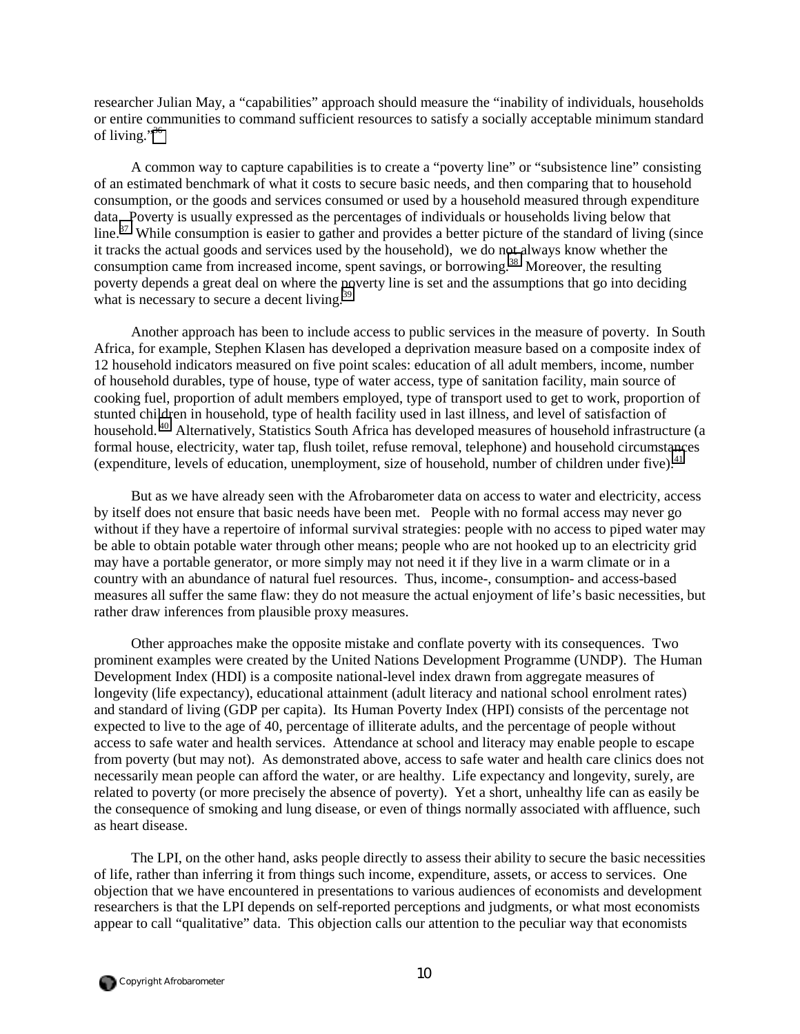researcher Julian May, a "capabilities" approach should measure the "inability of individuals, households or entire communities to command sufficient resources to satisfy a socially acceptable minimum standard of living."[36](#page-65-0)

A common way to capture capabilities is to create a "poverty line" or "subsistence line" consisting of an estimated benchmark of what it costs to secure basic needs, and then comparing that to household consumption, or the goods and services consumed or used by a household measured through expenditure data. Poverty is usually expressed as the percentages of individuals or households living below that  $\sinh 37$  While consumption is easier to gather and provides a better picture of the standard of living (since it tracks the actual goods and services used by the household), we do not always know whether the consumption came from increased income, spent savings, or borrowing.<sup>38</sup> Moreover, the resulting poverty depends a great deal on where the poverty line is set and the assumptions that go into deciding what is necessary to secure a decent living.<sup>3</sup>

Another approach has been to include access to public services in the measure of poverty. In South Africa, for example, Stephen Klasen has developed a deprivation measure based on a composite index of 12 household indicators measured on five point scales: education of all adult members, income, number of household durables, type of house, type of water access, type of sanitation facility, main source of cooking fuel, proportion of adult members employed, type of transport used to get to work, proportion of stunted children in household, type of health facility used in last illness, and level of satisfaction of household.<sup>40</sup> Alternatively, Statistics South Africa has developed measures of household infrastructure (a formal house, electricity, water tap, flush toilet, refuse removal, telephone) and household circumstances (expenditure, levels of education, unemployment, size of household, number of children under five).<sup>41</sup>

But as we have already seen with the Afrobarometer data on access to water and electricity, access by itself does not ensure that basic needs have been met. People with no formal access may never go without if they have a repertoire of informal survival strategies: people with no access to piped water may be able to obtain potable water through other means; people who are not hooked up to an electricity grid may have a portable generator, or more simply may not need it if they live in a warm climate or in a country with an abundance of natural fuel resources. Thus, income-, consumption- and access-based measures all suffer the same flaw: they do not measure the actual enjoyment of life's basic necessities, but rather draw inferences from plausible proxy measures.

Other approaches make the opposite mistake and conflate poverty with its consequences. Two prominent examples were created by the United Nations Development Programme (UNDP). The Human Development Index (HDI) is a composite national-level index drawn from aggregate measures of longevity (life expectancy), educational attainment (adult literacy and national school enrolment rates) and standard of living (GDP per capita). Its Human Poverty Index (HPI) consists of the percentage not expected to live to the age of 40, percentage of illiterate adults, and the percentage of people without access to safe water and health services. Attendance at school and literacy may enable people to escape from poverty (but may not). As demonstrated above, access to safe water and health care clinics does not necessarily mean people can afford the water, or are healthy. Life expectancy and longevity, surely, are related to poverty (or more precisely the absence of poverty). Yet a short, unhealthy life can as easily be the consequence of smoking and lung disease, or even of things normally associated with affluence, such as heart disease.

The LPI, on the other hand, asks people directly to assess their ability to secure the basic necessities of life, rather than inferring it from things such income, expenditure, assets, or access to services. One objection that we have encountered in presentations to various audiences of economists and development researchers is that the LPI depends on self-reported perceptions and judgments, or what most economists appear to call "qualitative" data. This objection calls our attention to the peculiar way that economists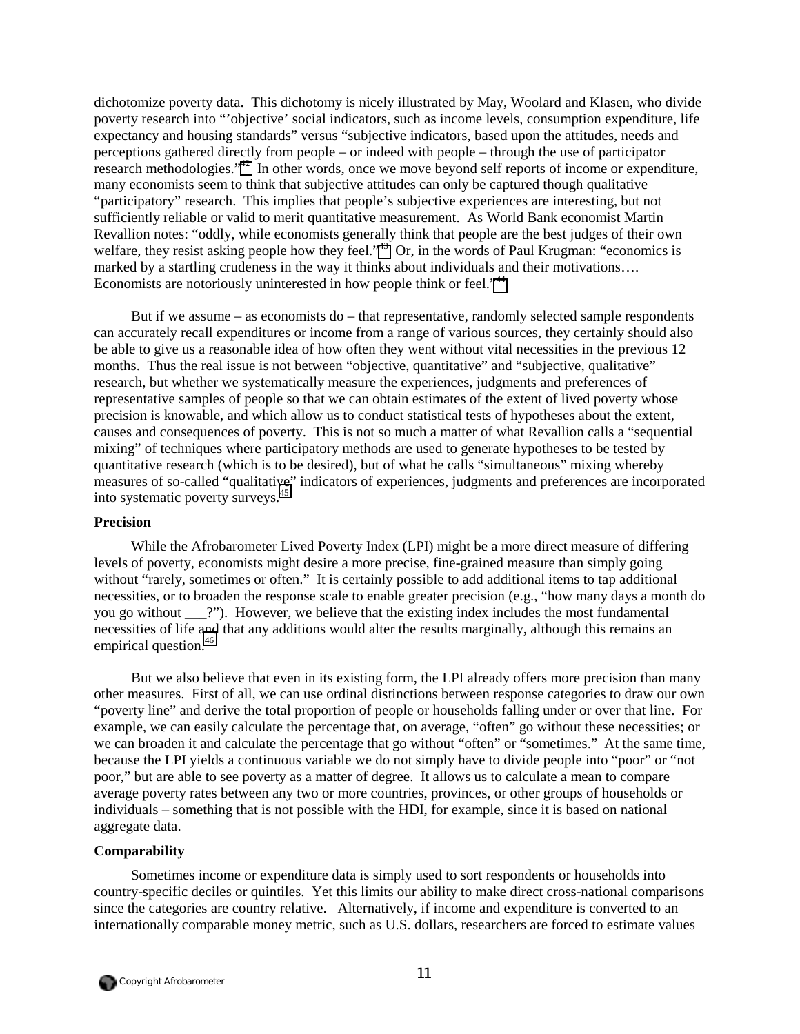dichotomize poverty data. This dichotomy is nicely illustrated by May, Woolard and Klasen, who divide poverty research into "'objective' social indicators, such as income levels, consumption expenditure, life expectancy and housing standards" versus "subjective indicators, based upon the attitudes, needs and perceptions gathered directly from people – or indeed with people – through the use of participator research methodologies."<sup>42</sup> In other words, once we move beyond self reports of income or expenditure, many economists seem to think that subjective attitudes can only be captured though qualitative "participatory" research. This implies that people's subjective experiences are interesting, but not sufficiently reliable or valid to merit quantitative measurement. As World Bank economist Martin Revallion notes: "oddly, while economists generally think that people are the best judges of their own welfare, they resist asking people how they feel."<sup>43</sup> Or, in the words of Paul Krugman: "economics is marked by a startling crudeness in the way it thinks about individuals and their motivations…. Economists are notoriously uninterested in how people think or feel."<sup>[44](#page-65-0)</sup>

But if we assume – as economists do – that representative, randomly selected sample respondents can accurately recall expenditures or income from a range of various sources, they certainly should also be able to give us a reasonable idea of how often they went without vital necessities in the previous 12 months. Thus the real issue is not between "objective, quantitative" and "subjective, qualitative" research, but whether we systematically measure the experiences, judgments and preferences of representative samples of people so that we can obtain estimates of the extent of lived poverty whose precision is knowable, and which allow us to conduct statistical tests of hypotheses about the extent, causes and consequences of poverty. This is not so much a matter of what Revallion calls a "sequential mixing" of techniques where participatory methods are used to generate hypotheses to be tested by quantitative research (which is to be desired), but of what he calls "simultaneous" mixing whereby measures of so-called "qualitative" indicators of experiences, judgments and preferences are incorporated into systematic poverty surveys.[45](#page-65-0) 

## **Precision**

While the Afrobarometer Lived Poverty Index (LPI) might be a more direct measure of differing levels of poverty, economists might desire a more precise, fine-grained measure than simply going without "rarely, sometimes or often." It is certainly possible to add additional items to tap additional necessities, or to broaden the response scale to enable greater precision (e.g., "how many days a month do you go without <sup>?"</sup>). However, we believe that the existing index includes the most fundamental necessities of life and that any additions would alter the results marginally, although this remains an empirical question.<sup>[46](#page-65-0)</sup>

But we also believe that even in its existing form, the LPI already offers more precision than many other measures. First of all, we can use ordinal distinctions between response categories to draw our own "poverty line" and derive the total proportion of people or households falling under or over that line. For example, we can easily calculate the percentage that, on average, "often" go without these necessities; or we can broaden it and calculate the percentage that go without "often" or "sometimes." At the same time, because the LPI yields a continuous variable we do not simply have to divide people into "poor" or "not poor," but are able to see poverty as a matter of degree. It allows us to calculate a mean to compare average poverty rates between any two or more countries, provinces, or other groups of households or individuals – something that is not possible with the HDI, for example, since it is based on national aggregate data.

### **Comparability**

Sometimes income or expenditure data is simply used to sort respondents or households into country-specific deciles or quintiles. Yet this limits our ability to make direct cross-national comparisons since the categories are country relative. Alternatively, if income and expenditure is converted to an internationally comparable money metric, such as U.S. dollars, researchers are forced to estimate values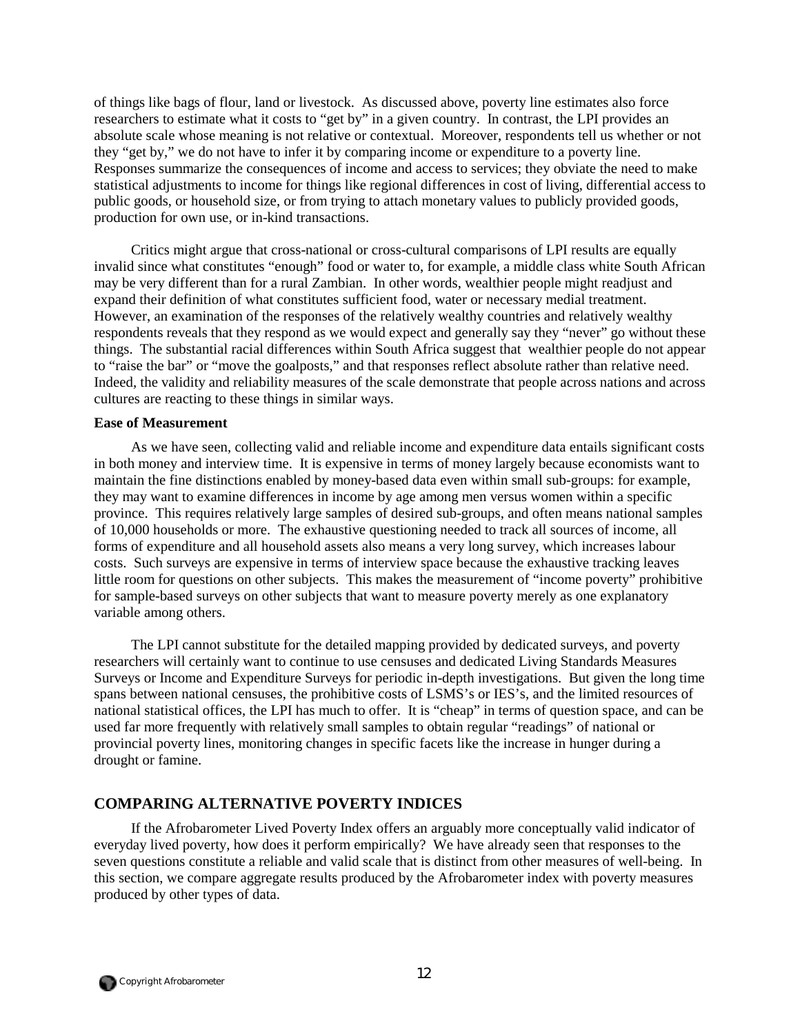of things like bags of flour, land or livestock. As discussed above, poverty line estimates also force researchers to estimate what it costs to "get by" in a given country. In contrast, the LPI provides an absolute scale whose meaning is not relative or contextual. Moreover, respondents tell us whether or not they "get by," we do not have to infer it by comparing income or expenditure to a poverty line. Responses summarize the consequences of income and access to services; they obviate the need to make statistical adjustments to income for things like regional differences in cost of living, differential access to public goods, or household size, or from trying to attach monetary values to publicly provided goods, production for own use, or in-kind transactions.

Critics might argue that cross-national or cross-cultural comparisons of LPI results are equally invalid since what constitutes "enough" food or water to, for example, a middle class white South African may be very different than for a rural Zambian. In other words, wealthier people might readjust and expand their definition of what constitutes sufficient food, water or necessary medial treatment. However, an examination of the responses of the relatively wealthy countries and relatively wealthy respondents reveals that they respond as we would expect and generally say they "never" go without these things. The substantial racial differences within South Africa suggest that wealthier people do not appear to "raise the bar" or "move the goalposts," and that responses reflect absolute rather than relative need. Indeed, the validity and reliability measures of the scale demonstrate that people across nations and across cultures are reacting to these things in similar ways.

## **Ease of Measurement**

As we have seen, collecting valid and reliable income and expenditure data entails significant costs in both money and interview time. It is expensive in terms of money largely because economists want to maintain the fine distinctions enabled by money-based data even within small sub-groups: for example, they may want to examine differences in income by age among men versus women within a specific province. This requires relatively large samples of desired sub-groups, and often means national samples of 10,000 households or more. The exhaustive questioning needed to track all sources of income, all forms of expenditure and all household assets also means a very long survey, which increases labour costs. Such surveys are expensive in terms of interview space because the exhaustive tracking leaves little room for questions on other subjects. This makes the measurement of "income poverty" prohibitive for sample-based surveys on other subjects that want to measure poverty merely as one explanatory variable among others.

The LPI cannot substitute for the detailed mapping provided by dedicated surveys, and poverty researchers will certainly want to continue to use censuses and dedicated Living Standards Measures Surveys or Income and Expenditure Surveys for periodic in-depth investigations. But given the long time spans between national censuses, the prohibitive costs of LSMS's or IES's, and the limited resources of national statistical offices, the LPI has much to offer. It is "cheap" in terms of question space, and can be used far more frequently with relatively small samples to obtain regular "readings" of national or provincial poverty lines, monitoring changes in specific facets like the increase in hunger during a drought or famine.

## **COMPARING ALTERNATIVE POVERTY INDICES**

If the Afrobarometer Lived Poverty Index offers an arguably more conceptually valid indicator of everyday lived poverty, how does it perform empirically? We have already seen that responses to the seven questions constitute a reliable and valid scale that is distinct from other measures of well-being. In this section, we compare aggregate results produced by the Afrobarometer index with poverty measures produced by other types of data.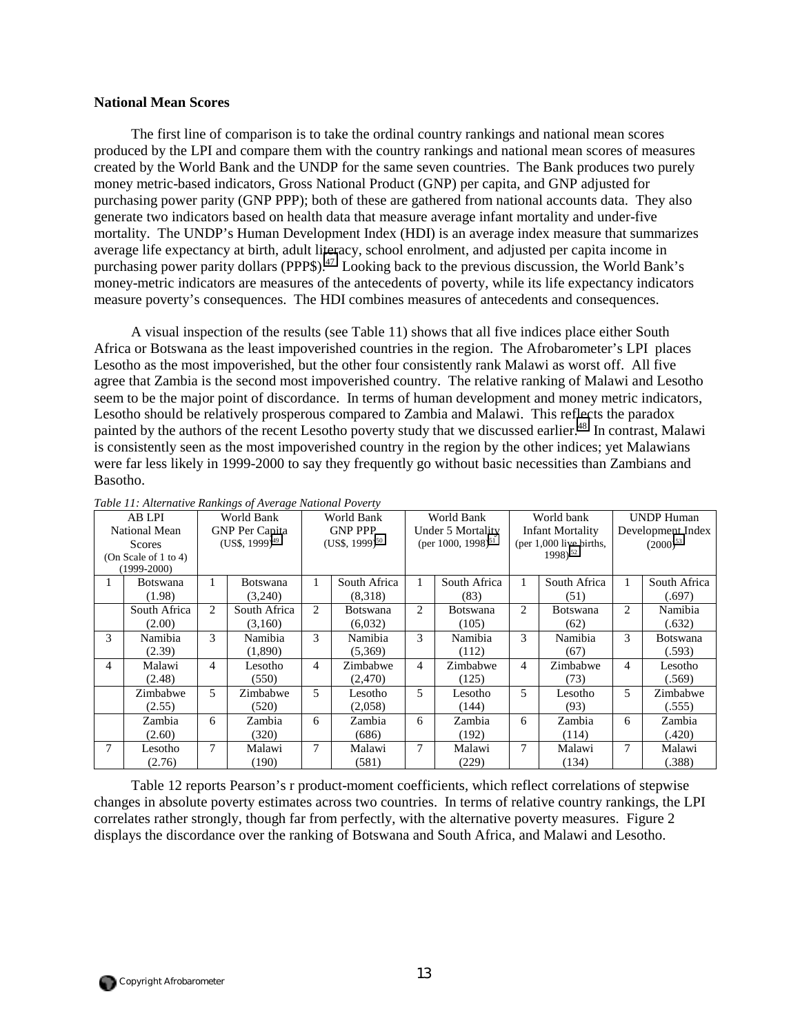#### **National Mean Scores**

The first line of comparison is to take the ordinal country rankings and national mean scores produced by the LPI and compare them with the country rankings and national mean scores of measures created by the World Bank and the UNDP for the same seven countries. The Bank produces two purely money metric-based indicators, Gross National Product (GNP) per capita, and GNP adjusted for purchasing power parity (GNP PPP); both of these are gathered from national accounts data. They also generate two indicators based on health data that measure average infant mortality and under-five mortality. The UNDP's Human Development Index (HDI) is an average index measure that summarizes average life expectancy at birth, adult literacy, school enrolment, and adjusted per capita income in purchasing power parity dollars (PPP\$).<sup>47</sup> Looking back to the previous discussion, the World Bank's money-metric indicators are measures of the antecedents of poverty, while its life expectancy indicators measure poverty's consequences. The HDI combines measures of antecedents and consequences.

A visual inspection of the results (see Table 11) shows that all five indices place either South Africa or Botswana as the least impoverished countries in the region. The Afrobarometer's LPI places Lesotho as the most impoverished, but the other four consistently rank Malawi as worst off. All five agree that Zambia is the second most impoverished country. The relative ranking of Malawi and Lesotho seem to be the major point of discordance. In terms of human development and money metric indicators, Lesotho should be relatively prosperous compared to Zambia and Malawi. This reflects the paradox painted by the authors of the recent Lesotho poverty study that we discussed earlier.<sup>48</sup> In contrast, Malawi is consistently seen as the most impoverished country in the region by the other indices; yet Malawians were far less likely in 1999-2000 to say they frequently go without basic necessities than Zambians and Basotho.

|   | Tuble 11. Alleman re Kankings of Avenage Ivanomal I overly<br>AB LPI |    | World Bank                   |   | World Bank                   |                | World Bank                     |                | World bank                |                | <b>UNDP Human</b> |
|---|----------------------------------------------------------------------|----|------------------------------|---|------------------------------|----------------|--------------------------------|----------------|---------------------------|----------------|-------------------|
|   | National Mean                                                        |    | <b>GNP Per Capita</b>        |   | <b>GNP PPP</b>               |                | Under 5 Mortality              |                | <b>Infant Mortality</b>   |                | Development Index |
|   | Scores                                                               |    | $(US\$ , 1999) <sup>49</sup> |   | $(US\$ , 1999) <sup>50</sup> |                | (per 1000, 1998) <sup>51</sup> |                | (per $1,000$ live births, |                | $(2000)^{53}$     |
|   | (On Scale of 1 to 4)                                                 |    |                              |   |                              |                |                                |                | $1998$ <sup>52</sup>      |                |                   |
|   | $(1999 - 2000)$                                                      |    |                              |   |                              |                |                                |                |                           |                |                   |
|   | <b>Botswana</b>                                                      | Ι. | Botswana                     |   | South Africa                 |                | South Africa                   |                | South Africa              |                | South Africa      |
|   | (1.98)                                                               |    | (3,240)                      |   | (8,318)                      |                | (83)                           |                | (51)                      |                | (.697)            |
|   | South Africa                                                         | 2  | South Africa                 | 2 | <b>Botswana</b>              | $\mathfrak{D}$ | <b>Botswana</b>                | 2              | <b>Botswana</b>           | $\overline{2}$ | Namibia           |
|   | (2.00)                                                               |    | (3,160)                      |   | (6,032)                      |                | (105)                          |                | (62)                      |                | (.632)            |
| 3 | Namibia                                                              | 3  | Namibia                      | 3 | Namibia                      | 3              | Namibia                        | 3              | Namibia                   | 3              | <b>Botswana</b>   |
|   | (2.39)                                                               |    | (1,890)                      |   | (5,369)                      |                | (112)                          |                | (67)                      |                | (.593)            |
| 4 | Malawi                                                               | 4  | Lesotho                      | 4 | Zimbabwe                     | $\overline{4}$ | Zimbabwe                       | $\overline{4}$ | Zimbabwe                  | 4              | Lesotho           |
|   | (2.48)                                                               |    | (550)                        |   | (2,470)                      |                | (125)                          |                | (73)                      |                | (.569)            |
|   | Zimbabwe                                                             | 5. | Zimbabwe                     | 5 | Lesotho                      | 5              | Lesotho                        | 5              | Lesotho                   | 5              | Zimbabwe          |
|   | (2.55)                                                               |    | (520)                        |   | (2,058)                      |                | (144)                          |                | (93)                      |                | (.555)            |
|   | Zambia                                                               | 6  | Zambia                       | 6 | Zambia                       | 6              | Zambia                         | 6              | Zambia                    | 6              | Zambia            |
|   | (2.60)                                                               |    | (320)                        |   | (686)                        |                | (192)                          |                | (114)                     |                | (.420)            |
| 7 | Lesotho                                                              | 7  | Malawi                       | 7 | Malawi                       | 7              | Malawi                         | 7              | Malawi                    | 7              | Malawi            |
|   | (2.76)                                                               |    | (190)                        |   | (581)                        |                | (229)                          |                | (134)                     |                | (.388)            |

*Table 11: Alternative Rankings of Average National Poverty* 

Table 12 reports Pearson's r product-moment coefficients, which reflect correlations of stepwise changes in absolute poverty estimates across two countries. In terms of relative country rankings, the LPI correlates rather strongly, though far from perfectly, with the alternative poverty measures. Figure 2 displays the discordance over the ranking of Botswana and South Africa, and Malawi and Lesotho.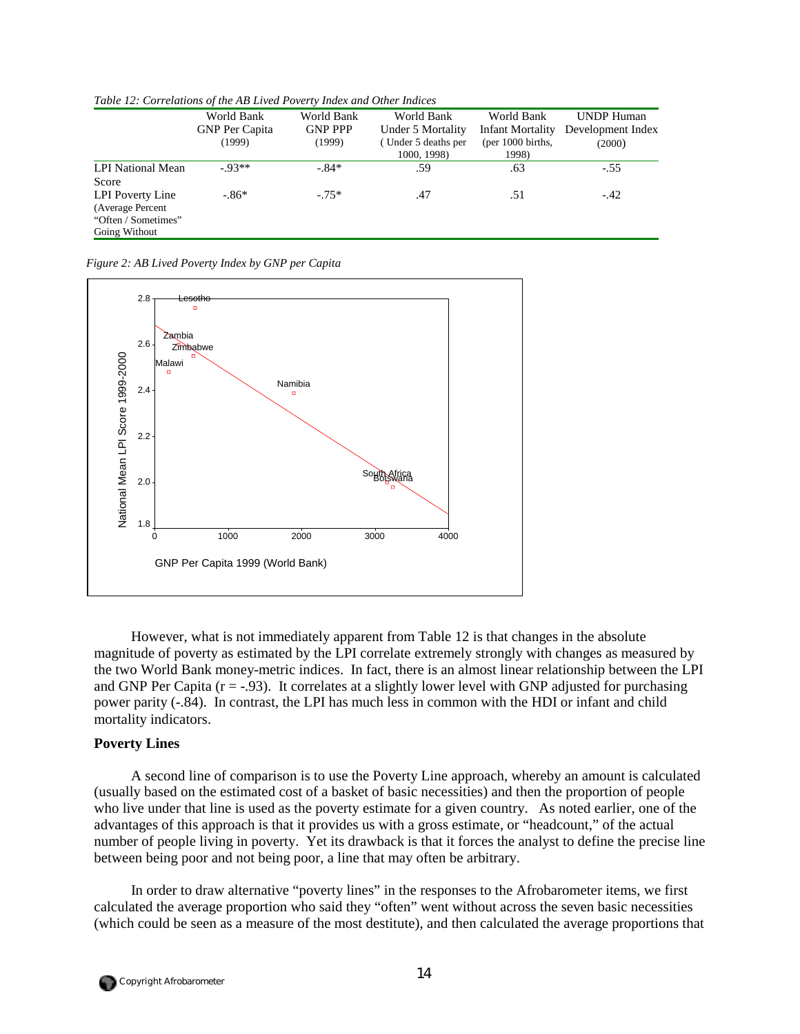| Tuble 12. Correlations of the Tip Elved Poverty Index and Other Indices |                       |                |                     |                     |                   |
|-------------------------------------------------------------------------|-----------------------|----------------|---------------------|---------------------|-------------------|
|                                                                         | World Bank            | World Bank     | World Bank          | World Bank          | <b>UNDP Human</b> |
|                                                                         | <b>GNP</b> Per Capita | <b>GNP PPP</b> | Under 5 Mortality   | Infant Mortality    | Development Index |
|                                                                         | (1999)                | (1999)         | (Under 5 deaths per | (per $1000$ births, | (2000)            |
|                                                                         |                       |                | 1000, 1998)         | 1998)               |                   |
| LPI National Mean                                                       | $-93**$               | $-.84*$        | .59                 | .63                 | $-.55$            |
| Score                                                                   |                       |                |                     |                     |                   |
| LPI Poverty Line                                                        | $-86*$                | $-75*$         | .47                 | .51                 | $-.42$            |
| (Average Percent)                                                       |                       |                |                     |                     |                   |
| "Often / Sometimes"                                                     |                       |                |                     |                     |                   |
| Going Without                                                           |                       |                |                     |                     |                   |

*Table 12: Correlations of the AB Lived Poverty Index and Other Indices* 

*Figure 2: AB Lived Poverty Index by GNP per Capita* 



However, what is not immediately apparent from Table 12 is that changes in the absolute magnitude of poverty as estimated by the LPI correlate extremely strongly with changes as measured by the two World Bank money-metric indices. In fact, there is an almost linear relationship between the LPI and GNP Per Capita  $(r = -0.93)$ . It correlates at a slightly lower level with GNP adjusted for purchasing power parity (-.84). In contrast, the LPI has much less in common with the HDI or infant and child mortality indicators.

### **Poverty Lines**

A second line of comparison is to use the Poverty Line approach, whereby an amount is calculated (usually based on the estimated cost of a basket of basic necessities) and then the proportion of people who live under that line is used as the poverty estimate for a given country. As noted earlier, one of the advantages of this approach is that it provides us with a gross estimate, or "headcount," of the actual number of people living in poverty. Yet its drawback is that it forces the analyst to define the precise line between being poor and not being poor, a line that may often be arbitrary.

In order to draw alternative "poverty lines" in the responses to the Afrobarometer items, we first calculated the average proportion who said they "often" went without across the seven basic necessities (which could be seen as a measure of the most destitute), and then calculated the average proportions that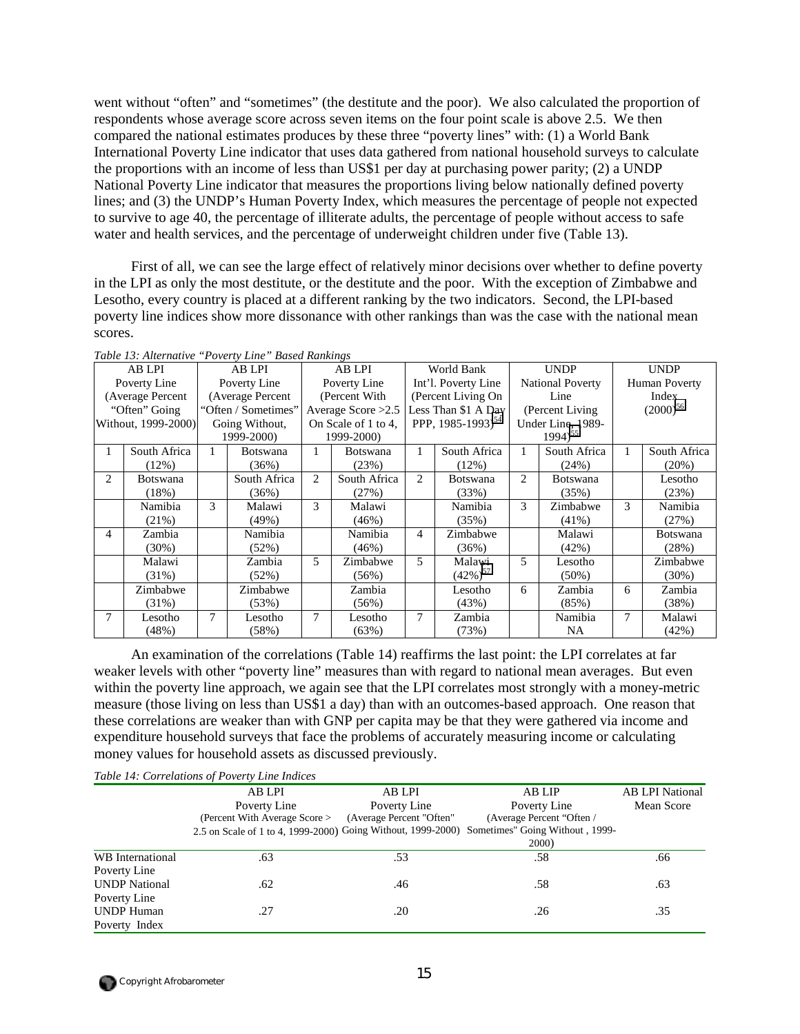went without "often" and "sometimes" (the destitute and the poor). We also calculated the proportion of respondents whose average score across seven items on the four point scale is above 2.5. We then compared the national estimates produces by these three "poverty lines" with: (1) a World Bank International Poverty Line indicator that uses data gathered from national household surveys to calculate the proportions with an income of less than US\$1 per day at purchasing power parity; (2) a UNDP National Poverty Line indicator that measures the proportions living below nationally defined poverty lines; and (3) the UNDP's Human Poverty Index, which measures the percentage of people not expected to survive to age 40, the percentage of illiterate adults, the percentage of people without access to safe water and health services, and the percentage of underweight children under five (Table 13).

First of all, we can see the large effect of relatively minor decisions over whether to define poverty in the LPI as only the most destitute, or the destitute and the poor. With the exception of Zimbabwe and Lesotho, every country is placed at a different ranking by the two indicators. Second, the LPI-based poverty line indices show more dissonance with other rankings than was the case with the national mean scores.

|   | AB LPI              |            | AB LPI              |   | AB LPI               |   | World Bank                    |                | <b>UNDP</b>             | <b>UNDP</b> |                 |
|---|---------------------|------------|---------------------|---|----------------------|---|-------------------------------|----------------|-------------------------|-------------|-----------------|
|   | Poverty Line        |            | Poverty Line        |   | Poverty Line         |   | Int'l. Poverty Line           |                | <b>National Poverty</b> |             | Human Poverty   |
|   | (Average Percent    |            | (Average Percent    |   | (Percent With)       |   | (Percent Living On            |                | Line                    |             | Index           |
|   | "Often" Going       |            | "Often / Sometimes" |   | Average Score $>2.5$ |   | Less Than \$1 A Day           |                | (Percent Living)        |             | $(2000)^{56}$   |
|   | Without, 1999-2000) |            | Going Without,      |   | On Scale of 1 to 4,  |   | PPP, 1985-1993) <sup>54</sup> |                | Under Line, 1989-       |             |                 |
|   |                     | 1999-2000) |                     |   | 1999-2000)           |   |                               |                | $1994)^{55}$            |             |                 |
|   | South Africa        |            | <b>Botswana</b>     |   | <b>Botswana</b>      |   | South Africa                  |                | South Africa            |             | South Africa    |
|   | (12%)               |            | (36%)               |   | (23%)                |   | $(12\%)$                      |                | (24%)                   |             | (20%)           |
| 2 | <b>Botswana</b>     |            | South Africa        | 2 | South Africa         | 2 | <b>Botswana</b>               | $\overline{c}$ | <b>Botswana</b>         |             | Lesotho         |
|   | (18%)               |            | (36%)               |   | (27%)                |   | (33%)                         |                | (35%)                   |             | (23%)           |
|   | Namibia             | 3          | Malawi              | 3 | Malawi               |   | Namibia                       | 3              | Zimbabwe                | 3           | Namibia         |
|   | (21%)               |            | (49%)               |   | (46%)                |   | (35%)                         |                | $(41\%)$                |             | (27%)           |
| 4 | Zambia              |            | Namibia             |   | Namibia              | 4 | Zimbabwe                      |                | Malawi                  |             | <b>Botswana</b> |
|   | $(30\%)$            |            | $(52\%)$            |   | (46%)                |   | (36%)                         |                | (42%)                   |             | (28%)           |
|   | Malawi              |            | Zambia              | 5 | Zimbabwe             | 5 | Malawi                        | 5              | Lesotho                 |             | Zimbabwe        |
|   | $(31\%)$            |            | (52%)               |   | $(56\%)$             |   | $(42\%)^{57}$                 |                | $(50\%)$                |             | $(30\%)$        |
|   | Zimbabwe            |            | Zimbabwe            |   | Zambia               |   | Lesotho                       | 6              | Zambia                  | 6           | Zambia          |
|   | $(31\%)$            |            | (53%)               |   | (56%)                |   | (43%)                         |                | (85%)                   |             | (38%)           |
|   | Lesotho             | 7          | Lesotho             | 7 | Lesotho              | 7 | Zambia                        |                | Namibia                 | 7           | Malawi          |
|   | (48%)               |            | (58%)               |   | (63%)                |   | (73%)                         |                | <b>NA</b>               |             | (42%)           |

*Table 13: Alternative "Poverty Line" Based Rankings* 

An examination of the correlations (Table 14) reaffirms the last point: the LPI correlates at far weaker levels with other "poverty line" measures than with regard to national mean averages. But even within the poverty line approach, we again see that the LPI correlates most strongly with a money-metric measure (those living on less than US\$1 a day) than with an outcomes-based approach. One reason that these correlations are weaker than with GNP per capita may be that they were gathered via income and expenditure household surveys that face the problems of accurately measuring income or calculating money values for household assets as discussed previously.

|                      | Table 14: Correlations of Poverty Line Indices               |                          |                                 |                        |
|----------------------|--------------------------------------------------------------|--------------------------|---------------------------------|------------------------|
|                      | AB LPI                                                       | AB LPI                   | AB LIP                          | <b>AB LPI National</b> |
|                      | Poverty Line                                                 | Poverty Line             | Poverty Line                    | Mean Score             |
|                      | (Percent With Average Score >                                | (Average Percent "Often" | (Average Percent "Often /       |                        |
|                      | 2.5 on Scale of 1 to 4, 1999-2000) Going Without, 1999-2000) |                          | Sometimes" Going Without, 1999- |                        |
|                      |                                                              |                          | <b>2000</b> )                   |                        |
| WB International     | .63                                                          | .53                      | .58                             | .66                    |
| Poverty Line         |                                                              |                          |                                 |                        |
| <b>UNDP</b> National | .62                                                          | .46                      | .58                             | .63                    |
| Poverty Line         |                                                              |                          |                                 |                        |
| <b>UNDP Human</b>    | .27                                                          | .20                      | .26                             | .35                    |
| Poverty Index        |                                                              |                          |                                 |                        |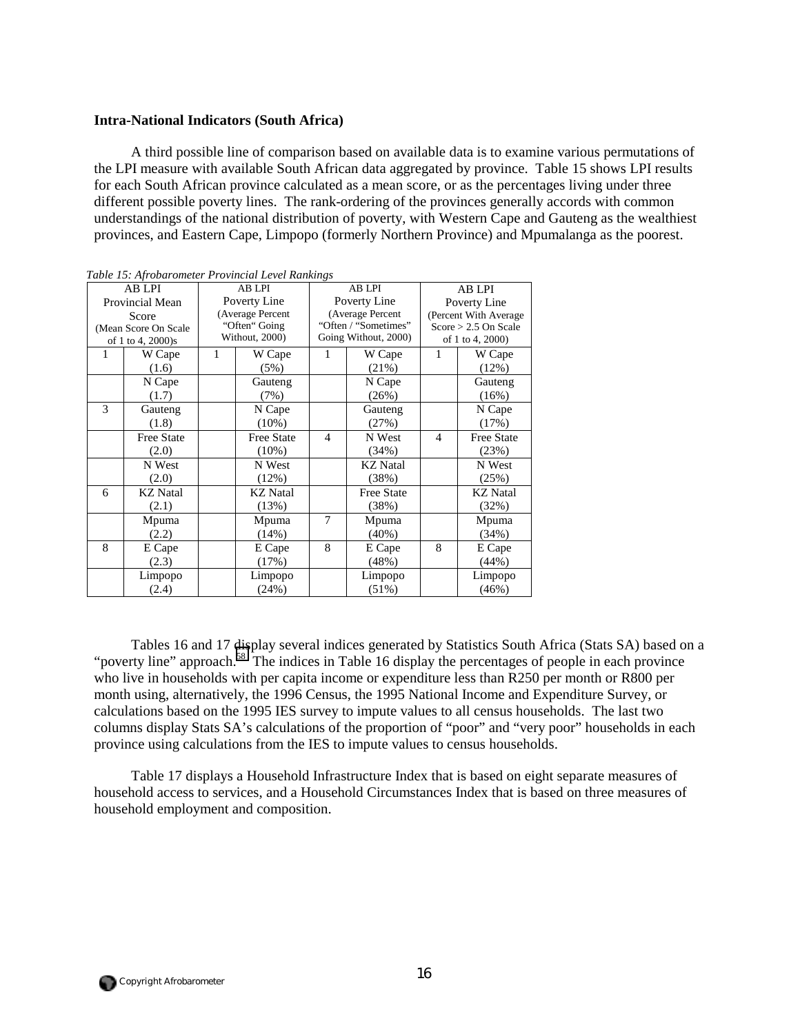### **Intra-National Indicators (South Africa)**

A third possible line of comparison based on available data is to examine various permutations of the LPI measure with available South African data aggregated by province. Table 15 shows LPI results for each South African province calculated as a mean score, or as the percentages living under three different possible poverty lines. The rank-ordering of the provinces generally accords with common understandings of the national distribution of poverty, with Western Cape and Gauteng as the wealthiest provinces, and Eastern Cape, Limpopo (formerly Northern Province) and Mpumalanga as the poorest.

|                   | AB LPI                | <b>AB LPI</b> |                   |                          | <b>AB LPI</b>        | <b>AB LPI</b>          |                   |  |
|-------------------|-----------------------|---------------|-------------------|--------------------------|----------------------|------------------------|-------------------|--|
|                   | Provincial Mean       |               | Poverty Line      |                          | Poverty Line         |                        | Poverty Line      |  |
|                   | Score                 |               | (Average Percent  | (Average Percent         |                      | (Percent With Average  |                   |  |
|                   | (Mean Score On Scale) |               | "Often" Going     |                          | "Often / "Sometimes" | $Score > 2.5$ On Scale |                   |  |
| of 1 to 4, 2000)s |                       |               | Without, 2000)    |                          | Going Without, 2000) | of 1 to 4, 2000)       |                   |  |
| 1                 | W Cape                | 1             | W Cape            | 1                        | W Cape               |                        | W Cape            |  |
|                   | (1.6)                 |               | (5%)              |                          | (21%)                |                        | (12%)             |  |
|                   | N Cape                |               | Gauteng           |                          | N Cape               |                        | Gauteng           |  |
|                   | (1.7)                 |               | (7%)              |                          | (26%)                |                        | (16%)             |  |
| 3                 | Gauteng               |               | N Cape            |                          | Gauteng              |                        | N Cape            |  |
|                   | (1.8)                 |               | $(10\%)$          |                          | (27%)                |                        | (17%)             |  |
|                   | <b>Free State</b>     |               | <b>Free State</b> | $\overline{\mathcal{A}}$ | N West               | $\overline{4}$         | <b>Free State</b> |  |
|                   | (2.0)                 |               | $(10\%)$          |                          | (34%)                |                        | (23%)             |  |
|                   | N West                |               | N West            | <b>KZ</b> Natal          |                      |                        | N West            |  |
|                   | (2.0)                 |               | $(12\%)$          |                          | (38%)                |                        | (25%)             |  |
| 6                 | <b>KZ</b> Natal       |               | <b>KZ</b> Natal   | <b>Free State</b>        |                      |                        | <b>KZ</b> Natal   |  |
|                   | (2.1)                 |               | (13%)             |                          | (38%)                |                        | (32%)             |  |
|                   | Mpuma                 |               | Mpuma             | 7                        | Mpuma                |                        | Mpuma             |  |
|                   | (2.2)                 |               | (14%)             |                          | $(40\%)$             |                        | (34%)             |  |
| 8                 | E Cape                |               | E Cape            | 8                        | E Cape               | 8                      | E Cape            |  |
|                   | (2.3)                 |               | (17%)             |                          | (48%)                |                        | (44%)             |  |
|                   | Limpopo               | Limpopo       |                   | Limpopo                  |                      |                        | Limpopo           |  |
|                   | (2.4)                 |               | (24%)             |                          | $(51\%)$             |                        | (46%)             |  |

*Table 15: Afrobarometer Provincial Level Rankings* 

Tables 16 and 17 display several indices generated by Statistics South Africa (Stats SA) based on a "poverty line" approach.<sup>58</sup> The indices in Table 16 display the percentages of people in each province who live in households with per capita income or expenditure less than R250 per month or R800 per month using, alternatively, the 1996 Census, the 1995 National Income and Expenditure Survey, or calculations based on the 1995 IES survey to impute values to all census households. The last two columns display Stats SA's calculations of the proportion of "poor" and "very poor" households in each province using calculations from the IES to impute values to census households.

Table 17 displays a Household Infrastructure Index that is based on eight separate measures of household access to services, and a Household Circumstances Index that is based on three measures of household employment and composition.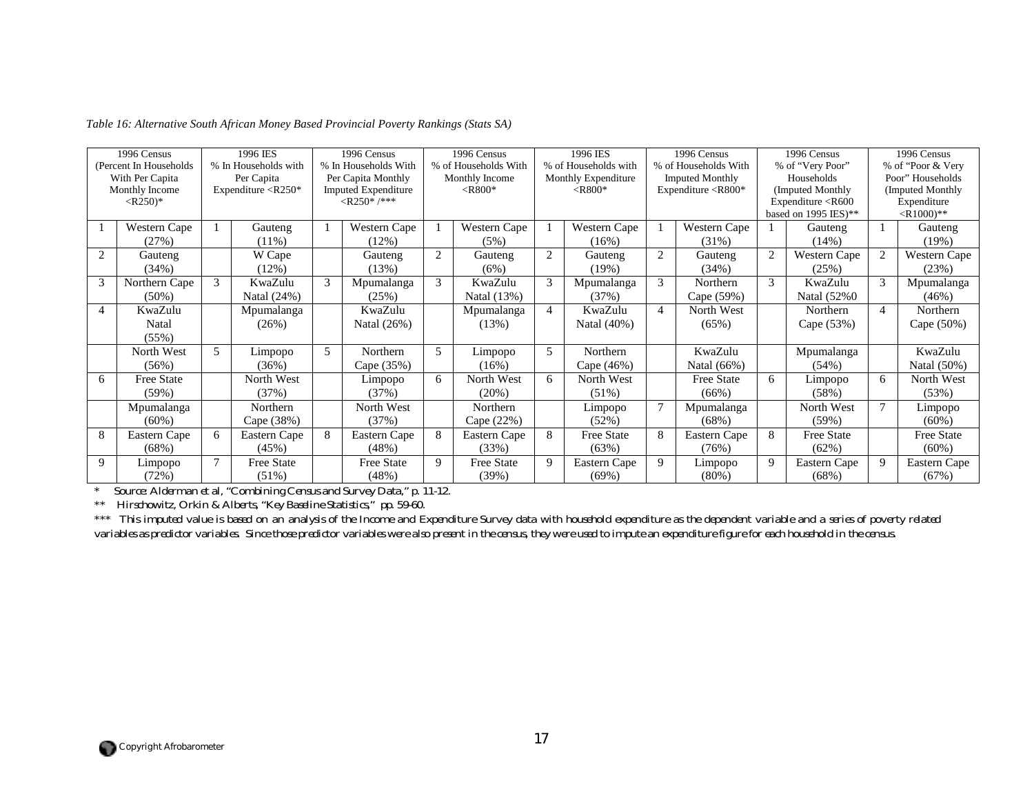|                | 1996 Census             |               | 1996 IES                    |   | 1996 Census                |             | 1996 Census          |                | 1996 IES             |                | 1996 Census                 | 1996 Census    |                                                                   | 1996 Census                 |                    |  |
|----------------|-------------------------|---------------|-----------------------------|---|----------------------------|-------------|----------------------|----------------|----------------------|----------------|-----------------------------|----------------|-------------------------------------------------------------------|-----------------------------|--------------------|--|
|                | (Percent In Households) |               | % In Households with        |   | % In Households With       |             | % of Households With |                | % of Households with |                | % of Households With        |                | % of "Very Poor"                                                  |                             | % of "Poor & Very" |  |
|                | With Per Capita         |               | Per Capita                  |   | Per Capita Monthly         |             | Monthly Income       |                | Monthly Expenditure  |                | <b>Imputed Monthly</b>      |                | Households                                                        |                             | Poor" Households   |  |
|                | Monthly Income          |               | Expenditure $\langle R250*$ |   | <b>Imputed Expenditure</b> |             | $<$ R800*            |                | $<$ R800*            |                | Expenditure $\langle R800*$ |                | (Imputed Monthly                                                  |                             | (Imputed Monthly)  |  |
|                | $<$ R250)*              |               |                             |   | $<$ R250*/***              |             |                      |                |                      |                |                             |                | Expenditure <r600< td=""><td colspan="2">Expenditure</td></r600<> |                             | Expenditure        |  |
|                |                         |               |                             |   |                            |             |                      |                |                      |                |                             |                | based on 1995 IES)**                                              | $\langle R1000\rangle^{**}$ |                    |  |
|                | Western Cape            |               | Gauteng                     |   | <b>Western Cape</b>        |             | Western Cape         |                | Western Cape         |                | Western Cape                |                | Gauteng                                                           |                             | Gauteng            |  |
|                | (27%)                   |               | $(11\%)$                    |   | $(12\%)$                   |             | (5%)                 |                | (16%)                |                | $(31\%)$                    |                | (14%)                                                             |                             | (19%)              |  |
| $\overline{c}$ | Gauteng                 |               | W Cape                      |   | Gauteng                    | 2           | Gauteng              | $\overline{2}$ | Gauteng              | 2              | Gauteng                     | $\overline{c}$ | Western Cape                                                      |                             | Western Cape       |  |
|                | (34%)                   |               | (12%)                       |   | (13%)                      |             | (6%)                 |                | (19%)                |                | (34%)                       |                | (25%)                                                             |                             | (23%)              |  |
| 3              | Northern Cape           | $\mathcal{F}$ | KwaZulu                     | 3 | Mpumalanga                 | 3           | KwaZulu              | 3              | Mpumalanga           | 3              | Northern                    | 3              | KwaZulu                                                           | 3                           | Mpumalanga         |  |
|                | $(50\%)$                |               | Natal (24%)                 |   | (25%)                      |             | Natal (13%)          |                | (37%)                |                | Cape (59%)                  |                | Natal (52%0)                                                      |                             | (46%)              |  |
| 4              | KwaZulu                 |               | Mpumalanga                  |   | KwaZulu                    |             | Mpumalanga           |                | KwaZulu              | $\overline{4}$ | North West                  |                | Northern                                                          | $\overline{\mathcal{A}}$    | Northern           |  |
|                | Natal                   |               | (26%)                       |   | Natal (26%)                |             | (13%)                |                | Natal (40%)          |                | $(65\%)$                    |                | Cape (53%)                                                        |                             | Cape (50%)         |  |
|                | (55%)                   |               |                             |   |                            |             |                      |                |                      |                |                             |                |                                                                   |                             |                    |  |
|                | North West              | 5             | Limpopo                     | 5 | Northern                   | 5           | Limpopo              | $\overline{5}$ | Northern             |                | KwaZulu                     |                | Mpumalanga                                                        |                             | KwaZulu            |  |
|                | (56%)                   |               | (36%)                       |   | Cape (35%)                 |             | (16%)                |                | Cape (46%)           |                | Natal (66%)                 |                | (54%)                                                             |                             | Natal (50%)        |  |
| 6              | <b>Free State</b>       |               | North West                  |   | Limpopo                    | 6           | North West           | 6              | North West           |                | <b>Free State</b>           | 6              | Limpopo                                                           | 6                           | North West         |  |
|                | (59%)                   |               | (37%)                       |   | (37%)                      |             | $(20\%)$             |                | $(51\%)$             |                | $(66\%)$                    |                | (58%)                                                             |                             | (53%)              |  |
|                | Mpumalanga              |               | Northern                    |   | North West                 |             | Northern             |                | Limpopo              |                | Mpumalanga                  |                | North West                                                        | 7                           | Limpopo            |  |
|                | $(60\%)$                |               | Cape (38%)                  |   | (37%)                      |             | Cape (22%)           |                | (52%)                |                | $(68\%)$                    |                | (59%)                                                             |                             | $(60\%)$           |  |
| 8              | Eastern Cape            | 6             | Eastern Cape                | 8 | Eastern Cape               | 8           | Eastern Cape         | 8              | <b>Free State</b>    | 8              | Eastern Cape                | 8              | Free State                                                        |                             | <b>Free State</b>  |  |
|                | (68%)                   |               | (45%)                       |   | (48%)                      |             | (33%)                |                | (63%)                |                | (76%)                       |                | (62%)                                                             |                             | $(60\%)$           |  |
| 9              | Limpopo                 |               | <b>Free State</b>           |   | Free State                 | $\mathbf Q$ | <b>Free State</b>    | 9              | Eastern Cape         | 9              | Limpopo                     | 9              | Eastern Cape                                                      | 9                           | Eastern Cape       |  |
|                | (72%)                   |               | $(51\%)$                    |   | (48%)                      |             | (39%)                |                | $(69\%)$             |                | $(80\%)$                    |                | (68%)                                                             |                             | (67%)              |  |

*Table 16: Alternative South African Money Based Provincial Poverty Rankings (Stats SA)* 

*\* Source: Alderman et al, "Combining Census and Survey Data," p. 11-12.* 

*\*\* Hirschowitz, Orkin & Alberts, "Key Baseline Statistics," pp. 59-60.* 

*\*\*\* This imputed value is based on an analysis of the Income and Expenditure Survey data with household expenditure as the dependent variable and a series of poverty related variables as predictor variables. Since those predictor variables were also present in the census, they were used to impute an expenditure figure for each household in the census.*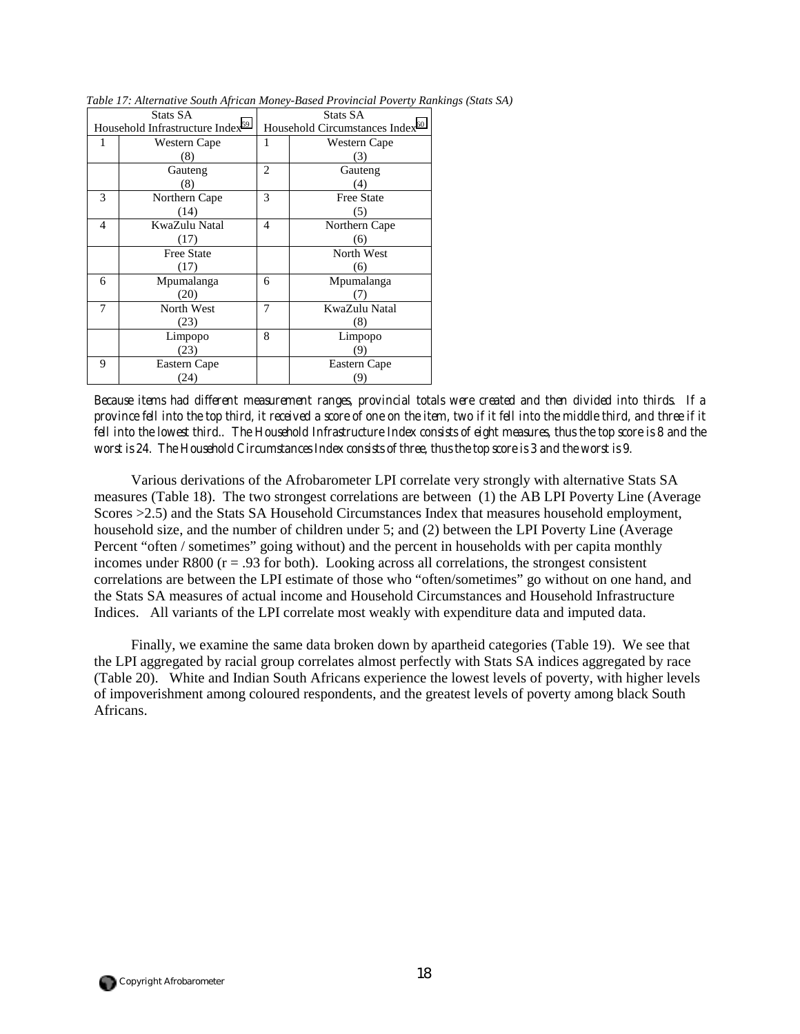|   | Stats SA                                     |                | Stats SA                                    |
|---|----------------------------------------------|----------------|---------------------------------------------|
|   | Household Infrastructure Index <sup>59</sup> |                | Household Circumstances Index <sup>60</sup> |
|   | Western Cape                                 | 1              | Western Cape                                |
|   | (8)                                          |                | (3)                                         |
|   | Gauteng                                      | 2              | Gauteng                                     |
|   | (8)                                          |                | (4)                                         |
| 3 | Northern Cape                                | 3              | <b>Free State</b>                           |
|   | (14)                                         |                | (5)                                         |
| 4 | KwaZulu Natal                                | $\overline{4}$ | Northern Cape                               |
|   | (17)                                         |                | (6)                                         |
|   | <b>Free State</b>                            |                | North West                                  |
|   | (17)                                         |                | (6)                                         |
| 6 | Mpumalanga                                   | 6              | Mpumalanga                                  |
|   | (20)                                         |                |                                             |
| 7 | North West                                   | 7              | KwaZulu Natal                               |
|   | (23)                                         |                | (8)                                         |
|   | Limpopo                                      | 8              | Limpopo                                     |
|   | (23)                                         |                | (9)                                         |
| 9 | Eastern Cape                                 |                | Eastern Cape                                |
|   | (24)                                         |                | (9)                                         |

*Table 17: Alternative South African Money-Based Provincial Poverty Rankings (Stats SA)* 

*Because items had different measurement ranges, provincial totals were created and then divided into thirds. If a province fell into the top third, it received a score of one on the item, two if it fell into the middle third, and three if it fell into the lowest third.. The Household Infrastructure Index consists of eight measures, thus the top score is 8 and the worst is 24. The Household Circumstances Index consists of three, thus the top score is 3 and the worst is 9.*

Various derivations of the Afrobarometer LPI correlate very strongly with alternative Stats SA measures (Table 18). The two strongest correlations are between (1) the AB LPI Poverty Line (Average Scores >2.5) and the Stats SA Household Circumstances Index that measures household employment, household size, and the number of children under 5; and (2) between the LPI Poverty Line (Average Percent "often / sometimes" going without) and the percent in households with per capita monthly incomes under R800 ( $r = .93$  for both). Looking across all correlations, the strongest consistent correlations are between the LPI estimate of those who "often/sometimes" go without on one hand, and the Stats SA measures of actual income and Household Circumstances and Household Infrastructure Indices. All variants of the LPI correlate most weakly with expenditure data and imputed data.

Finally, we examine the same data broken down by apartheid categories (Table 19). We see that the LPI aggregated by racial group correlates almost perfectly with Stats SA indices aggregated by race (Table 20). White and Indian South Africans experience the lowest levels of poverty, with higher levels of impoverishment among coloured respondents, and the greatest levels of poverty among black South Africans.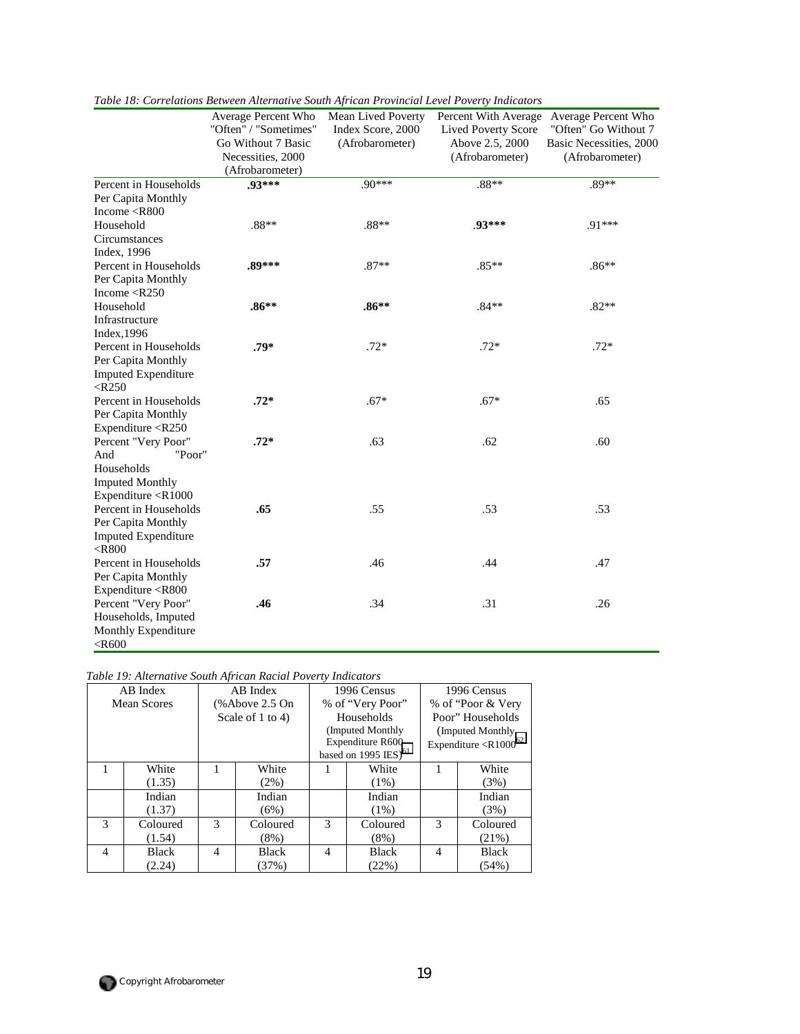|                                                                         | Average Percent Who   | Mean Lived Poverty | Percent With Average       | Average Percent Who     |
|-------------------------------------------------------------------------|-----------------------|--------------------|----------------------------|-------------------------|
|                                                                         | "Often" / "Sometimes" | Index Score, 2000  | <b>Lived Poverty Score</b> | "Often" Go Without 7    |
|                                                                         | Go Without 7 Basic    | (Afrobarometer)    | Above 2.5, 2000            | Basic Necessities, 2000 |
|                                                                         | Necessities, 2000     |                    | (Afrobarometer)            | (Afrobarometer)         |
|                                                                         | (Afrobarometer)       |                    |                            |                         |
| Percent in Households                                                   | .93***                | $.90***$           | $.88**$                    | $.89**$                 |
| Per Capita Monthly                                                      |                       |                    |                            |                         |
| Income $\langle$ R800                                                   |                       |                    |                            |                         |
| Household                                                               | $.88**$               | $.88**$            | .93***                     | .91***                  |
| Circumstances                                                           |                       |                    |                            |                         |
| Index, 1996                                                             |                       |                    |                            |                         |
| Percent in Households                                                   | .89***                | $.87**$            | $.85**$                    | $.86**$                 |
| Per Capita Monthly                                                      |                       |                    |                            |                         |
| Income $\langle R250$                                                   |                       |                    |                            |                         |
| Household                                                               | $.86**$               | $.86**$            | $.84**$                    | $.82**$                 |
| Infrastructure                                                          |                       |                    |                            |                         |
| Index, 1996                                                             |                       |                    |                            |                         |
| Percent in Households                                                   | $.79*$                | $.72*$             | $.72*$                     | $.72*$                  |
| Per Capita Monthly                                                      |                       |                    |                            |                         |
| <b>Imputed Expenditure</b>                                              |                       |                    |                            |                         |
| $<$ R250                                                                |                       |                    |                            |                         |
| Percent in Households                                                   | $.72*$                | $.67*$             | $.67*$                     | .65                     |
| Per Capita Monthly                                                      |                       |                    |                            |                         |
| Expenditure <r250< td=""><td></td><td></td><td></td><td></td></r250<>   |                       |                    |                            |                         |
| Percent "Very Poor"                                                     | $.72*$                | .63                | .62                        | .60                     |
| "Poor"<br>And                                                           |                       |                    |                            |                         |
| Households                                                              |                       |                    |                            |                         |
| <b>Imputed Monthly</b>                                                  |                       |                    |                            |                         |
| Expenditure <r1000< td=""><td></td><td></td><td></td><td></td></r1000<> |                       |                    |                            |                         |
| Percent in Households                                                   | .65                   | .55                | .53                        | .53                     |
| Per Capita Monthly                                                      |                       |                    |                            |                         |
| <b>Imputed Expenditure</b>                                              |                       |                    |                            |                         |
| $<$ R800                                                                |                       |                    |                            |                         |
| Percent in Households                                                   | .57                   | .46                | .44                        | .47                     |
| Per Capita Monthly                                                      |                       |                    |                            |                         |
| Expenditure <r800< td=""><td></td><td></td><td></td><td></td></r800<>   |                       |                    |                            |                         |
| Percent "Very Poor"                                                     | .46                   | .34                | .31                        | .26                     |
| Households, Imputed                                                     |                       |                    |                            |                         |
| Monthly Expenditure                                                     |                       |                    |                            |                         |
| $<$ R600                                                                |                       |                    |                            |                         |

|  | Table 18: Correlations Between Alternative South African Provincial Level Poverty Indicators |  |  |  |  |  |
|--|----------------------------------------------------------------------------------------------|--|--|--|--|--|
|  |                                                                                              |  |  |  |  |  |

*Table 19: Alternative South African Racial Poverty Indicators* 

|                | AB Index     |                  | AB Index |                            | 1996 Census      |                    | 1996 Census                              |  |
|----------------|--------------|------------------|----------|----------------------------|------------------|--------------------|------------------------------------------|--|
|                | Mean Scores  | (%Above 2.5 On   |          | % of "Very Poor"           |                  | % of "Poor & Very" |                                          |  |
|                |              | Scale of 1 to 4) |          |                            | Households       | Poor" Households   |                                          |  |
|                |              |                  |          |                            | (Imputed Monthly |                    | (Imputed Monthly)                        |  |
|                |              |                  |          |                            | Expenditure R600 |                    | Expenditure $\langle R1000^{62} \rangle$ |  |
|                |              |                  |          | based on 1995 IES) $^{61}$ |                  |                    |                                          |  |
|                | White        |                  | White    | White                      |                  |                    | White                                    |  |
|                | (1.35)       |                  | (2%)     |                            | $(1\%)$          |                    | (3%)                                     |  |
|                | Indian       |                  | Indian   |                            | Indian           |                    | Indian                                   |  |
|                | (1.37)       |                  | (6%)     |                            | $(1\%)$          |                    | (3%)                                     |  |
| $\mathcal{F}$  | Coloured     | 3                | Coloured | 3                          | Coloured         | 3                  | Coloured                                 |  |
|                | (1.54)       |                  | (8%)     |                            | $(8\%)$          |                    | $(21\%)$                                 |  |
| $\overline{4}$ | <b>Black</b> | Black<br>4       |          | 4<br>Black                 |                  | 4                  | <b>Black</b>                             |  |
|                | (2.24)       |                  | (37%)    |                            | (22%)            |                    | (54%)                                    |  |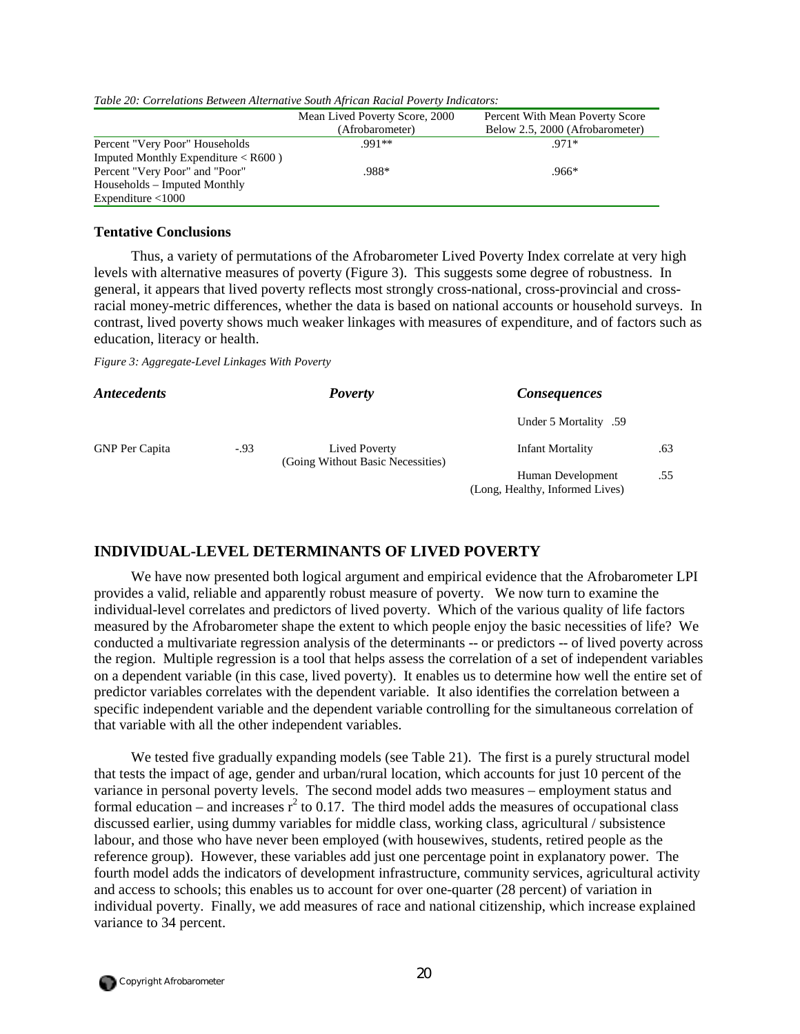|                                                    | Mean Lived Poverty Score, 2000<br>(Afrobarometer) | Percent With Mean Poverty Score<br>Below 2.5, 2000 (Afrobarometer) |
|----------------------------------------------------|---------------------------------------------------|--------------------------------------------------------------------|
| Percent "Very Poor" Households                     | $.991**$                                          | $.971*$                                                            |
| Imputed Monthly Expenditure $\langle R600 \rangle$ |                                                   |                                                                    |
| Percent "Very Poor" and "Poor"                     | .988*                                             | .966*                                                              |
| Households – Imputed Monthly                       |                                                   |                                                                    |
| Expenditure $\leq 1000$                            |                                                   |                                                                    |

*Table 20: Correlations Between Alternative South African Racial Poverty Indicators:* 

#### **Tentative Conclusions**

Thus, a variety of permutations of the Afrobarometer Lived Poverty Index correlate at very high levels with alternative measures of poverty (Figure 3). This suggests some degree of robustness. In general, it appears that lived poverty reflects most strongly cross-national, cross-provincial and crossracial money-metric differences, whether the data is based on national accounts or household surveys. In contrast, lived poverty shows much weaker linkages with measures of expenditure, and of factors such as education, literacy or health.

*Figure 3: Aggregate-Level Linkages With Poverty* 

| <i><b>Antecedents</b></i> |        | <b>Poverty</b>                                     | <b>Consequences</b>                                  |     |
|---------------------------|--------|----------------------------------------------------|------------------------------------------------------|-----|
|                           |        |                                                    | 59. Under 5 Mortality                                |     |
| <b>GNP</b> Per Capita     | $-.93$ | Lived Poverty<br>(Going Without Basic Necessities) | <b>Infant Mortality</b>                              | .63 |
|                           |        |                                                    | Human Development<br>(Long, Healthy, Informed Lives) | .55 |

## **INDIVIDUAL-LEVEL DETERMINANTS OF LIVED POVERTY**

We have now presented both logical argument and empirical evidence that the Afrobarometer LPI provides a valid, reliable and apparently robust measure of poverty. We now turn to examine the individual-level correlates and predictors of lived poverty. Which of the various quality of life factors measured by the Afrobarometer shape the extent to which people enjoy the basic necessities of life? We conducted a multivariate regression analysis of the determinants -- or predictors -- of lived poverty across the region. Multiple regression is a tool that helps assess the correlation of a set of independent variables on a dependent variable (in this case, lived poverty). It enables us to determine how well the entire set of predictor variables correlates with the dependent variable. It also identifies the correlation between a specific independent variable and the dependent variable controlling for the simultaneous correlation of that variable with all the other independent variables.

We tested five gradually expanding models (see Table 21). The first is a purely structural model that tests the impact of age, gender and urban/rural location, which accounts for just 10 percent of the variance in personal poverty levels. The second model adds two measures – employment status and formal education – and increases  $r^2$  to 0.17. The third model adds the measures of occupational class discussed earlier, using dummy variables for middle class, working class, agricultural / subsistence labour, and those who have never been employed (with housewives, students, retired people as the reference group). However, these variables add just one percentage point in explanatory power. The fourth model adds the indicators of development infrastructure, community services, agricultural activity and access to schools; this enables us to account for over one-quarter (28 percent) of variation in individual poverty. Finally, we add measures of race and national citizenship, which increase explained variance to 34 percent.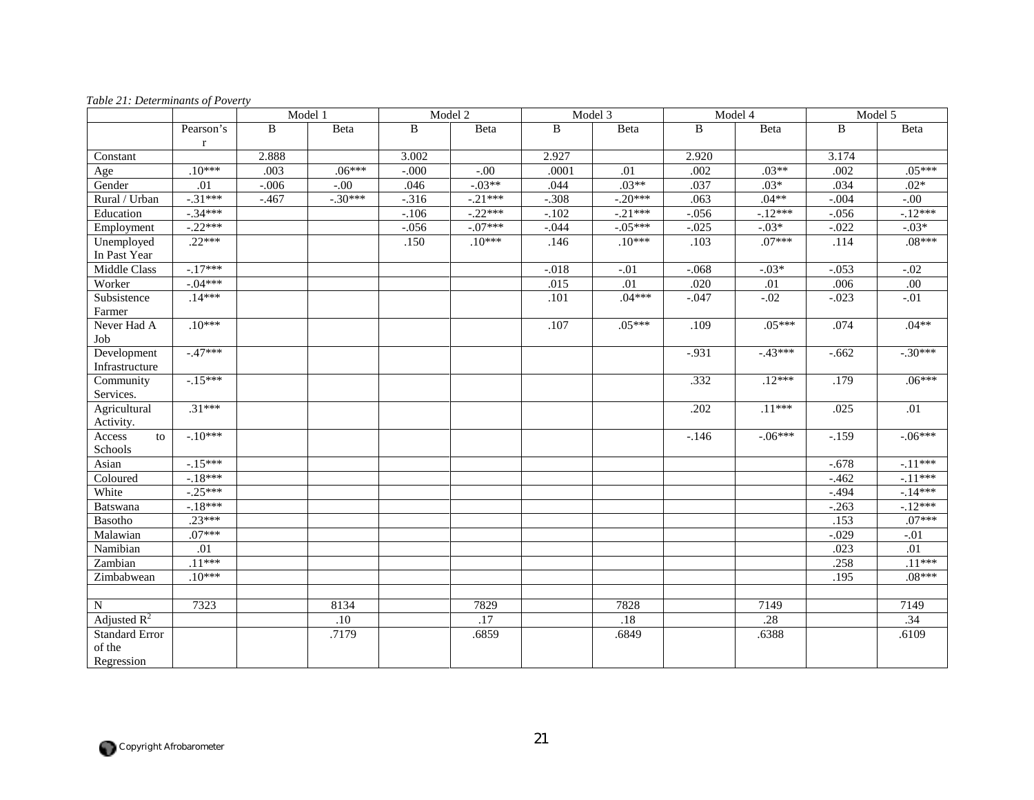|                       |             |         | Model 1   |          | Model 2   |         | Model 3   |          | Model 4   |          | Model 5   |
|-----------------------|-------------|---------|-----------|----------|-----------|---------|-----------|----------|-----------|----------|-----------|
|                       | Pearson's   | B       | Beta      | B        | Beta      | B       | Beta      | B        | Beta      | B        | Beta      |
|                       | $\mathbf r$ |         |           |          |           |         |           |          |           |          |           |
| Constant              |             | 2.888   |           | 3.002    |           | 2.927   |           | 2.920    |           | 3.174    |           |
| Age                   | $.10***$    | .003    | $.06***$  | $-.000$  | $-.00$    | .0001   | .01       | .002     | $.03**$   | .002     | $.05***$  |
| Gender                | .01         | $-.006$ | $-.00$    | .046     | $-.03**$  | .044    | $.03**$   | .037     | $.03*$    | .034     | $.02*$    |
| Rural / Urban         | $-.31***$   | $-.467$ | $-.30***$ | $-316$   | $-.21***$ | $-.308$ | $-.20***$ | .063     | $.04**$   | $-.004$  | $-.00$    |
| Education             | $-.34***$   |         |           | $-.106$  | $-.22***$ | $-.102$ | $-.21***$ | $-.056$  | $-.12***$ | $-.056$  | $-.12***$ |
| Employment            | $-.22***$   |         |           | $-0.056$ | $-.07***$ | $-.044$ | $-.05***$ | $-.025$  | $-03*$    | $-.022$  | $-.03*$   |
| Unemployed            | $.22***$    |         |           | .150     | $.10***$  | .146    | $.10***$  | .103     | $.07***$  | .114     | $.08***$  |
| In Past Year          |             |         |           |          |           |         |           |          |           |          |           |
| Middle Class          | $-17***$    |         |           |          |           | $-.018$ | $-.01$    | $-.068$  | $-.03*$   | $-.053$  | $-0.02$   |
| Worker                | $-.04***$   |         |           |          |           | .015    | .01       | .020     | .01       | .006     | $.00\,$   |
| Subsistence           | $.14***$    |         |           |          |           | .101    | $.04***$  | $-0.047$ | $-02$     | $-0.023$ | $-.01$    |
| Farmer                |             |         |           |          |           |         |           |          |           |          |           |
| Never Had A           | $.10***$    |         |           |          |           | .107    | $.05***$  | .109     | $.05***$  | .074     | $.04**$   |
| Job                   |             |         |           |          |           |         |           |          |           |          |           |
| Development           | $-47***$    |         |           |          |           |         |           | $-0.931$ | $-43***$  | $-0.662$ | $-.30***$ |
| Infrastructure        |             |         |           |          |           |         |           |          |           |          |           |
| Community             | $-.15***$   |         |           |          |           |         |           | .332     | $.12***$  | .179     | $.06***$  |
| Services.             |             |         |           |          |           |         |           |          |           |          |           |
| Agricultural          | $.31***$    |         |           |          |           |         |           | .202     | $.11***$  | .025     | .01       |
| Activity.             |             |         |           |          |           |         |           |          |           |          |           |
| Access<br>to          | $-10***$    |         |           |          |           |         |           | $-.146$  | $-.06***$ | $-.159$  | $-.06***$ |
| Schools               |             |         |           |          |           |         |           |          |           |          |           |
| Asian                 | $-.15***$   |         |           |          |           |         |           |          |           | $-.678$  | $-.11***$ |
| Coloured              | $-18***$    |         |           |          |           |         |           |          |           | $-.462$  | $-.11***$ |
| White                 | $-.25***$   |         |           |          |           |         |           |          |           | $-494$   | $-14***$  |
| <b>Batswana</b>       | $-18***$    |         |           |          |           |         |           |          |           | $-263$   | $-12***$  |
| Basotho               | $.23***$    |         |           |          |           |         |           |          |           | .153     | $.07***$  |
| Malawian              | $.07***$    |         |           |          |           |         |           |          |           | $-.029$  | $-.01$    |
| Namibian              | .01         |         |           |          |           |         |           |          |           | .023     | .01       |
| Zambian               | $.11***$    |         |           |          |           |         |           |          |           | .258     | $.11***$  |
| Zimbabwean            | $.10***$    |         |           |          |           |         |           |          |           | .195     | $.08***$  |
|                       |             |         |           |          |           |         |           |          |           |          |           |
| N                     | 7323        |         | 8134      |          | 7829      |         | 7828      |          | 7149      |          | 7149      |
| Adjusted $R^2$        |             |         | $.10\,$   |          | $.17\,$   |         | $.18\,$   |          | .28       |          | .34       |
| <b>Standard Error</b> |             |         | .7179     |          | .6859     |         | .6849     |          | .6388     |          | .6109     |
| of the                |             |         |           |          |           |         |           |          |           |          |           |
| Regression            |             |         |           |          |           |         |           |          |           |          |           |

#### *Table 21: Determinants of Poverty*

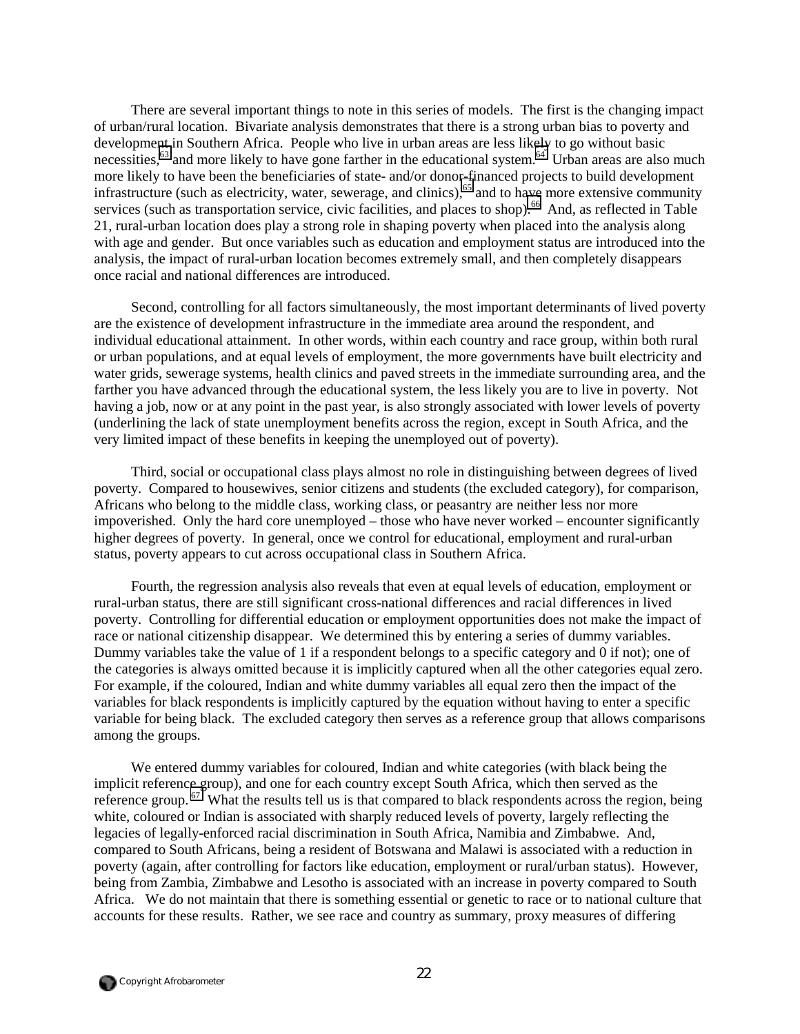There are several important things to note in this series of models. The first is the changing impact of urban/rural location. Bivariate analysis demonstrates that there is a strong urban bias to poverty and development in Southern Africa. People who live in urban areas are less likely to go without basic necessities,<sup>63</sup> and more likely to have gone farther in the educational system.<sup>64</sup> Urban areas are also much more likely to have been the beneficiaries of state- and/or donor-financed projects to build development infrastructure (such as electricity, water, sewerage, and clinics),<sup>65</sup> and to have more extensive community services (such as transportation service, civic facilities, and places to shop).<sup>66</sup> And, as reflected in Table 21, rural-urban location does play a strong role in shaping poverty when placed into the analysis along with age and gender. But once variables such as education and employment status are introduced into the analysis, the impact of rural-urban location becomes extremely small, and then completely disappears once racial and national differences are introduced.

Second, controlling for all factors simultaneously, the most important determinants of lived poverty are the existence of development infrastructure in the immediate area around the respondent, and individual educational attainment. In other words, within each country and race group, within both rural or urban populations, and at equal levels of employment, the more governments have built electricity and water grids, sewerage systems, health clinics and paved streets in the immediate surrounding area, and the farther you have advanced through the educational system, the less likely you are to live in poverty. Not having a job, now or at any point in the past year, is also strongly associated with lower levels of poverty (underlining the lack of state unemployment benefits across the region, except in South Africa, and the very limited impact of these benefits in keeping the unemployed out of poverty).

Third, social or occupational class plays almost no role in distinguishing between degrees of lived poverty. Compared to housewives, senior citizens and students (the excluded category), for comparison, Africans who belong to the middle class, working class, or peasantry are neither less nor more impoverished. Only the hard core unemployed – those who have never worked – encounter significantly higher degrees of poverty. In general, once we control for educational, employment and rural-urban status, poverty appears to cut across occupational class in Southern Africa.

Fourth, the regression analysis also reveals that even at equal levels of education, employment or rural-urban status, there are still significant cross-national differences and racial differences in lived poverty. Controlling for differential education or employment opportunities does not make the impact of race or national citizenship disappear. We determined this by entering a series of dummy variables. Dummy variables take the value of 1 if a respondent belongs to a specific category and 0 if not); one of the categories is always omitted because it is implicitly captured when all the other categories equal zero. For example, if the coloured, Indian and white dummy variables all equal zero then the impact of the variables for black respondents is implicitly captured by the equation without having to enter a specific variable for being black. The excluded category then serves as a reference group that allows comparisons among the groups.

We entered dummy variables for coloured, Indian and white categories (with black being the implicit reference group), and one for each country except South Africa, which then served as the reference group. <sup>67</sup> What the results tell us is that compared to black respondents across the region, being white, coloured or Indian is associated with sharply reduced levels of poverty, largely reflecting the legacies of legally-enforced racial discrimination in South Africa, Namibia and Zimbabwe. And, compared to South Africans, being a resident of Botswana and Malawi is associated with a reduction in poverty (again, after controlling for factors like education, employment or rural/urban status). However, being from Zambia, Zimbabwe and Lesotho is associated with an increase in poverty compared to South Africa. We do not maintain that there is something essential or genetic to race or to national culture that accounts for these results. Rather, we see race and country as summary, proxy measures of differing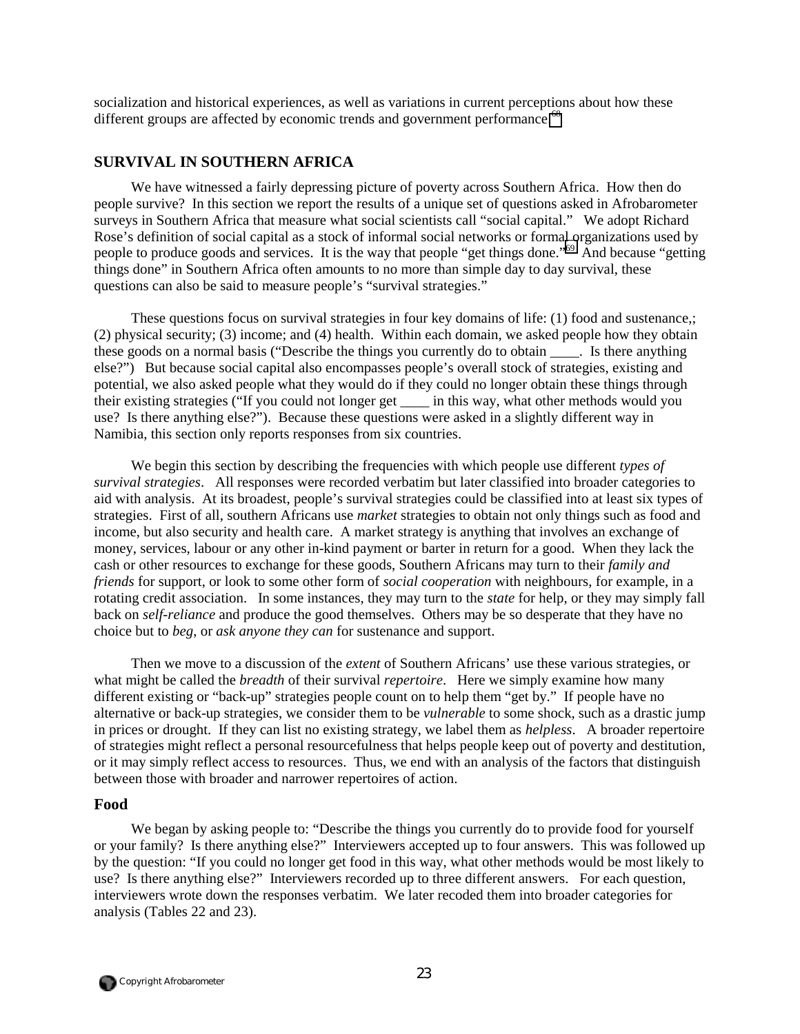socialization and historical experiences, as well as variations in current perceptions about how these different groups are affected by economic trends and government performance.<sup>68</sup>

## **SURVIVAL IN SOUTHERN AFRICA**

We have witnessed a fairly depressing picture of poverty across Southern Africa. How then do people survive? In this section we report the results of a unique set of questions asked in Afrobarometer surveys in Southern Africa that measure what social scientists call "social capital." We adopt Richard Rose's definition of social capital as a stock of informal social networks or formal organizations used by people to produce goods and services. It is the way that people "get things done."[69](#page-65-0) And because "getting things done" in Southern Africa often amounts to no more than simple day to day survival, these questions can also be said to measure people's "survival strategies."

These questions focus on survival strategies in four key domains of life: (1) food and sustenance,; (2) physical security; (3) income; and (4) health. Within each domain, we asked people how they obtain these goods on a normal basis ("Describe the things you currently do to obtain \_\_\_\_. Is there anything else?") But because social capital also encompasses people's overall stock of strategies, existing and potential, we also asked people what they would do if they could no longer obtain these things through their existing strategies ("If you could not longer get \_\_\_\_ in this way, what other methods would you use? Is there anything else?"). Because these questions were asked in a slightly different way in Namibia, this section only reports responses from six countries.

We begin this section by describing the frequencies with which people use different *types of survival strategies*. All responses were recorded verbatim but later classified into broader categories to aid with analysis. At its broadest, people's survival strategies could be classified into at least six types of strategies. First of all, southern Africans use *market* strategies to obtain not only things such as food and income, but also security and health care. A market strategy is anything that involves an exchange of money, services, labour or any other in-kind payment or barter in return for a good. When they lack the cash or other resources to exchange for these goods, Southern Africans may turn to their *family and friends* for support, or look to some other form of *social cooperation* with neighbours, for example, in a rotating credit association. In some instances, they may turn to the *state* for help, or they may simply fall back on *self-reliance* and produce the good themselves. Others may be so desperate that they have no choice but to *beg*, or *ask anyone they can* for sustenance and support.

Then we move to a discussion of the *extent* of Southern Africans' use these various strategies, or what might be called the *breadth* of their survival *repertoire*. Here we simply examine how many different existing or "back-up" strategies people count on to help them "get by." If people have no alternative or back-up strategies, we consider them to be *vulnerable* to some shock, such as a drastic jump in prices or drought. If they can list no existing strategy, we label them as *helpless*. A broader repertoire of strategies might reflect a personal resourcefulness that helps people keep out of poverty and destitution, or it may simply reflect access to resources. Thus, we end with an analysis of the factors that distinguish between those with broader and narrower repertoires of action.

## **Food**

We began by asking people to: "Describe the things you currently do to provide food for yourself or your family? Is there anything else?" Interviewers accepted up to four answers. This was followed up by the question: "If you could no longer get food in this way, what other methods would be most likely to use? Is there anything else?" Interviewers recorded up to three different answers. For each question, interviewers wrote down the responses verbatim. We later recoded them into broader categories for analysis (Tables 22 and 23).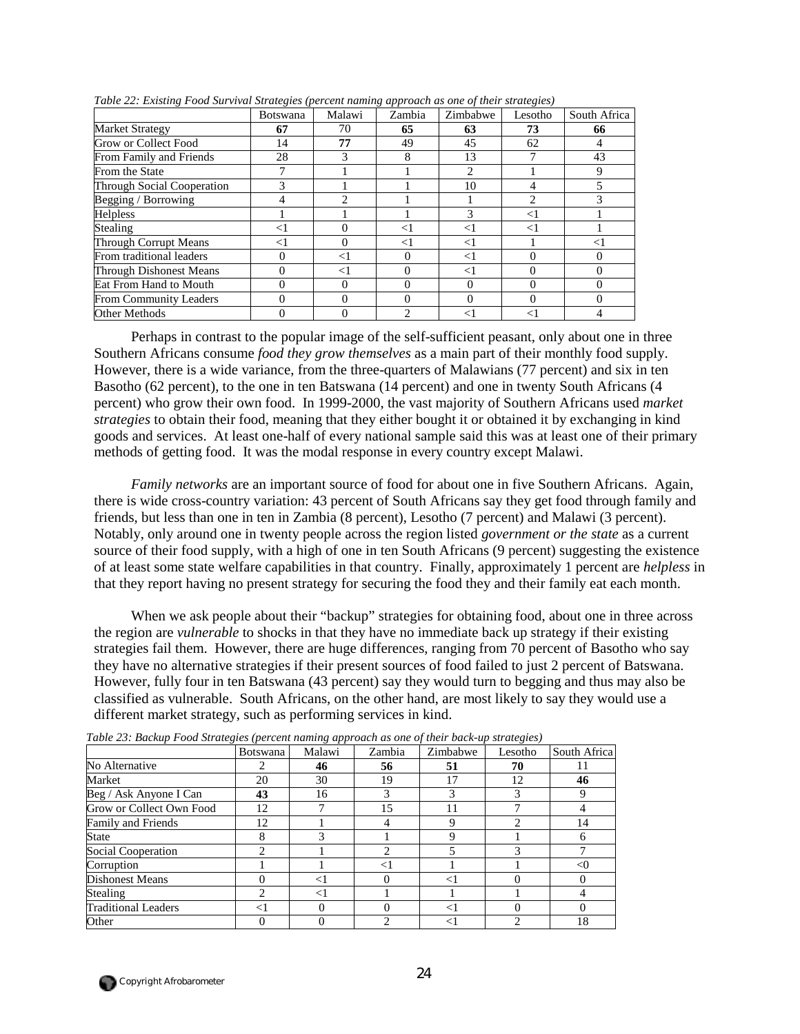|                               | <b>Botswana</b> | Malawi   | Zambia            | Zimbabwe | Lesotho | South Africa |
|-------------------------------|-----------------|----------|-------------------|----------|---------|--------------|
| <b>Market Strategy</b>        | 67              | 70       | 65                | 63       | 73      | 66           |
| Grow or Collect Food          | 14              | 77       | 49                | 45       | 62      | 4            |
| From Family and Friends       | 28              | 3        | 8                 | 13       |         | 43           |
| From the State                |                 |          |                   | 2        |         | 9            |
| Through Social Cooperation    |                 |          |                   | 10       | 4       |              |
| Begging / Borrowing           | 4               | 2        |                   |          |         |              |
| Helpless                      |                 |          |                   | 3        | $<$ 1   |              |
| <b>Stealing</b>               | $<$ l           | 0        | $<$ 1             | $<$ l    | <1      |              |
| Through Corrupt Means         | $<$ 1           | $\Omega$ | $<$ 1             | $<$ 1    |         | <1           |
| From traditional leaders      | 0               | $\leq$ 1 | $\mathbf{\Omega}$ | $<$ 1    |         | 0            |
| Through Dishonest Means       | 0               | $<$ 1    |                   | $<$ 1    |         | 0            |
| Eat From Hand to Mouth        | 0               | $\Omega$ | $\mathbf{\Omega}$ | 0        |         | 0            |
| <b>From Community Leaders</b> | 0               | $\Omega$ |                   | 0        |         | 0            |
| Other Methods                 | 0               | 0        |                   | $<$ 1    | <1      |              |

*Table 22: Existing Food Survival Strategies (percent naming approach as one of their strategies)* 

Perhaps in contrast to the popular image of the self-sufficient peasant, only about one in three Southern Africans consume *food they grow themselves* as a main part of their monthly food supply. However, there is a wide variance, from the three-quarters of Malawians (77 percent) and six in ten Basotho (62 percent), to the one in ten Batswana (14 percent) and one in twenty South Africans (4 percent) who grow their own food. In 1999-2000, the vast majority of Southern Africans used *market strategies* to obtain their food, meaning that they either bought it or obtained it by exchanging in kind goods and services. At least one-half of every national sample said this was at least one of their primary methods of getting food. It was the modal response in every country except Malawi.

*Family networks* are an important source of food for about one in five Southern Africans. Again, there is wide cross-country variation: 43 percent of South Africans say they get food through family and friends, but less than one in ten in Zambia (8 percent), Lesotho (7 percent) and Malawi (3 percent). Notably, only around one in twenty people across the region listed *government or the state* as a current source of their food supply, with a high of one in ten South Africans (9 percent) suggesting the existence of at least some state welfare capabilities in that country. Finally, approximately 1 percent are *helpless* in that they report having no present strategy for securing the food they and their family eat each month.

When we ask people about their "backup" strategies for obtaining food, about one in three across the region are *vulnerable* to shocks in that they have no immediate back up strategy if their existing strategies fail them. However, there are huge differences, ranging from 70 percent of Basotho who say they have no alternative strategies if their present sources of food failed to just 2 percent of Batswana. However, fully four in ten Batswana (43 percent) say they would turn to begging and thus may also be classified as vulnerable. South Africans, on the other hand, are most likely to say they would use a different market strategy, such as performing services in kind.

|                            | Botswana                      | Malawi | Zambia       | Zimbabwe | Lesotho | South Africa |
|----------------------------|-------------------------------|--------|--------------|----------|---------|--------------|
| No Alternative             |                               | 46     | 56           | 51       | 70      |              |
| Market                     | 20                            | 30     | 19           | 17       | 12      | 46           |
| Beg / Ask Anyone I Can     | 43                            | 16     | 3            |          |         | 9            |
| Grow or Collect Own Food   | 12                            |        | 15           | 11       |         |              |
| Family and Friends         | 12                            |        |              | Q        |         | 14           |
| State                      | 8                             |        |              | Q        |         | 6            |
| Social Cooperation         | $\mathfrak{D}_{\mathfrak{p}}$ |        | ↑            |          |         |              |
| Corruption                 |                               |        | $<$ 1        |          |         | <0           |
| <b>Dishonest Means</b>     |                               |        | 0            |          |         |              |
| Stealing                   | $\mathcal{D}_{\mathcal{A}}$   | ⊲      |              |          |         |              |
| <b>Traditional Leaders</b> | $\leq$                        |        | $\mathbf{0}$ | ✓        |         |              |
| Other                      |                               |        |              |          |         | 18           |

*Table 23: Backup Food Strategies (percent naming approach as one of their back-up strategies)* 

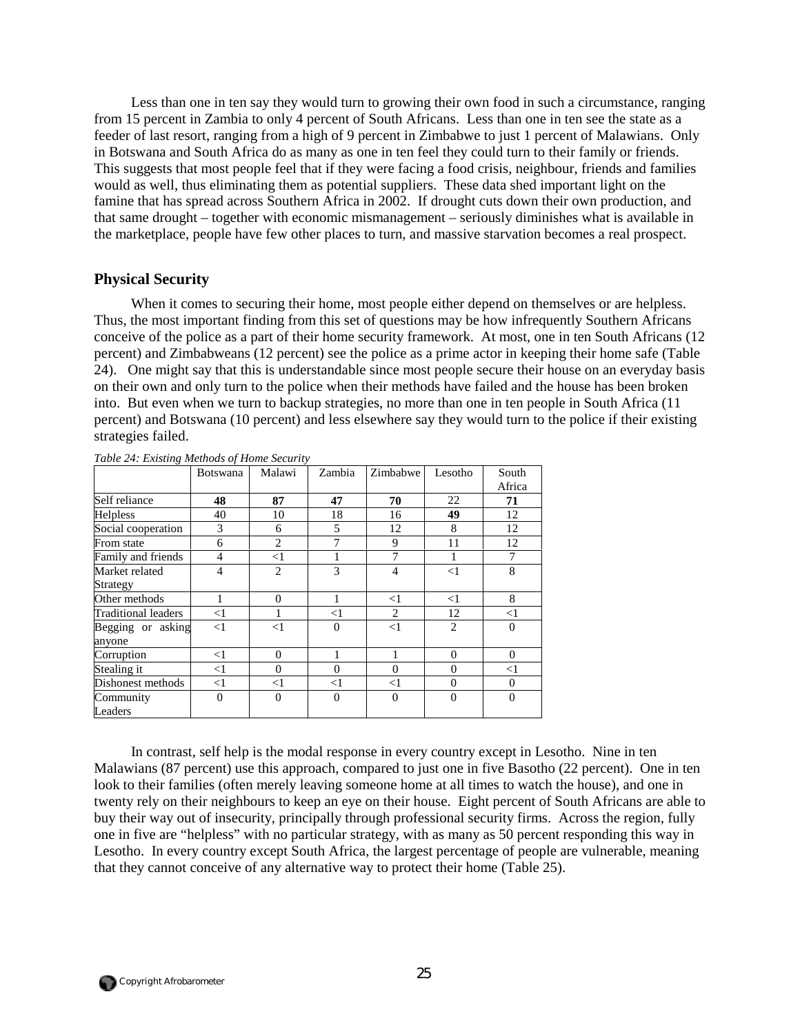Less than one in ten say they would turn to growing their own food in such a circumstance, ranging from 15 percent in Zambia to only 4 percent of South Africans. Less than one in ten see the state as a feeder of last resort, ranging from a high of 9 percent in Zimbabwe to just 1 percent of Malawians. Only in Botswana and South Africa do as many as one in ten feel they could turn to their family or friends. This suggests that most people feel that if they were facing a food crisis, neighbour, friends and families would as well, thus eliminating them as potential suppliers. These data shed important light on the famine that has spread across Southern Africa in 2002. If drought cuts down their own production, and that same drought – together with economic mismanagement – seriously diminishes what is available in the marketplace, people have few other places to turn, and massive starvation becomes a real prospect.

## **Physical Security**

When it comes to securing their home, most people either depend on themselves or are helpless. Thus, the most important finding from this set of questions may be how infrequently Southern Africans conceive of the police as a part of their home security framework. At most, one in ten South Africans (12 percent) and Zimbabweans (12 percent) see the police as a prime actor in keeping their home safe (Table 24). One might say that this is understandable since most people secure their house on an everyday basis on their own and only turn to the police when their methods have failed and the house has been broken into. But even when we turn to backup strategies, no more than one in ten people in South Africa (11 percent) and Botswana (10 percent) and less elsewhere say they would turn to the police if their existing strategies failed.

|                            | <b>Botswana</b> | Malawi         | Zambia         | Zimbabwe | Lesotho        | South        |
|----------------------------|-----------------|----------------|----------------|----------|----------------|--------------|
|                            |                 |                |                |          |                | Africa       |
| Self reliance              | 48              | 87             | 47             | 70       | 22             | 71           |
| <b>Helpless</b>            | 40              | 10             | 18             | 16       | 49             | 12           |
| Social cooperation         | 3               | 6              | 5              | 12       | 8              | 12           |
| From state                 | 6               | 2              | 7              | 9        | 11             | 12           |
| Family and friends         | 4               | $<$ 1          |                | 7        |                | 7            |
| Market related             | 4               | $\overline{2}$ | 3              | 4        | $<$ 1          | 8            |
| Strategy                   |                 |                |                |          |                |              |
| Other methods              |                 | $\Omega$       | 1              | $<$ 1    | $\leq$ 1       | 8            |
| <b>Traditional leaders</b> | <1              |                | $<$ 1          | 2        | 12             | $<$ 1        |
| Begging or asking          | $<$ 1           | $<$ 1          | $\overline{0}$ | $<$ 1    | $\overline{2}$ | $\Omega$     |
| anyone                     |                 |                |                |          |                |              |
| Corruption                 | $<$ 1           | $\Omega$       |                |          | $\overline{0}$ | $\mathbf{0}$ |
| Stealing it                | $<$ 1           | $\Omega$       | $\theta$       | $\theta$ | $\Omega$       | $<$ 1        |
| Dishonest methods          | $<$ 1           | $<$ 1          | $<$ 1          | $<$ 1    | $\Omega$       | $\Omega$     |
| Community                  | 0               | $\Omega$       | $\overline{0}$ | $\theta$ | $\Omega$       | $\theta$     |
| Leaders                    |                 |                |                |          |                |              |

*Table 24: Existing Methods of Home Security*

In contrast, self help is the modal response in every country except in Lesotho. Nine in ten Malawians (87 percent) use this approach, compared to just one in five Basotho (22 percent). One in ten look to their families (often merely leaving someone home at all times to watch the house), and one in twenty rely on their neighbours to keep an eye on their house. Eight percent of South Africans are able to buy their way out of insecurity, principally through professional security firms. Across the region, fully one in five are "helpless" with no particular strategy, with as many as 50 percent responding this way in Lesotho. In every country except South Africa, the largest percentage of people are vulnerable, meaning that they cannot conceive of any alternative way to protect their home (Table 25).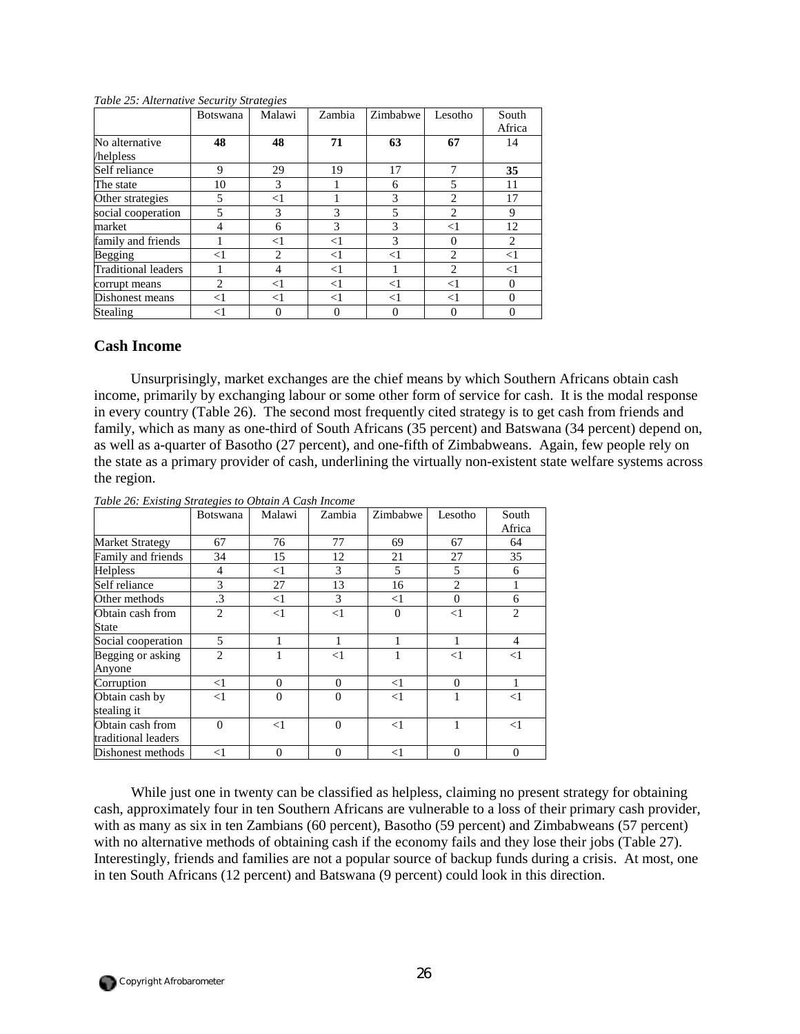|                            | <b>Botswana</b> | Malawi | Zambia   | Zimbabwe | Lesotho  | South<br>Africa |
|----------------------------|-----------------|--------|----------|----------|----------|-----------------|
| No alternative             | 48              | 48     | 71       | 63       | 67       | 14              |
| helpless                   |                 |        |          |          |          |                 |
| Self reliance              | 9               | 29     | 19       | 17       |          | 35              |
| The state                  | 10              | 3      |          | 6        | 5        | 11              |
| Other strategies           | 5               | $<$ 1  |          | 3        | 2        | 17              |
| social cooperation         |                 | 3      | 3        | 5        | 2        | 9               |
| market                     | 4               | 6      | 3        | 3        | $<$ 1    | 12              |
| family and friends         |                 | $<$ l  | $< \! 1$ | 3        | $\theta$ | 2               |
| <b>Begging</b>             | $<$ 1           | 2      | $<$ 1    | <1       | 2        | $<$ 1           |
| <b>Traditional leaders</b> |                 | 4      | $<$ $1$  |          | 2        | $< \! 1$        |
| corrupt means              | $\mathfrak{D}$  | $<$ 1  | $<$ 1    | $<$ $1$  | $<$ 1    | $\Omega$        |
| Dishonest means            | $<$ 1           | $<$ 1  | $<$ 1    | $<$ 1    | $<$ 1    | $\Omega$        |
| Stealing                   | $<$ 1           |        | 0        | $\theta$ | $\theta$ | $\theta$        |

#### *Table 25: Alternative Security Strategies*

## **Cash Income**

Unsurprisingly, market exchanges are the chief means by which Southern Africans obtain cash income, primarily by exchanging labour or some other form of service for cash. It is the modal response in every country (Table 26). The second most frequently cited strategy is to get cash from friends and family, which as many as one-third of South Africans (35 percent) and Batswana (34 percent) depend on, as well as a-quarter of Basotho (27 percent), and one-fifth of Zimbabweans. Again, few people rely on the state as a primary provider of cash, underlining the virtually non-existent state welfare systems across the region.

|                                         | <b>Botswana</b> | Malawi   | Zambia   | Zimbabwe       | Lesotho        | South<br>Africa |
|-----------------------------------------|-----------------|----------|----------|----------------|----------------|-----------------|
| <b>Market Strategy</b>                  | 67              | 76       | 77       | 69             | 67             | 64              |
| Family and friends                      | 34              | 15       | 12       | 21             | 27             | 35              |
| Helpless                                | 4               | <1       | 3        | 5              | 5              | 6               |
| Self reliance                           | 3               | 27       | 13       | 16             | $\overline{c}$ |                 |
| Other methods                           | $\cdot$ 3       | $<$ 1    | 3        | $<$ 1          | $\Omega$       | 6               |
| Obtain cash from                        | $\overline{2}$  | $<$ 1    | $\leq$ 1 | $\overline{0}$ | $<$ 1          | $\overline{2}$  |
| <b>State</b>                            |                 |          |          |                |                |                 |
| Social cooperation                      | 5               |          |          | 1              |                | $\overline{4}$  |
| Begging or asking<br>Anyone             | $\overline{2}$  |          | $<$ 1    |                | $<$ 1          | $<$ 1           |
| Corruption                              | $<$ 1           | $\Omega$ | $\Omega$ | $\leq$ 1       | $\Omega$       |                 |
| Obtain cash by<br>stealing it           | $<$ 1           | $\Omega$ | $\theta$ | $<$ 1          |                | $<$ 1           |
| Obtain cash from<br>traditional leaders | $\Omega$        | $<$ 1    | $\theta$ | $\leq$ 1       | 1              | $\leq$ 1        |
| Dishonest methods                       | $<$ 1           | $\Omega$ | $\Omega$ | $<$ 1          | $\Omega$       | $\Omega$        |

*Table 26: Existing Strategies to Obtain A Cash Income* 

While just one in twenty can be classified as helpless, claiming no present strategy for obtaining cash, approximately four in ten Southern Africans are vulnerable to a loss of their primary cash provider, with as many as six in ten Zambians (60 percent), Basotho (59 percent) and Zimbabweans (57 percent) with no alternative methods of obtaining cash if the economy fails and they lose their jobs (Table 27). Interestingly, friends and families are not a popular source of backup funds during a crisis. At most, one in ten South Africans (12 percent) and Batswana (9 percent) could look in this direction.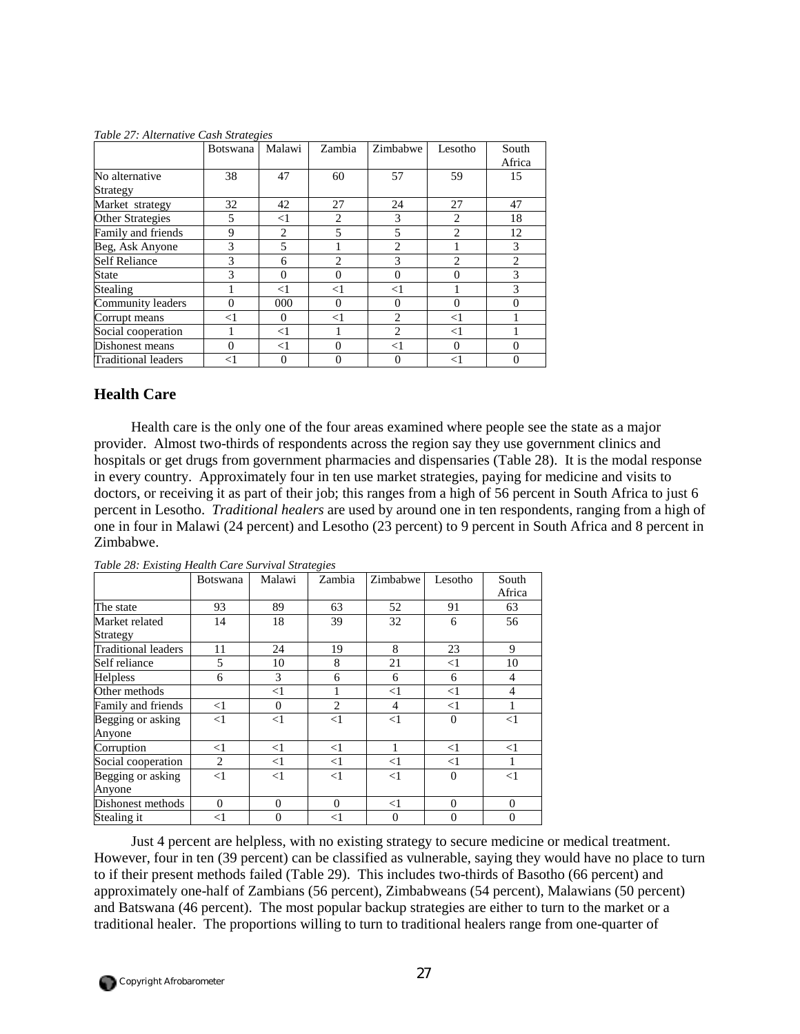|                            | <b>Botswana</b> | Malawi   | Zambia         | Zimbabwe       | Lesotho        | South<br>Africa |
|----------------------------|-----------------|----------|----------------|----------------|----------------|-----------------|
| No alternative<br>Strategy | 38              | 47       | 60             | 57             | 59             | 15              |
| Market strategy            | 32              | 42       | 27             | 24             | 27             | 47              |
| <b>Other Strategies</b>    | 5               | $\leq$ 1 | 2              | 3              | 2              | 18              |
| Family and friends         | 9               | 2        | 5              | 5              | $\overline{c}$ | 12              |
| Beg, Ask Anyone            | 3               | 5        |                | $\overline{2}$ |                | 3               |
| <b>Self Reliance</b>       | 3               | 6        | $\overline{c}$ | 3              | $\overline{c}$ | $\overline{2}$  |
| State                      | 3               | $\theta$ | $\Omega$       | $\Omega$       | $\theta$       | 3               |
| Stealing                   |                 | $<$ 1    | $<$ 1          | $<$ 1          |                | 3               |
| Community leaders          | $\Omega$        | 000      | $\Omega$       | $\Omega$       | $\Omega$       | $\Omega$        |
| Corrupt means              | $<$ 1           | 0        | $<$ $\!1$      | $\overline{2}$ | $<$ 1          |                 |
| Social cooperation         |                 | <1       |                | $\overline{c}$ | $<$ 1          |                 |
| Dishonest means            | $\Omega$        | $<$ 1    | $\Omega$       | $\leq$ 1       | $\Omega$       | $\Omega$        |
| Traditional leaders        | $<$ 1           | $\Omega$ | 0              | $\theta$       | $<$ $1$        | $\theta$        |

*Table 27: Alternative Cash Strategies* 

## **Health Care**

Health care is the only one of the four areas examined where people see the state as a major provider. Almost two-thirds of respondents across the region say they use government clinics and hospitals or get drugs from government pharmacies and dispensaries (Table 28). It is the modal response in every country. Approximately four in ten use market strategies, paying for medicine and visits to doctors, or receiving it as part of their job; this ranges from a high of 56 percent in South Africa to just 6 percent in Lesotho. *Traditional healers* are used by around one in ten respondents, ranging from a high of one in four in Malawi (24 percent) and Lesotho (23 percent) to 9 percent in South Africa and 8 percent in Zimbabwe.

|                             | <b>Botswana</b> | Malawi   | Zambia         | Zimbabwe       | Lesotho  | South<br>Africa |
|-----------------------------|-----------------|----------|----------------|----------------|----------|-----------------|
| The state                   | 93              | 89       | 63             | 52             | 91       | 63              |
| Market related<br>Strategy  | 14              | 18       | 39             | 32             | 6        | 56              |
| Traditional leaders         | 11              | 24       | 19             | 8              | 23       | 9               |
| Self reliance               | 5               | 10       | 8              | 21             | $\leq$ 1 | 10              |
| <b>Helpless</b>             | 6               | 3        | 6              | 6              | 6        | 4               |
| Other methods               |                 | $<$ 1    |                | $<$ 1          | $\leq$ 1 | $\overline{4}$  |
| Family and friends          | <1              | $\Omega$ | $\overline{2}$ | 4              | $\leq$ 1 |                 |
| Begging or asking<br>Anyone | $<$ 1           | $<$ 1    | $<$ 1          | $<$ 1          | $\theta$ | $<$ 1           |
| Corruption                  | $<$ 1           | $<$ 1    | $\leq$ 1       |                | $<$ 1    | $<$ 1           |
| Social cooperation          | 2               | $\leq$ 1 | $<$ 1          | $<$ 1          | $\leq$ 1 | 1               |
| Begging or asking<br>Anyone | $<$ 1           | <1       | $<$ 1          | $<$ 1          | $\theta$ | $\leq$ 1        |
| Dishonest methods           | $\Omega$        | $\Omega$ | $\Omega$       | $<$ 1          | $\Omega$ | $\mathbf{0}$    |
| Stealing it                 | $<$ 1           | $\Omega$ | $<$ 1          | $\overline{0}$ | $\theta$ | $\overline{0}$  |

*Table 28: Existing Health Care Survival Strategies* 

Just 4 percent are helpless, with no existing strategy to secure medicine or medical treatment. However, four in ten (39 percent) can be classified as vulnerable, saying they would have no place to turn to if their present methods failed (Table 29). This includes two-thirds of Basotho (66 percent) and approximately one-half of Zambians (56 percent), Zimbabweans (54 percent), Malawians (50 percent) and Batswana (46 percent). The most popular backup strategies are either to turn to the market or a traditional healer. The proportions willing to turn to traditional healers range from one-quarter of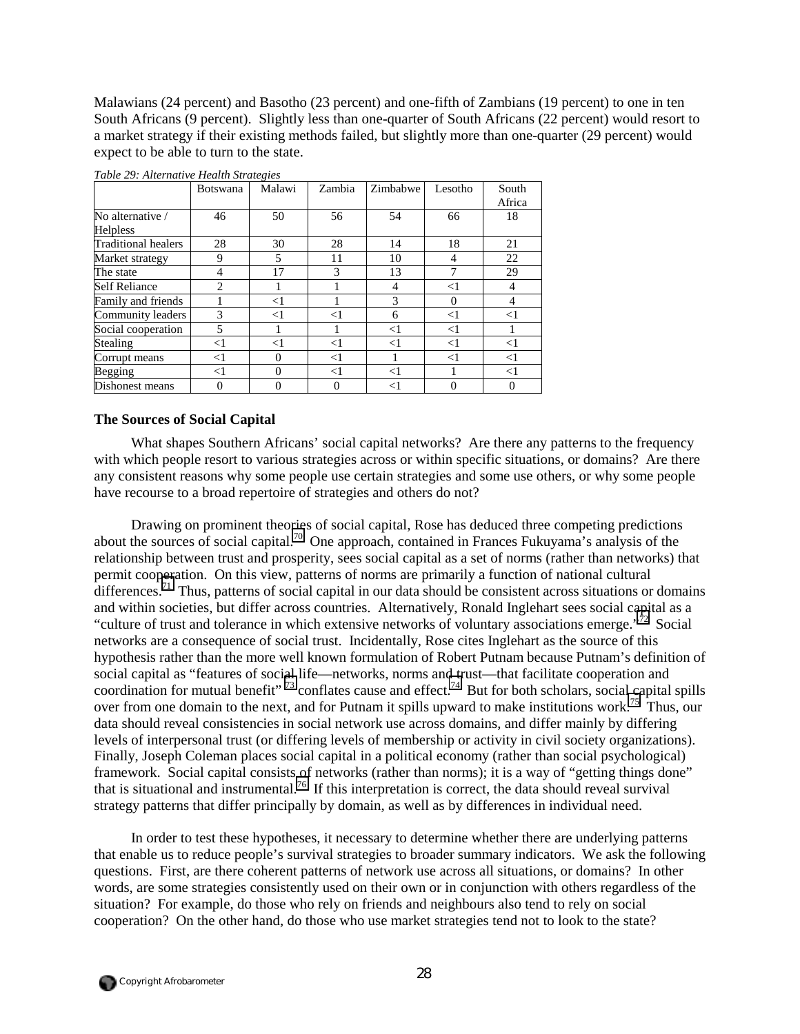Malawians (24 percent) and Basotho (23 percent) and one-fifth of Zambians (19 percent) to one in ten South Africans (9 percent). Slightly less than one-quarter of South Africans (22 percent) would resort to a market strategy if their existing methods failed, but slightly more than one-quarter (29 percent) would expect to be able to turn to the state.

|                      | <b>Botswana</b> | Malawi   | Zambia | Zimbabwe | Lesotho  | South          |
|----------------------|-----------------|----------|--------|----------|----------|----------------|
|                      |                 |          |        |          |          | Africa         |
| No alternative /     | 46              | 50       | 56     | 54       | 66       | 18             |
| Helpless             |                 |          |        |          |          |                |
| Traditional healers  | 28              | 30       | 28     | 14       | 18       | 21             |
| Market strategy      | 9               | 5        | 11     | 10       | 4        | 22             |
| The state            | 4               | 17       | 3      | 13       | 7        | 29             |
| <b>Self Reliance</b> | $\mathfrak{D}$  |          |        | 4        | $<$ 1    | $\overline{4}$ |
| Family and friends   |                 | $<$ 1    |        | 3        | $\Omega$ | 4              |
| Community leaders    | 3               | $<$ 1    | $<$ 1  | 6        | $<$ 1    | $<$ 1          |
| Social cooperation   | 5               |          |        | $<$ 1    | $<$ 1    |                |
| Stealing             | $<$ 1           | $<$ 1    | $<$ 1  | $<$ 1    | $<$ 1    | $<$ 1          |
| Corrupt means        | $<$ 1           | $\Omega$ | $<$ 1  |          | $<$ 1    | $<$ 1          |
| <b>Begging</b>       | $<$ 1           | $\Omega$ | $<$ 1  | $<$ 1    |          | $<$ 1          |
| Dishonest means      |                 |          | 0      | $<$ 1    |          |                |

*Table 29: Alternative Health Strategies* 

### **The Sources of Social Capital**

What shapes Southern Africans' social capital networks? Are there any patterns to the frequency with which people resort to various strategies across or within specific situations, or domains? Are there any consistent reasons why some people use certain strategies and some use others, or why some people have recourse to a broad repertoire of strategies and others do not?

Drawing on prominent theories of social capital, Rose has deduced three competing predictions about the sources of social capital.[70](#page-65-0) One approach, contained in Frances Fukuyama's analysis of the relationship between trust and prosperity, sees social capital as a set of norms (rather than networks) that permit cooperation. On this view, patterns of norms are primarily a function of national cultural differences.<sup>71</sup> Thus, patterns of social capital in our data should be consistent across situations or domains and within societies, but differ across countries. Alternatively, Ronald Inglehart sees social capital as a "culture of trust and tolerance in which extensive networks of voluntary associations emerge."<sup>72</sup> Social networks are a consequence of social trust. Incidentally, Rose cites Inglehart as the source of this hypothesis rather than the more well known formulation of Robert Putnam because Putnam's definition of social capital as "features of social life—networks, norms and trust—that facilitate cooperation and coordination for mutual benefit"  $^{73}$  conflates cause and effect.<sup>74</sup> But for both scholars, social capital spills over from one domain to the next, and for Putnam it spills upward to make institutions work.<sup>75</sup> Thus, our data should reveal consistencies in social network use across domains, and differ mainly by differing levels of interpersonal trust (or differing levels of membership or activity in civil society organizations). Finally, Joseph Coleman places social capital in a political economy (rather than social psychological) framework. Social capital consists of networks (rather than norms); it is a way of "getting things done" that is situational and instrumental.[76](#page-65-0) If this interpretation is correct, the data should reveal survival strategy patterns that differ principally by domain, as well as by differences in individual need.

In order to test these hypotheses, it necessary to determine whether there are underlying patterns that enable us to reduce people's survival strategies to broader summary indicators. We ask the following questions. First, are there coherent patterns of network use across all situations, or domains? In other words, are some strategies consistently used on their own or in conjunction with others regardless of the situation? For example, do those who rely on friends and neighbours also tend to rely on social cooperation? On the other hand, do those who use market strategies tend not to look to the state?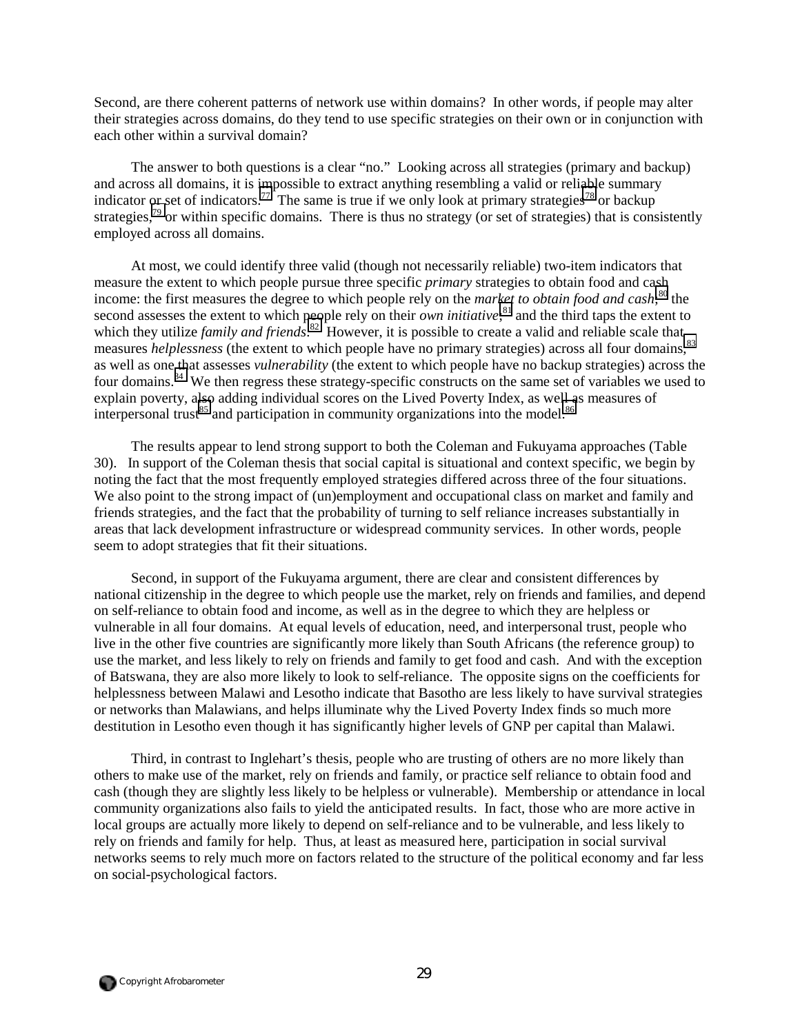Second, are there coherent patterns of network use within domains? In other words, if people may alter their strategies across domains, do they tend to use specific strategies on their own or in conjunction with each other within a survival domain?

The answer to both questions is a clear "no." Looking across all strategies (primary and backup) and across all domains, it is impossible to extract anything resembling a valid or reliable summary indicator or set of indicators.<sup>77</sup> The same is true if we only look at primary strategies<sup>78</sup> or backup strategies,<sup>79</sup> or within specific domains. There is thus no strategy (or set of strategies) that is consistently employed across all domains.

At most, we could identify three valid (though not necessarily reliable) two-item indicators that measure the extent to which people pursue three specific *primary* strategies to obtain food and cash income: the first measures the degree to which people rely on the *market to obtain food and cash*; [80](#page-65-0) the second assesses the extent to which people rely on their *own initiative*; [81](#page-65-0) and the third taps the extent to which they utilize *family and friends*.<sup>82</sup> However, it is possible to create a valid and reliable scale that measures *helplessness* (the extent to which people have no primary strategies) across all four domains,<sup>[83](#page-65-0)</sup> as well as one that assesses *vulnerability* (the extent to which people have no backup strategies) across the four domains.<sup>84</sup> We then regress these strategy-specific constructs on the same set of variables we used to explain poverty, also adding individual scores on the Lived Poverty Index, as well as measures of interpersonal trust<sup>85</sup> and participation in community organizations into the model.<sup>86</sup>

The results appear to lend strong support to both the Coleman and Fukuyama approaches (Table 30). In support of the Coleman thesis that social capital is situational and context specific, we begin by noting the fact that the most frequently employed strategies differed across three of the four situations. We also point to the strong impact of (un)employment and occupational class on market and family and friends strategies, and the fact that the probability of turning to self reliance increases substantially in areas that lack development infrastructure or widespread community services. In other words, people seem to adopt strategies that fit their situations.

Second, in support of the Fukuyama argument, there are clear and consistent differences by national citizenship in the degree to which people use the market, rely on friends and families, and depend on self-reliance to obtain food and income, as well as in the degree to which they are helpless or vulnerable in all four domains. At equal levels of education, need, and interpersonal trust, people who live in the other five countries are significantly more likely than South Africans (the reference group) to use the market, and less likely to rely on friends and family to get food and cash. And with the exception of Batswana, they are also more likely to look to self-reliance. The opposite signs on the coefficients for helplessness between Malawi and Lesotho indicate that Basotho are less likely to have survival strategies or networks than Malawians, and helps illuminate why the Lived Poverty Index finds so much more destitution in Lesotho even though it has significantly higher levels of GNP per capital than Malawi.

Third, in contrast to Inglehart's thesis, people who are trusting of others are no more likely than others to make use of the market, rely on friends and family, or practice self reliance to obtain food and cash (though they are slightly less likely to be helpless or vulnerable). Membership or attendance in local community organizations also fails to yield the anticipated results. In fact, those who are more active in local groups are actually more likely to depend on self-reliance and to be vulnerable, and less likely to rely on friends and family for help. Thus, at least as measured here, participation in social survival networks seems to rely much more on factors related to the structure of the political economy and far less on social-psychological factors.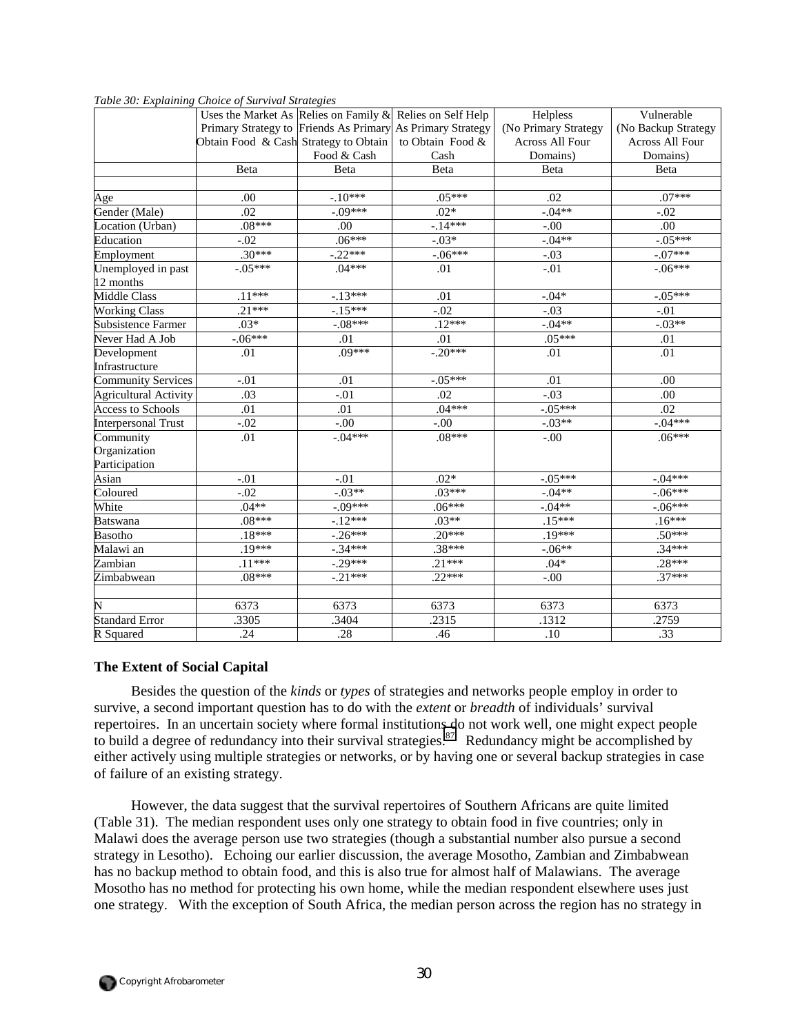|                              | Tubic so. Explaining Choice of Burrielli Biranghes           |             |                                                            |                      |                        |
|------------------------------|--------------------------------------------------------------|-------------|------------------------------------------------------------|----------------------|------------------------|
|                              | Uses the Market As Relies on Family $\&$ Relies on Self Help |             |                                                            | Helpless             | Vulnerable             |
|                              |                                                              |             | Primary Strategy to Friends As Primary As Primary Strategy | (No Primary Strategy | (No Backup Strategy    |
|                              | Obtain Food & Cash Strategy to Obtain to Obtain Food &       |             |                                                            | Across All Four      | <b>Across All Four</b> |
|                              |                                                              | Food & Cash | Cash                                                       | Domains)             | Domains)               |
|                              | Beta                                                         | Beta        | Beta                                                       | Beta                 | Beta                   |
|                              |                                                              |             |                                                            |                      |                        |
| Age                          | .00                                                          | $-.10***$   | $.05***$                                                   | .02                  | $.07***$               |
| Gender (Male)                | .02                                                          | $-.09***$   | $.02*$                                                     | $-04**$              | $-.02$                 |
| Location (Urban)             | $.08***$                                                     | .00         | $-14***$                                                   | $-.00$               | .00                    |
| Education                    | $-.02$                                                       | $.06***$    | $-.03*$                                                    | $-04**$              | $-.05***$              |
| Employment                   | $.30***$                                                     | $-.22***$   | $-06***$                                                   | $-.03$               | $-.07***$              |
| Unemployed in past           | $-.05***$                                                    | $.04***$    | .01                                                        | $-.01$               | $-.06***$              |
| 12 months                    |                                                              |             |                                                            |                      |                        |
| <b>Middle Class</b>          | $.11***$                                                     | $-13***$    | .01                                                        | $-.04*$              | $-.05***$              |
| <b>Working Class</b>         | $.21***$                                                     | $-15***$    | $-.02$                                                     | $-.03$               | $-.01$                 |
| <b>Subsistence Farmer</b>    | $.03*$                                                       | $-.08***$   | $.12***$                                                   | $-.04**$             | $-03**$                |
| Never Had A Job              | $-06***$                                                     | .01         | .01                                                        | $.05***$             | .01                    |
| Development                  | .01                                                          | $.09***$    | $-.20***$                                                  | .01                  | .01                    |
| Infrastructure               |                                                              |             |                                                            |                      |                        |
| <b>Community Services</b>    | $-.01$                                                       | .01         | $-.05***$                                                  | .01                  | .00                    |
| <b>Agricultural Activity</b> | .03                                                          | $-.01$      | .02                                                        | $-.03$               | .00                    |
| <b>Access to Schools</b>     | .01                                                          | .01         | $.04***$                                                   | $-.05***$            | .02                    |
| <b>Interpersonal Trust</b>   | $-.02$                                                       | $-.00$      | $-.00$                                                     | $-.03**$             | $-.04***$              |
| Community                    | .01                                                          | $-.04***$   | $.08***$                                                   | $-.00$               | $.06***$               |
| Organization                 |                                                              |             |                                                            |                      |                        |
| Participation                |                                                              |             |                                                            |                      |                        |
| Asian                        | $-.01$                                                       | $-.01$      | $.02*$                                                     | $-.05***$            | $-.04***$              |
| Coloured                     | $-.02$                                                       | $-03**$     | $.03***$                                                   | $-04**$              | $-.06***$              |
| White                        | $.04**$                                                      | $-.09***$   | $.06***$                                                   | $-.04**$             | $-.06***$              |
| <b>Batswana</b>              | $.08***$                                                     | $-12***$    | $.03**$                                                    | $.15***$             | $.16***$               |
| Basotho                      | $.18***$                                                     | $-26***$    | $.20***$                                                   | $.19***$             | $.50***$               |
| Malawi an                    | $.19***$                                                     | $-34***$    | $.38***$                                                   | $-06**$              | $.34***$               |
| Zambian                      | $.11***$                                                     | $-.29***$   | $.21***$                                                   | $.04*$               | $.28***$               |
| Zimbabwean                   | $.08***$                                                     | $-.21***$   | $.22***$                                                   | $-.00$               | $.37***$               |
|                              |                                                              |             |                                                            |                      |                        |
| N                            | 6373                                                         | 6373        | 6373                                                       | 6373                 | 6373                   |
| <b>Standard Error</b>        | .3305                                                        | .3404       | .2315                                                      | .1312                | .2759                  |
| R Squared                    | .24                                                          | .28         | .46                                                        | .10                  | .33                    |

*Table 30: Explaining Choice of Survival Strategies* 

## **The Extent of Social Capital**

Besides the question of the *kinds* or *types* of strategies and networks people employ in order to survive, a second important question has to do with the *extent* or *breadth* of individuals' survival repertoires. In an uncertain society where formal institutions do not work well, one might expect people to build a degree of redundancy into their survival strategies.<sup>87</sup> Redundancy might be accomplished by either actively using multiple strategies or networks, or by having one or several backup strategies in case of failure of an existing strategy.

However, the data suggest that the survival repertoires of Southern Africans are quite limited (Table 31). The median respondent uses only one strategy to obtain food in five countries; only in Malawi does the average person use two strategies (though a substantial number also pursue a second strategy in Lesotho). Echoing our earlier discussion, the average Mosotho, Zambian and Zimbabwean has no backup method to obtain food, and this is also true for almost half of Malawians. The average Mosotho has no method for protecting his own home, while the median respondent elsewhere uses just one strategy. With the exception of South Africa, the median person across the region has no strategy in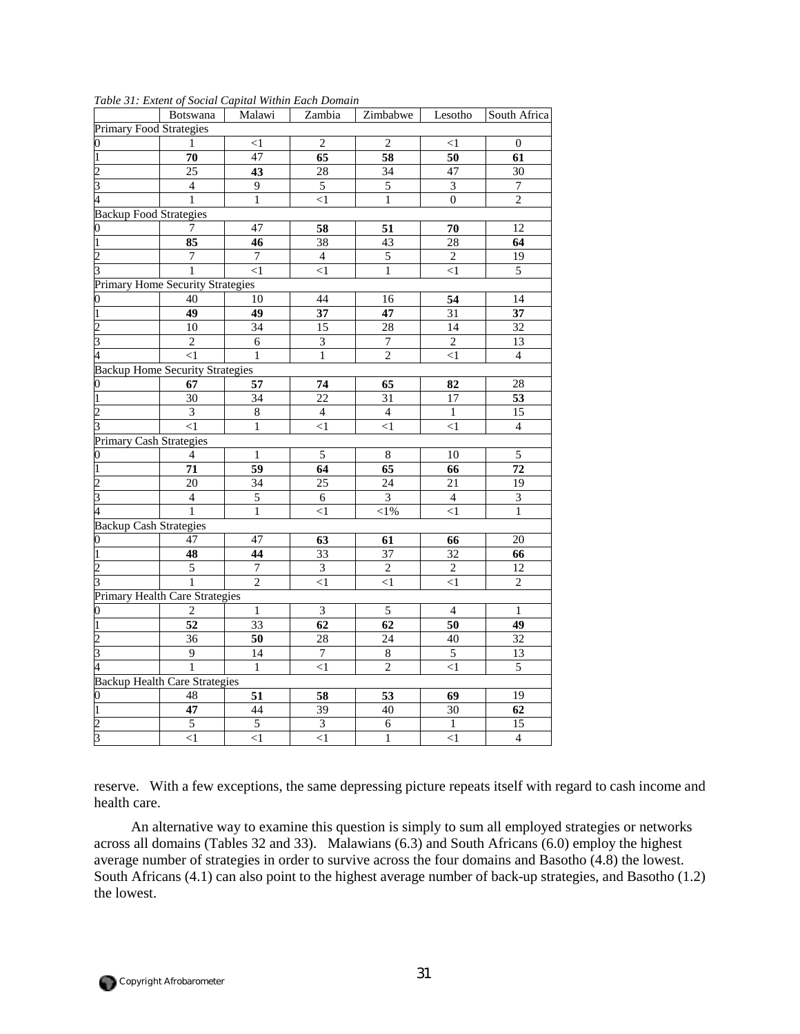|                               | <b>Botswana</b>                         | Malawi          | Zambia                      | Zimbabwe         | Lesotho         | South Africa    |  |  |  |
|-------------------------------|-----------------------------------------|-----------------|-----------------------------|------------------|-----------------|-----------------|--|--|--|
| Primary Food Strategies       |                                         |                 |                             |                  |                 |                 |  |  |  |
| 0                             | 1                                       | <1              | $\mathfrak{2}$              | 2                | <1              | $\theta$        |  |  |  |
|                               | 70                                      | $\overline{47}$ | 65                          | 58               | 50              | 61              |  |  |  |
|                               | $\overline{25}$                         | 43              | $\overline{28}$             | $\overline{34}$  | 47              | $\overline{30}$ |  |  |  |
| 3                             | $\overline{4}$                          | 9               | 5                           | 5                | $\overline{3}$  | $\overline{7}$  |  |  |  |
|                               | 1                                       | $\mathbf{1}$    | $\overline{<}1$             | $\overline{1}$   | $\overline{0}$  | $\overline{2}$  |  |  |  |
| <b>Backup Food Strategies</b> |                                         |                 |                             |                  |                 |                 |  |  |  |
| 0                             | 7                                       | 47              | 58                          | 51               | 70              | 12              |  |  |  |
|                               | 85                                      | 46              | $\overline{38}$             | $\overline{43}$  | 28              | 64              |  |  |  |
|                               | 7                                       | 7               | $\overline{4}$              | 5                | $\overline{c}$  | 19              |  |  |  |
| 3                             | 1                                       | $\overline{<}1$ | $\leq$ 1                    | $\mathbf{1}$     | $<1\,$          | 5               |  |  |  |
|                               | <b>Primary Home Security Strategies</b> |                 |                             |                  |                 |                 |  |  |  |
|                               | 40                                      | 10              | 44                          | 16               | 54              | 14              |  |  |  |
|                               | 49                                      | 49              | 37                          | 47               | 31              | $\overline{37}$ |  |  |  |
|                               | 10                                      | 34              | 15                          | 28               | 14              | 32              |  |  |  |
| 3                             | $\overline{c}$                          | $\sqrt{6}$      | $\mathfrak{Z}$              | $\boldsymbol{7}$ | $\sqrt{2}$      | 13              |  |  |  |
|                               | $\leq$ 1                                | $\mathbf{1}$    | $\mathbf{1}$                | $\overline{2}$   | $\overline{<}1$ | $\overline{4}$  |  |  |  |
|                               | <b>Backup Home Security Strategies</b>  |                 |                             |                  |                 |                 |  |  |  |
| 0                             | 67                                      | 57              | 74                          | 65               | 82              | 28              |  |  |  |
|                               | 30                                      | 34              | $\overline{22}$             | 31               | 17              | 53              |  |  |  |
|                               | $\overline{3}$                          | $\overline{8}$  | $\overline{4}$              | $\overline{4}$   | $\mathbf{1}$    | $\overline{15}$ |  |  |  |
| 3                             | $<$ 1                                   | 1               | $<$ 1                       | $\leq$ 1         | $<\!\!1$        | 4               |  |  |  |
| Primary Cash Strategies       |                                         |                 |                             |                  |                 |                 |  |  |  |
|                               | 4                                       | 1               | 5                           | 8                | 10              | 5               |  |  |  |
|                               | 71                                      | $\overline{59}$ | 64                          | $\overline{65}$  | 66              | $\overline{72}$ |  |  |  |
|                               | 20                                      | 34              | $\overline{25}$             | 24               | 21              | 19              |  |  |  |
| 3                             | $\overline{4}$                          | $\overline{5}$  | 6                           | $\overline{3}$   | $\overline{4}$  | $\mathfrak{Z}$  |  |  |  |
| 4                             | 1                                       | 1               | $<$ 1                       | $<$ l $%$        | $<$ l           | 1               |  |  |  |
| <b>Backup Cash Strategies</b> |                                         |                 |                             |                  |                 |                 |  |  |  |
|                               | 47                                      | 47              | 63                          | 61               | 66              | 20              |  |  |  |
| 1                             | 48                                      | 44              | 33                          | 37               | 32              | 66              |  |  |  |
|                               | 5                                       | 7               | $\overline{3}$              | $\overline{2}$   | $\overline{2}$  | $\overline{12}$ |  |  |  |
|                               | 1                                       | $\overline{2}$  | $\overline{1}$              | <1               | <1              | $\overline{2}$  |  |  |  |
|                               | Primary Health Care Strategies          |                 |                             |                  |                 |                 |  |  |  |
|                               | $\overline{c}$                          | 1               | $\overline{3}$              | $\overline{5}$   | 4               | 1               |  |  |  |
|                               | 52                                      | $\overline{33}$ | 62                          | 62               | 50              | 49              |  |  |  |
|                               | $\overline{36}$                         | 50              | $\overline{28}$             | $\overline{24}$  | 40              | $\overline{32}$ |  |  |  |
| 3                             | $\overline{9}$                          | 14              | 7                           | $\overline{8}$   | 5               | 13              |  |  |  |
|                               | 1                                       | $\mathbf{1}$    | $\leq$ 1                    | $\overline{2}$   | $\leq$ 1        | $\overline{5}$  |  |  |  |
|                               | <b>Backup Health Care Strategies</b>    |                 |                             |                  |                 |                 |  |  |  |
| 0                             | 48                                      | 51              | 58                          | 53               | 69              | 19              |  |  |  |
|                               | 47                                      | 44              | 39                          | 40               | 30              | 62              |  |  |  |
| 2                             | 5                                       | $\overline{5}$  | $\ensuremath{\mathfrak{Z}}$ | 6                | $\mathbf{1}$    | 15              |  |  |  |
| $\overline{\mathbf{3}}$       | <1                                      | $<1\,$          | $\leq$ 1                    | $\mathbf{1}$     | $<1\,$          | $\overline{4}$  |  |  |  |

#### *Table 31: Extent of Social Capital Within Each Domain*

reserve. With a few exceptions, the same depressing picture repeats itself with regard to cash income and health care.

An alternative way to examine this question is simply to sum all employed strategies or networks across all domains (Tables 32 and 33). Malawians (6.3) and South Africans (6.0) employ the highest average number of strategies in order to survive across the four domains and Basotho (4.8) the lowest. South Africans (4.1) can also point to the highest average number of back-up strategies, and Basotho (1.2) the lowest.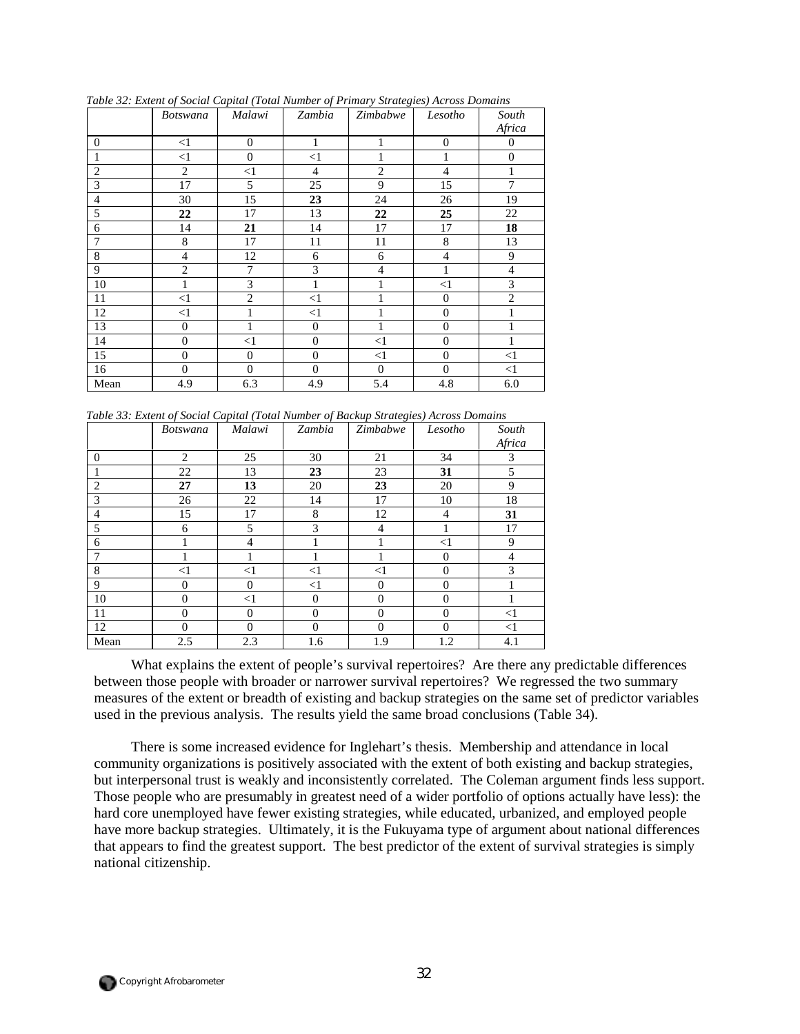|                | <b>Botswana</b>  | Malawi           | Zambia         | Zimbabwe         | Lesotho          | South          |
|----------------|------------------|------------------|----------------|------------------|------------------|----------------|
|                |                  |                  |                |                  |                  | Africa         |
| $\theta$       | <1               | $\theta$         | 1              | 1                | $\mathbf{0}$     | $\theta$       |
| 1              | $\leq$ 1         | $\mathbf{0}$     | $\leq$ 1       | 1                | 1                | $\overline{0}$ |
| $\overline{2}$ | $\overline{2}$   | $\leq$ 1         | $\overline{4}$ | $\overline{c}$   | $\overline{4}$   | 1              |
| 3              | 17               | 5                | 25             | 9                | 15               | $\overline{7}$ |
| $\overline{4}$ | 30               | 15               | 23             | 24               | 26               | 19             |
| 5              | 22               | 17               | 13             | 22               | 25               | 22             |
| 6              | 14               | 21               | 14             | 17               | 17               | 18             |
| 7              | 8                | 17               | 11             | 11               | 8                | 13             |
| $\,$ 8 $\,$    | $\overline{4}$   | 12               | 6              | 6                | $\overline{4}$   | 9              |
| 9              | $\overline{2}$   | 7                | 3              | $\overline{4}$   | 1                | $\overline{4}$ |
| 10             | $\mathbf{1}$     | 3                | $\mathbf{1}$   | 1                | $\leq$ 1         | 3              |
| 11             | $\leq$ 1         | $\overline{2}$   | $\leq$ 1       |                  | $\boldsymbol{0}$ | $\overline{2}$ |
| 12             | $\leq$ 1         |                  | $\leq$ 1       |                  | $\mathbf{0}$     |                |
| 13             | $\boldsymbol{0}$ | 1                | $\overline{0}$ | 1                | $\boldsymbol{0}$ | 1              |
| 14             | $\boldsymbol{0}$ | $<$ 1            | $\mathbf{0}$   | $\leq$ 1         | $\overline{0}$   |                |
| 15             | $\boldsymbol{0}$ | $\boldsymbol{0}$ | $\overline{0}$ | $\leq$ 1         | $\mathbf{0}$     | <1             |
| 16             | $\mathbf{0}$     | $\theta$         | $\overline{0}$ | $\boldsymbol{0}$ | $\overline{0}$   | <1             |
| Mean           | 4.9              | 6.3              | 4.9            | 5.4              | 4.8              | 6.0            |

*Table 32: Extent of Social Capital (Total Number of Primary Strategies) Across Domains* 

*Table 33: Extent of Social Capital (Total Number of Backup Strategies) Across Domains* 

|                | <b>Botswana</b> | Malawi         | Zambia   | Zimbabwe       | Lesotho        | South    |
|----------------|-----------------|----------------|----------|----------------|----------------|----------|
|                |                 |                |          |                |                | Africa   |
| $\overline{0}$ | $\overline{2}$  | 25             | 30       | 21             | 34             | 3        |
|                | 22              | 13             | 23       | 23             | 31             | 5        |
| 2              | 27              | 13             | 20       | 23             | 20             | 9        |
| 3              | 26              | 22             | 14       | 17             | 10             | 18       |
| 4              | 15              | 17             | 8        | 12             | $\overline{4}$ | 31       |
| 5              | 6               | 5              | 3        | 4              |                | 17       |
| 6              |                 | $\overline{4}$ |          |                | $<$ 1          | 9        |
| 7              |                 |                |          |                | $\Omega$       | 4        |
| 8              | $<$ 1           | $<$ 1          | $<$ 1    | $<$ 1          | $\overline{0}$ | 3        |
| 9              | $\overline{0}$  | $\Omega$       | <1       | $\overline{0}$ | $\Omega$       |          |
| 10             | $\overline{0}$  | $<$ 1          | $\Omega$ | $\overline{0}$ | $\Omega$       |          |
| 11             | $\overline{0}$  | $\Omega$       | $\Omega$ | $\overline{0}$ | $\Omega$       | $\leq$ 1 |
| 12             | $\Omega$        | $\Omega$       | $\Omega$ | $\Omega$       | $\Omega$       | <1       |
| Mean           | 2.5             | 2.3            | 1.6      | 1.9            | 1.2            | 4.1      |

What explains the extent of people's survival repertoires? Are there any predictable differences between those people with broader or narrower survival repertoires? We regressed the two summary measures of the extent or breadth of existing and backup strategies on the same set of predictor variables used in the previous analysis. The results yield the same broad conclusions (Table 34).

There is some increased evidence for Inglehart's thesis. Membership and attendance in local community organizations is positively associated with the extent of both existing and backup strategies, but interpersonal trust is weakly and inconsistently correlated. The Coleman argument finds less support. Those people who are presumably in greatest need of a wider portfolio of options actually have less): the hard core unemployed have fewer existing strategies, while educated, urbanized, and employed people have more backup strategies. Ultimately, it is the Fukuyama type of argument about national differences that appears to find the greatest support. The best predictor of the extent of survival strategies is simply national citizenship.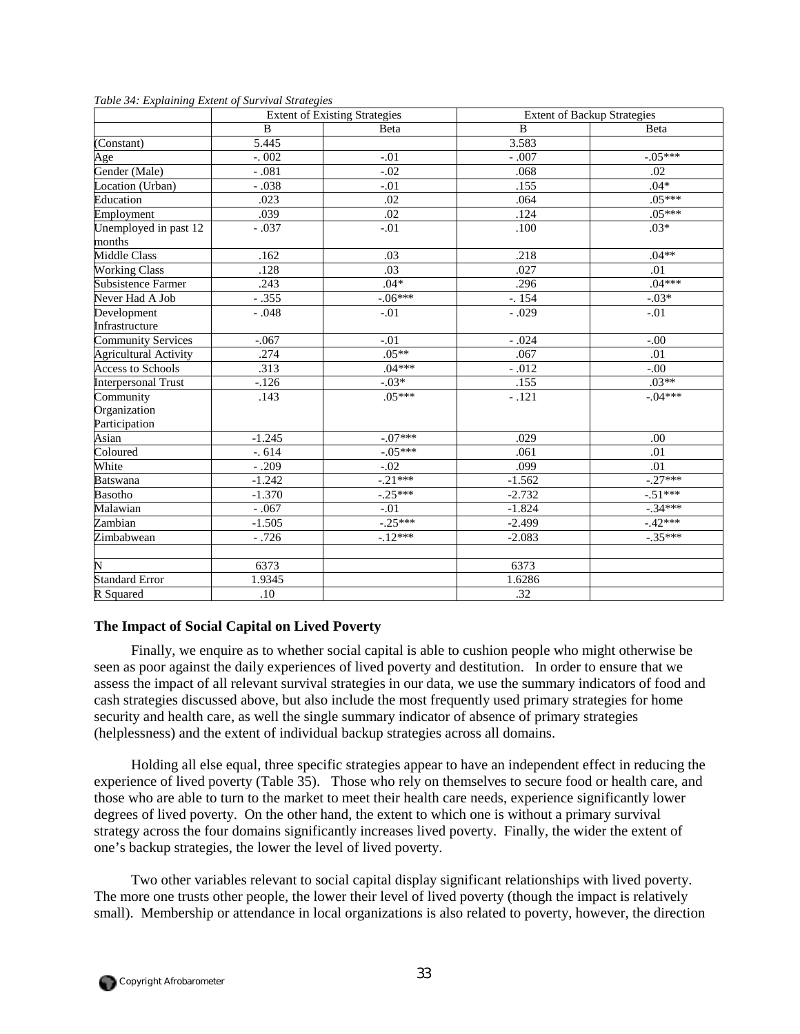|                              | <b>Extent of Existing Strategies</b> |            | <b>Extent of Backup Strategies</b> |            |  |
|------------------------------|--------------------------------------|------------|------------------------------------|------------|--|
|                              | B                                    | Beta       | B                                  | Beta       |  |
| (Constant)                   | 5.445                                |            | 3.583                              |            |  |
| Age                          | $-.002$                              | $-.01$     | $-.007$                            | $-0.05***$ |  |
| Gender (Male)                | $-.081$                              | $-.02$     | .068                               | .02        |  |
| Location (Urban)             | $-.038$                              | $-.01$     | .155                               | $.04*$     |  |
| Education                    | .023                                 | .02        | .064                               | $.05***$   |  |
| Employment                   | .039                                 | .02        | .124                               | $.05***$   |  |
| Unemployed in past 12        | $-.037$                              | $-.01$     | .100                               | $.03*$     |  |
| months                       |                                      |            |                                    |            |  |
| <b>Middle Class</b>          | .162                                 | .03        | .218                               | $.04**$    |  |
| <b>Working Class</b>         | .128                                 | .03        | .027                               | .01        |  |
| <b>Subsistence Farmer</b>    | .243                                 | $.04*$     | .296                               | $.04***$   |  |
| Never Had A Job              | $-.355$                              | $-06***$   | $-154$                             | $-03*$     |  |
| Development                  | $-.048$                              | $-.01$     | $-.029$                            | $-.01$     |  |
| Infrastructure               |                                      |            |                                    |            |  |
| <b>Community Services</b>    | $-.067$                              | $-.01$     | $-.024$                            | $-.00$     |  |
| <b>Agricultural Activity</b> | .274                                 | $.05**$    | .067                               | .01        |  |
| <b>Access to Schools</b>     | .313                                 | $.04***$   | $-.012$                            | $-00.$     |  |
| <b>Interpersonal Trust</b>   | $-126$                               | $-.03*$    | .155                               | $.03**$    |  |
| Community                    | .143                                 | $.05***$   | $-.121$                            | $-.04***$  |  |
| Organization                 |                                      |            |                                    |            |  |
| Participation                |                                      |            |                                    |            |  |
| Asian                        | $-1.245$                             | $-.07***$  | .029                               | .00        |  |
| Coloured                     | $-0.614$                             | $-.05***$  | .061                               | .01        |  |
| White                        | $-.209$                              | $-.02$     | .099                               | .01        |  |
| <b>Batswana</b>              | $-1.242$                             | $-0.21***$ | $-1.562$                           | $-0.27***$ |  |
| Basotho                      | $-1.370$                             | $-.25***$  | $-2.732$                           | $-51***$   |  |
| Malawian                     | $-.067$                              | $-.01$     | $-1.824$                           | $-.34***$  |  |
| Zambian                      | $-1.505$                             | $-0.25***$ | $-2.499$                           | $-42***$   |  |
| Zimbabwean                   | $-.726$                              | $-12***$   | $-2.083$                           | $-0.35***$ |  |
| $\overline{\rm N}$           | 6373                                 |            | 6373                               |            |  |
| <b>Standard Error</b>        |                                      |            |                                    |            |  |
|                              | 1.9345                               |            | 1.6286                             |            |  |
| R Squared                    | .10                                  |            | .32                                |            |  |

*Table 34: Explaining Extent of Survival Strategies* 

## **The Impact of Social Capital on Lived Poverty**

Finally, we enquire as to whether social capital is able to cushion people who might otherwise be seen as poor against the daily experiences of lived poverty and destitution. In order to ensure that we assess the impact of all relevant survival strategies in our data, we use the summary indicators of food and cash strategies discussed above, but also include the most frequently used primary strategies for home security and health care, as well the single summary indicator of absence of primary strategies (helplessness) and the extent of individual backup strategies across all domains.

Holding all else equal, three specific strategies appear to have an independent effect in reducing the experience of lived poverty (Table 35). Those who rely on themselves to secure food or health care, and those who are able to turn to the market to meet their health care needs, experience significantly lower degrees of lived poverty. On the other hand, the extent to which one is without a primary survival strategy across the four domains significantly increases lived poverty. Finally, the wider the extent of one's backup strategies, the lower the level of lived poverty.

Two other variables relevant to social capital display significant relationships with lived poverty. The more one trusts other people, the lower their level of lived poverty (though the impact is relatively small). Membership or attendance in local organizations is also related to poverty, however, the direction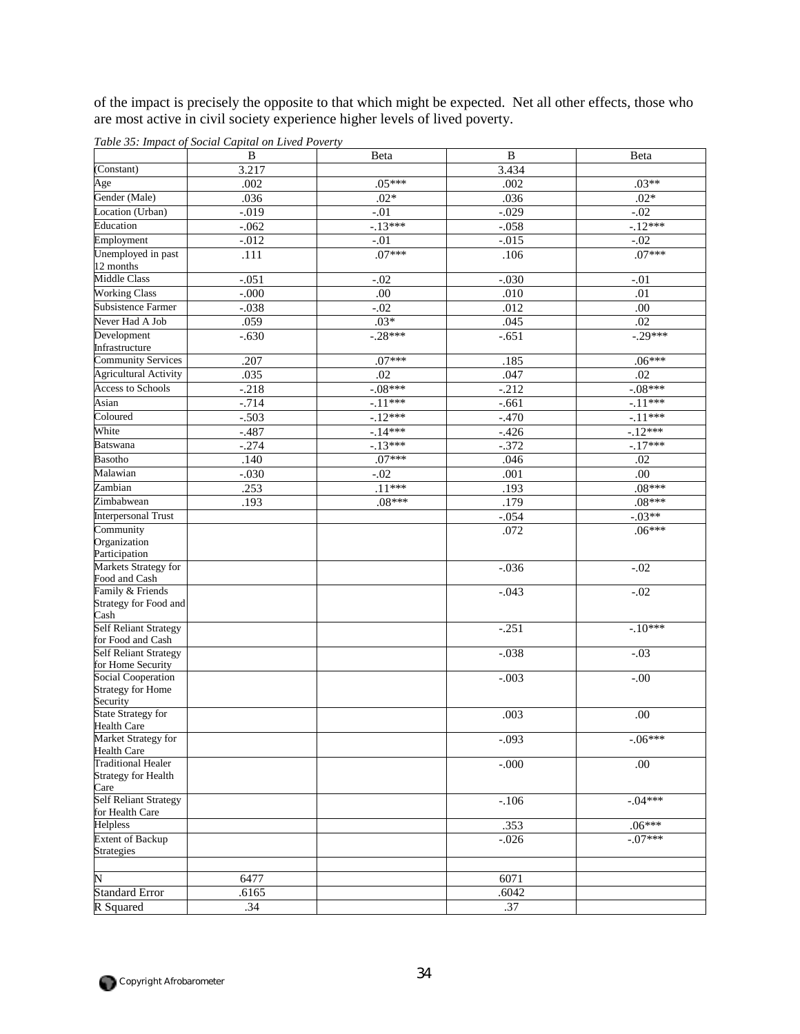of the impact is precisely the opposite to that which might be expected. Net all other effects, those who are most active in civil society experience higher levels of lived poverty.

|                                                 | B        | Beta       | B        | Beta             |
|-------------------------------------------------|----------|------------|----------|------------------|
| (Constant)                                      | 3.217    |            | 3.434    |                  |
| Age                                             | .002     | $.05***$   | .002     | $.03**$          |
| Gender (Male)                                   | .036     | $.02*$     | .036     | $.02*$           |
| Location (Urban)                                | $-0.019$ | $-.01$     | $-0.029$ | $-0.02$          |
| Education                                       | $-.062$  | $-13***$   | $-.058$  | $-12***$         |
| Employment                                      | $-0.012$ | $-.01$     | $-0.015$ | $-.02$           |
| Unemployed in past                              | .111     | $.07***$   | .106     | $.07***$         |
| 12 months                                       |          |            |          |                  |
| <b>Middle Class</b>                             | $-.051$  | $-.02$     | $-.030$  | $-.01$           |
| <b>Working Class</b>                            | $-000$   | .00        | .010     | .01              |
| <b>Subsistence Farmer</b>                       | $-.038$  | $-.02$     | .012     | .00.             |
| Never Had A Job                                 | .059     | $.03*$     | .045     | $\overline{.02}$ |
| Development                                     | $-.630$  | $-0.28***$ | $-.651$  | $-0.29***$       |
| Infrastructure                                  |          |            |          |                  |
| <b>Community Services</b>                       | .207     | $.07***$   | .185     | $.06***$         |
| <b>Agricultural Activity</b>                    | .035     | .02        | .047     | .02              |
| <b>Access to Schools</b>                        | $-.218$  | $-.08***$  | $-.212$  | $-08***$         |
| Asian                                           | $-.714$  | $-11***$   | $-.661$  | $-11***$         |
| Coloured                                        | $-.503$  | $-12***$   | $-.470$  | $-11***$         |
| White                                           | $-0.487$ | $-14***$   | $-426$   | $-12***$         |
| <b>Batswana</b>                                 | $-.274$  | $-13***$   | $-.372$  | $-17***$         |
| <b>Basotho</b>                                  | .140     | $.07***$   | .046     | .02              |
| Malawian                                        | $-.030$  | $-.02$     | .001     | .00              |
| Zambian                                         | .253     | $.11***$   | .193     | $.08***$         |
| Zimbabwean                                      | .193     | $.08***$   | .179     | $.08***$         |
| <b>Interpersonal Trust</b>                      |          |            | $-.054$  | $-03**$          |
| Community                                       |          |            | .072     | $.06***$         |
| Organization                                    |          |            |          |                  |
| Participation                                   |          |            |          |                  |
| Markets Strategy for                            |          |            | $-.036$  | $-.02$           |
| Food and Cash<br>Family & Friends               |          |            |          |                  |
| Strategy for Food and                           |          |            | $-.043$  | $-.02$           |
| Cash                                            |          |            |          |                  |
| <b>Self Reliant Strategy</b>                    |          |            | $-.251$  | $-.10***$        |
| for Food and Cash                               |          |            |          |                  |
| <b>Self Reliant Strategy</b>                    |          |            | $-.038$  | $-.03$           |
| for Home Security                               |          |            |          |                  |
| <b>Social Cooperation</b>                       |          |            | $-.003$  | $-.00$           |
| <b>Strategy for Home</b><br>Security            |          |            |          |                  |
| <b>State Strategy for</b>                       |          |            | .003     | .00              |
| <b>Health Care</b>                              |          |            |          |                  |
| Market Strategy for                             |          |            | $-.093$  | $-06***$         |
| <b>Health Care</b>                              |          |            |          |                  |
| <b>Traditional Healer</b>                       |          |            | $-000$   | .00              |
| <b>Strategy for Health</b>                      |          |            |          |                  |
| Care                                            |          |            |          |                  |
| <b>Self Reliant Strategy</b><br>for Health Care |          |            | $-.106$  | $-04***$         |
| Helpless                                        |          |            | .353     | $.06***$         |
| <b>Extent of Backup</b>                         |          |            | $-.026$  | $-.07***$        |
| Strategies                                      |          |            |          |                  |
|                                                 |          |            |          |                  |
| N                                               | 6477     |            | 6071     |                  |
| <b>Standard Error</b>                           | .6165    |            | .6042    |                  |
| R Squared                                       | .34      |            | .37      |                  |
|                                                 |          |            |          |                  |

*Table 35: Impact of Social Capital on Lived Poverty* 

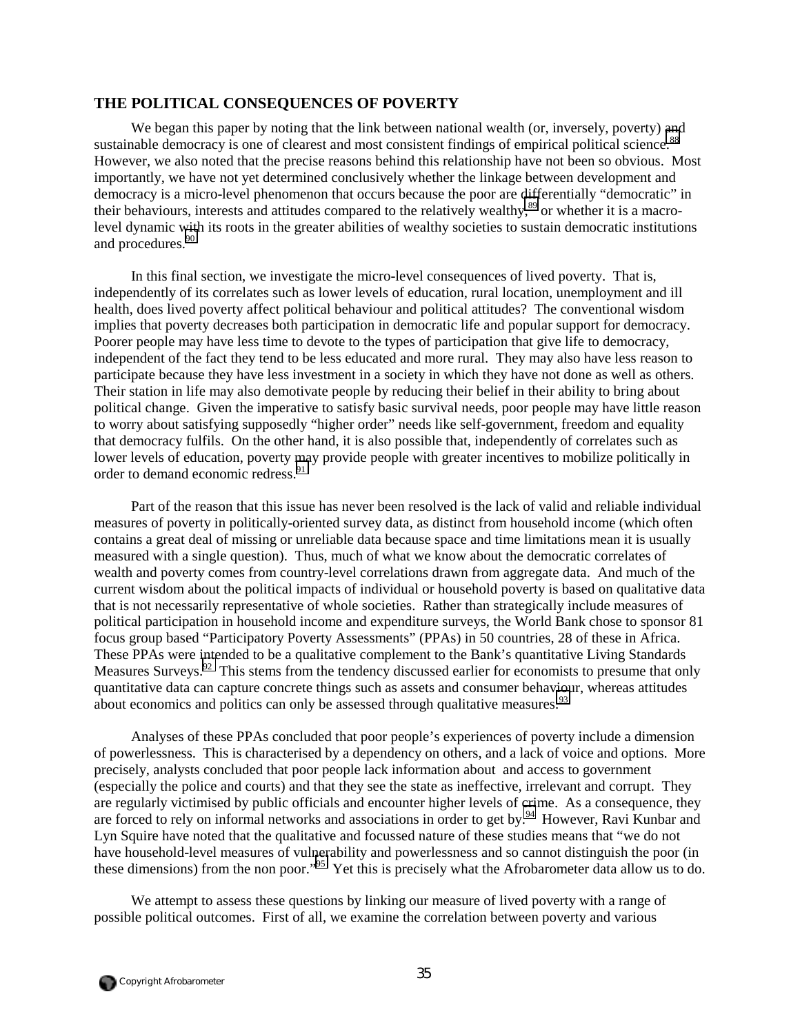## **THE POLITICAL CONSEQUENCES OF POVERTY**

We began this paper by noting that the link between national wealth (or, inversely, poverty) and sustainable democracy is one of clearest and most consistent findings of empirical political science.<sup>88</sup> However, we also noted that the precise reasons behind this relationship have not been so obvious. Most importantly, we have not yet determined conclusively whether the linkage between development and democracy is a micro-level phenomenon that occurs because the poor are differentially "democratic" in their behaviours, interests and attitudes compared to the relatively wealthy[,89](#page-65-0) or whether it is a macrolevel dynamic with its roots in the greater abilities of wealthy societies to sustain democratic institutions and procedures.<sup>[90](#page-65-0)</sup>

In this final section, we investigate the micro-level consequences of lived poverty. That is, independently of its correlates such as lower levels of education, rural location, unemployment and ill health, does lived poverty affect political behaviour and political attitudes? The conventional wisdom implies that poverty decreases both participation in democratic life and popular support for democracy. Poorer people may have less time to devote to the types of participation that give life to democracy, independent of the fact they tend to be less educated and more rural. They may also have less reason to participate because they have less investment in a society in which they have not done as well as others. Their station in life may also demotivate people by reducing their belief in their ability to bring about political change. Given the imperative to satisfy basic survival needs, poor people may have little reason to worry about satisfying supposedly "higher order" needs like self-government, freedom and equality that democracy fulfils. On the other hand, it is also possible that, independently of correlates such as lower levels of education, poverty may provide people with greater incentives to mobilize politically in order to demand economic redress.<sup>[91](#page-65-0)</sup>

Part of the reason that this issue has never been resolved is the lack of valid and reliable individual measures of poverty in politically-oriented survey data, as distinct from household income (which often contains a great deal of missing or unreliable data because space and time limitations mean it is usually measured with a single question). Thus, much of what we know about the democratic correlates of wealth and poverty comes from country-level correlations drawn from aggregate data. And much of the current wisdom about the political impacts of individual or household poverty is based on qualitative data that is not necessarily representative of whole societies. Rather than strategically include measures of political participation in household income and expenditure surveys, the World Bank chose to sponsor 81 focus group based "Participatory Poverty Assessments" (PPAs) in 50 countries, 28 of these in Africa. These PPAs were intended to be a qualitative complement to the Bank's quantitative Living Standards Measures Surveys.<sup>92</sup> This stems from the tendency discussed earlier for economists to presume that only quantitative data can capture concrete things such as assets and consumer behaviour, whereas attitudes about economics and politics can only be assessed through qualitative measures.<sup>[93](#page-65-0)</sup>

Analyses of these PPAs concluded that poor people's experiences of poverty include a dimension of powerlessness. This is characterised by a dependency on others, and a lack of voice and options. More precisely, analysts concluded that poor people lack information about and access to government (especially the police and courts) and that they see the state as ineffective, irrelevant and corrupt. They are regularly victimised by public officials and encounter higher levels of crime. As a consequence, they are forced to rely on informal networks and associations in order to get by.<sup>94</sup> However, Ravi Kunbar and Lyn Squire have noted that the qualitative and focussed nature of these studies means that "we do not have household-level measures of vulnerability and powerlessness and so cannot distinguish the poor (in these dimensions) from the non poor."[95](#page-65-0) Yet this is precisely what the Afrobarometer data allow us to do.

We attempt to assess these questions by linking our measure of lived poverty with a range of possible political outcomes. First of all, we examine the correlation between poverty and various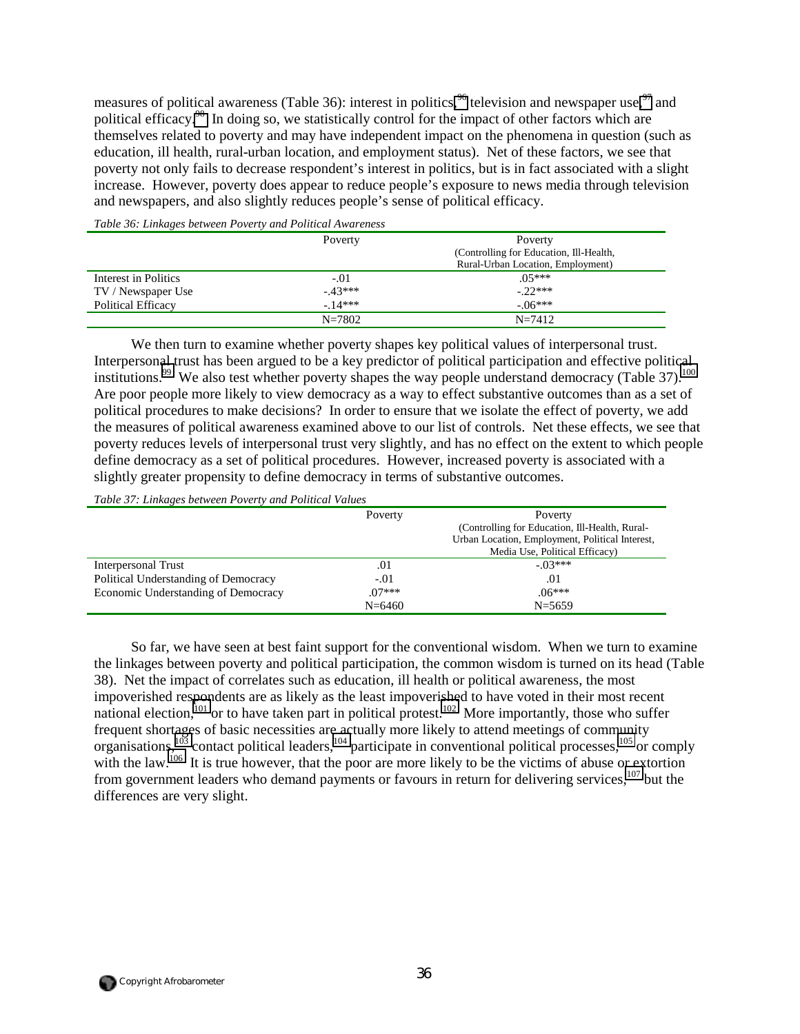measures of political awareness (Table 36): interest in politics,  $96$  television and newspaper use,  $97$  and political efficacy.<sup>98</sup> In doing so, we statistically control for the impact of other factors which are themselves related to poverty and may have independent impact on the phenomena in question (such as education, ill health, rural-urban location, and employment status). Net of these factors, we see that poverty not only fails to decrease respondent's interest in politics, but is in fact associated with a slight increase. However, poverty does appear to reduce people's exposure to news media through television and newspapers, and also slightly reduces people's sense of political efficacy.

| Tuble 50. Emmiglis between I brefty and I billical Invariation |            |                                         |  |  |  |  |
|----------------------------------------------------------------|------------|-----------------------------------------|--|--|--|--|
|                                                                | Poverty    | Poverty                                 |  |  |  |  |
|                                                                |            | (Controlling for Education, Ill-Health, |  |  |  |  |
|                                                                |            | Rural-Urban Location, Employment)       |  |  |  |  |
| Interest in Politics                                           | $-.01$     | $.05***$                                |  |  |  |  |
| TV / Newspaper Use                                             | $-43***$   | $-22***$                                |  |  |  |  |
| <b>Political Efficacy</b>                                      | $-14***$   | $-06***$                                |  |  |  |  |
|                                                                | $N = 7802$ | $N = 7412$                              |  |  |  |  |

*Table 36: Linkages between Poverty and Political Awareness* 

We then turn to examine whether poverty shapes key political values of interpersonal trust. Interpersonal trust has been argued to be a key predictor of political participation and effective political institutions.<sup>99</sup> We also test whether poverty shapes the way people understand democracy (Table 37).<sup>100</sup> Are poor people more likely to view democracy as a way to effect substantive outcomes than as a set of political procedures to make decisions? In order to ensure that we isolate the effect of poverty, we add the measures of political awareness examined above to our list of controls. Net these effects, we see that poverty reduces levels of interpersonal trust very slightly, and has no effect on the extent to which people define democracy as a set of political procedures. However, increased poverty is associated with a slightly greater propensity to define democracy in terms of substantive outcomes.

*Table 37: Linkages between Poverty and Political Values* 

|                                      | Poverty    | Poverty                                         |
|--------------------------------------|------------|-------------------------------------------------|
|                                      |            | (Controlling for Education, Ill-Health, Rural-  |
|                                      |            | Urban Location, Employment, Political Interest, |
|                                      |            | Media Use, Political Efficacy)                  |
| Interpersonal Trust                  | .01        | $-03***$                                        |
| Political Understanding of Democracy | $-.01$     | .01                                             |
| Economic Understanding of Democracy  | $.07***$   | $.06***$                                        |
|                                      | $N = 6460$ | $N = 5659$                                      |

So far, we have seen at best faint support for the conventional wisdom. When we turn to examine the linkages between poverty and political participation, the common wisdom is turned on its head (Table 38). Net the impact of correlates such as education, ill health or political awareness, the most impoverished respondents are as likely as the least impoverished to have voted in their most recent national election,<sup>101</sup> or to have taken part in political protest.<sup>102</sup> More importantly, those who suffer frequent shortages of basic necessities are actually more likely to attend meetings of community organisations,<sup>103</sup> contact political leaders,<sup>104</sup> participate in conventional political processes,<sup>105</sup> or comply with the law.<sup>106</sup> It is true however, that the poor are more likely to be the victims of abuse or extortion from government leaders who demand payments or favours in return for delivering services.<sup>107</sup> but the differences are very slight.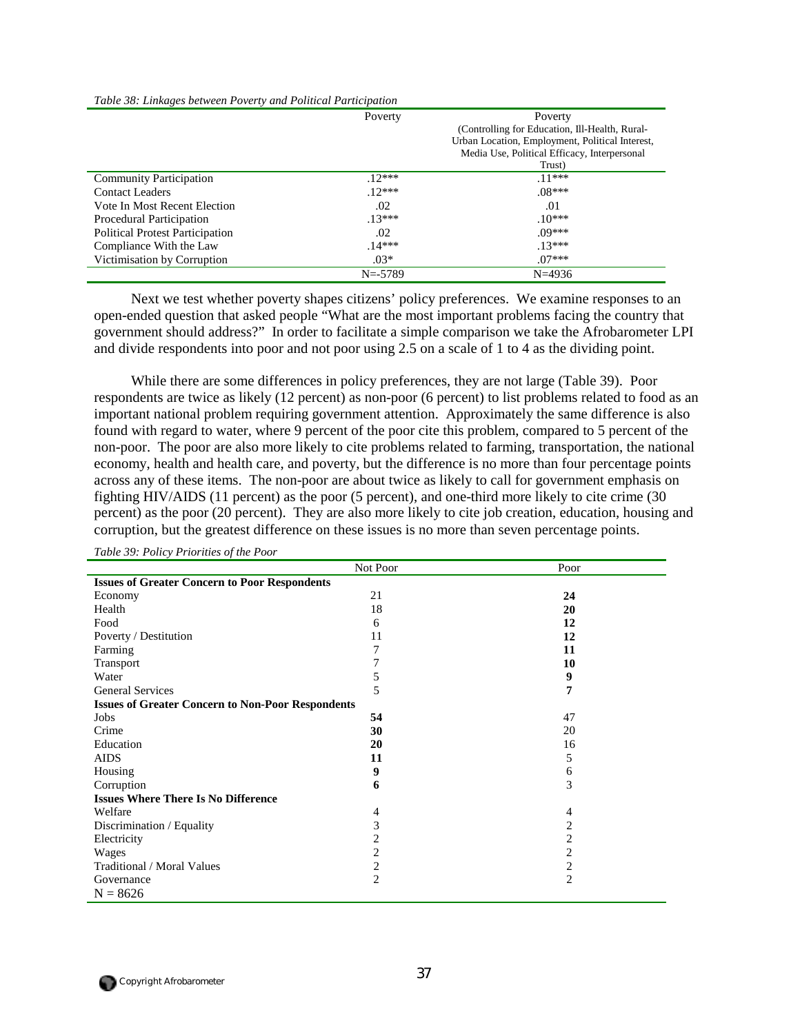|                                        | Poverty     | Poverty                                         |
|----------------------------------------|-------------|-------------------------------------------------|
|                                        |             | (Controlling for Education, Ill-Health, Rural-  |
|                                        |             | Urban Location, Employment, Political Interest, |
|                                        |             | Media Use, Political Efficacy, Interpersonal    |
|                                        |             | Trust)                                          |
| <b>Community Participation</b>         | $12***$     | $11***$                                         |
| Contact Leaders                        | $12***$     | $.08***$                                        |
| Vote In Most Recent Election           | .02         | .01                                             |
| Procedural Participation               | $13***$     | $.10***$                                        |
| <b>Political Protest Participation</b> | $.02\,$     | $0^{9***}$                                      |
| Compliance With the Law                | $14***$     | $13***$                                         |
| Victimisation by Corruption            | $.03*$      | $.07***$                                        |
|                                        | $N = -5789$ | $N = 4936$                                      |

*Table 38: Linkages between Poverty and Political Participation* 

Next we test whether poverty shapes citizens' policy preferences. We examine responses to an open-ended question that asked people "What are the most important problems facing the country that government should address?" In order to facilitate a simple comparison we take the Afrobarometer LPI and divide respondents into poor and not poor using 2.5 on a scale of 1 to 4 as the dividing point.

While there are some differences in policy preferences, they are not large (Table 39). Poor respondents are twice as likely (12 percent) as non-poor (6 percent) to list problems related to food as an important national problem requiring government attention. Approximately the same difference is also found with regard to water, where 9 percent of the poor cite this problem, compared to 5 percent of the non-poor. The poor are also more likely to cite problems related to farming, transportation, the national economy, health and health care, and poverty, but the difference is no more than four percentage points across any of these items. The non-poor are about twice as likely to call for government emphasis on fighting HIV/AIDS (11 percent) as the poor (5 percent), and one-third more likely to cite crime (30 percent) as the poor (20 percent). They are also more likely to cite job creation, education, housing and corruption, but the greatest difference on these issues is no more than seven percentage points.

|                                                          | Not Poor       | Poor           |
|----------------------------------------------------------|----------------|----------------|
| <b>Issues of Greater Concern to Poor Respondents</b>     |                |                |
| Economy                                                  | 21             | 24             |
| Health                                                   | 18             | 20             |
| Food                                                     | 6              | 12             |
| Poverty / Destitution                                    | 11             | 12             |
| Farming                                                  | 7              | 11             |
| Transport                                                | 7              | 10             |
| Water                                                    | 5              | 9              |
| <b>General Services</b>                                  | 5              | 7              |
| <b>Issues of Greater Concern to Non-Poor Respondents</b> |                |                |
| Jobs                                                     | 54             | 47             |
| Crime                                                    | 30             | 20             |
| Education                                                | 20             | 16             |
| <b>AIDS</b>                                              | 11             | 5              |
| Housing                                                  | 9              | 6              |
| Corruption                                               | 6              | 3              |
| <b>Issues Where There Is No Difference</b>               |                |                |
| Welfare                                                  | 4              | 4              |
| Discrimination / Equality                                | 3              | 2              |
| Electricity                                              | 2              | 2              |
| Wages                                                    | $\overline{2}$ | $\overline{c}$ |
| Traditional / Moral Values                               | $\overline{2}$ | $\overline{c}$ |
| Governance                                               | $\overline{2}$ | $\overline{2}$ |
| $N = 8626$                                               |                |                |

*Table 39: Policy Priorities of the Poor*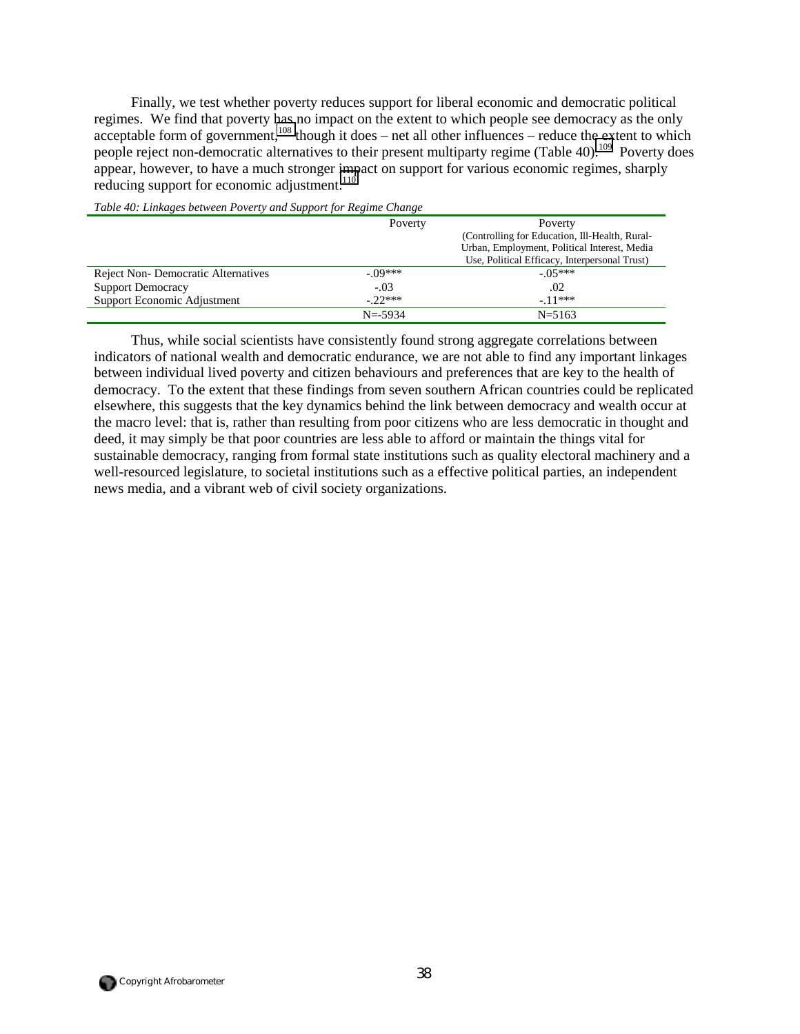Finally, we test whether poverty reduces support for liberal economic and democratic political regimes. We find that poverty has no impact on the extent to which people see democracy as the only  $\frac{108}{108}$  though it does – net all other influences – reduce the extent to which people reject non-democratic alternatives to their present multiparty regime (Table 40).<sup>109</sup> Poverty does appear, however, to have a much stronger impact on support for various economic regimes, sharply reducing support for economic adjustment.<sup>110</sup>

|                                    | Poverty     | Poverty                                        |
|------------------------------------|-------------|------------------------------------------------|
|                                    |             | (Controlling for Education, Ill-Health, Rural- |
|                                    |             | Urban, Employment, Political Interest, Media   |
|                                    |             | Use, Political Efficacy, Interpersonal Trust)  |
| Reject Non-Democratic Alternatives | $-09***$    | $-05***$                                       |
| <b>Support Democracy</b>           | $-.03$      | .02                                            |
| Support Economic Adjustment        | $-22***$    | $-11***$                                       |
|                                    | $N = -5934$ | $N = 5163$                                     |

*Table 40: Linkages between Poverty and Support for Regime Change* 

Thus, while social scientists have consistently found strong aggregate correlations between indicators of national wealth and democratic endurance, we are not able to find any important linkages between individual lived poverty and citizen behaviours and preferences that are key to the health of democracy. To the extent that these findings from seven southern African countries could be replicated elsewhere, this suggests that the key dynamics behind the link between democracy and wealth occur at the macro level: that is, rather than resulting from poor citizens who are less democratic in thought and deed, it may simply be that poor countries are less able to afford or maintain the things vital for sustainable democracy, ranging from formal state institutions such as quality electoral machinery and a well-resourced legislature, to societal institutions such as a effective political parties, an independent news media, and a vibrant web of civil society organizations.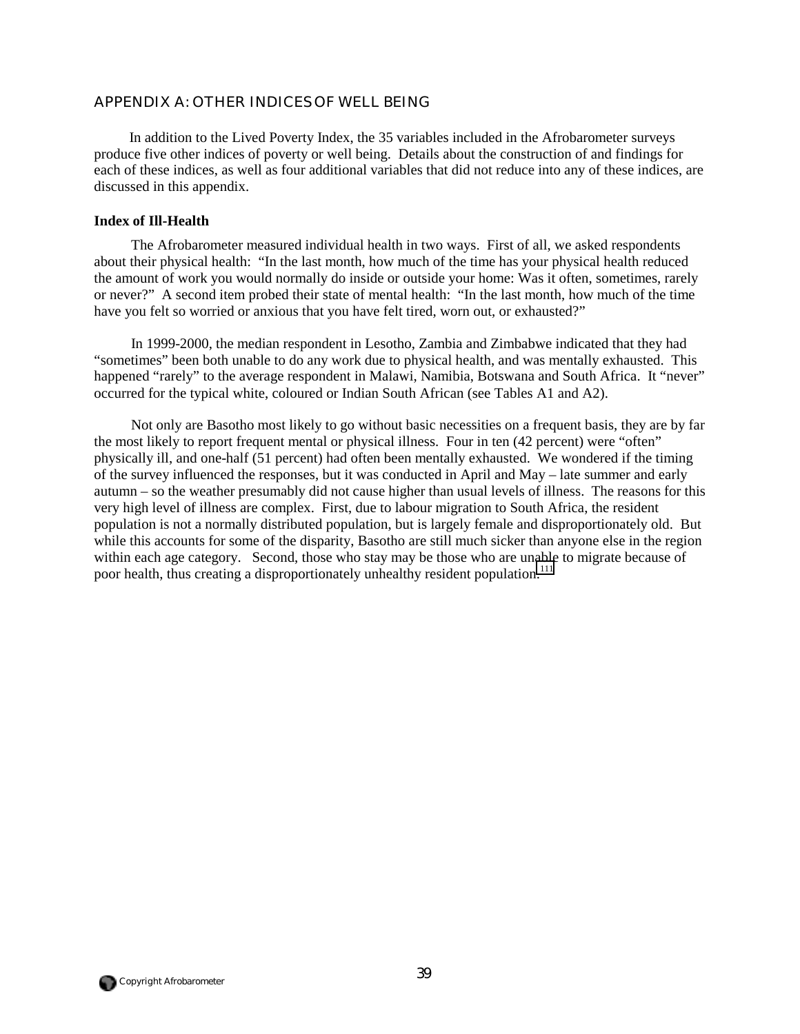## *APPENDIX A: OTHER INDICES OF WELL BEING*

In addition to the Lived Poverty Index, the 35 variables included in the Afrobarometer surveys produce five other indices of poverty or well being. Details about the construction of and findings for each of these indices, as well as four additional variables that did not reduce into any of these indices, are discussed in this appendix.

### **Index of Ill-Health**

The Afrobarometer measured individual health in two ways. First of all, we asked respondents about their physical health: "In the last month, how much of the time has your physical health reduced the amount of work you would normally do inside or outside your home: Was it often, sometimes, rarely or never?" A second item probed their state of mental health: "In the last month, how much of the time have you felt so worried or anxious that you have felt tired, worn out, or exhausted?"

In 1999-2000, the median respondent in Lesotho, Zambia and Zimbabwe indicated that they had "sometimes" been both unable to do any work due to physical health, and was mentally exhausted. This happened "rarely" to the average respondent in Malawi, Namibia, Botswana and South Africa. It "never" occurred for the typical white, coloured or Indian South African (see Tables A1 and A2).

Not only are Basotho most likely to go without basic necessities on a frequent basis, they are by far the most likely to report frequent mental or physical illness. Four in ten (42 percent) were "often" physically ill, and one-half (51 percent) had often been mentally exhausted. We wondered if the timing of the survey influenced the responses, but it was conducted in April and May – late summer and early autumn – so the weather presumably did not cause higher than usual levels of illness. The reasons for this very high level of illness are complex. First, due to labour migration to South Africa, the resident population is not a normally distributed population, but is largely female and disproportionately old. But while this accounts for some of the disparity, Basotho are still much sicker than anyone else in the region within each age category. Second, those who stay may be those who are unable to migrate because of poor health, thus creating a disproportionately unhealthy resident population.<sup>[111](#page-65-0)</sup>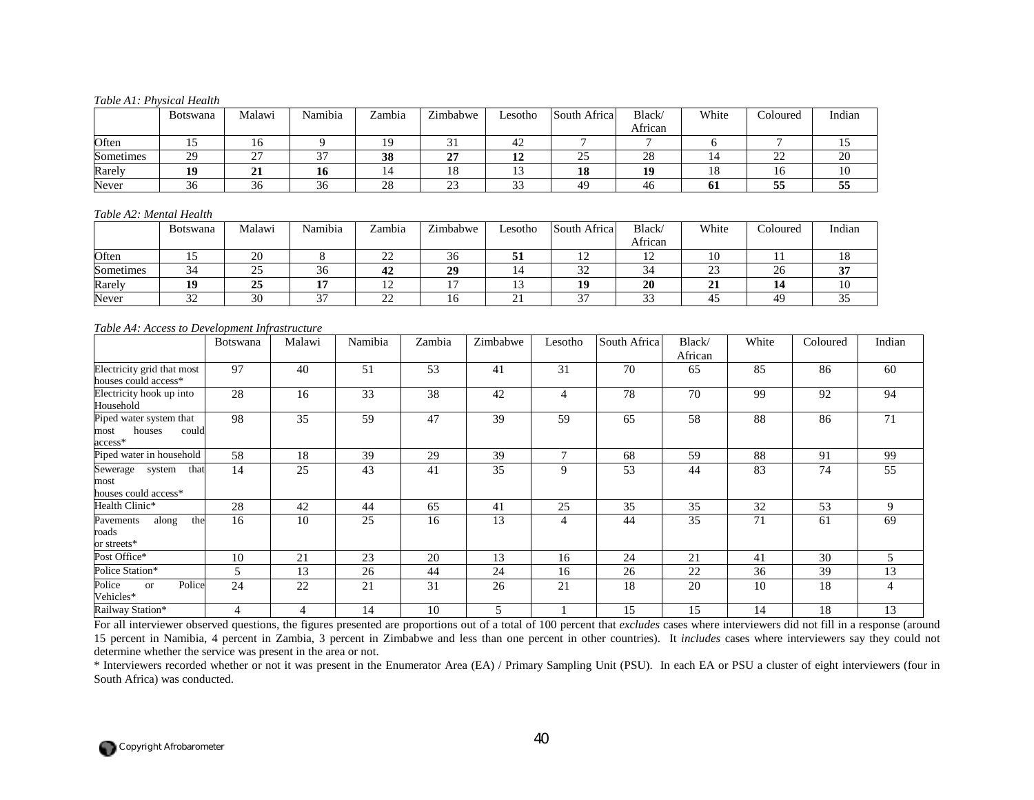#### *Table A1: Physical Health*

|           | <b>Botswana</b> | Malawi    | Namibia       | Zambia | Zimbabwe        | Lesotho         | South Africal   | Black/<br>African | White | Coloured    | Indian |
|-----------|-----------------|-----------|---------------|--------|-----------------|-----------------|-----------------|-------------------|-------|-------------|--------|
| Often     |                 |           |               |        |                 | -42             |                 |                   |       |             |        |
| Sometimes | 29              | $\sim$    | $\sim$        | 38     | $\sim$<br>◢     | 10<br><b>14</b> | <b>^^</b><br>رے | 28                |       | $\sim$<br>∸ | 20     |
| Rarely    | 19              | 41        | 10            |        | 18              |                 | 10<br>10        | 1 A               | 10    | 10          | ΙV     |
| Never     | $\sim$<br>36    | ⌒ ∕<br>36 | $\sim$<br>-36 | 28     | $\bigcap$<br>د∠ | $\sim$<br>ر ر   | 4 <sup>c</sup>  | 46                | v.    | $ -$<br>55  | JJ.    |

#### *Table A2: Mental Health*

|           | <b>Botswana</b> | Malawi | Namibia<br>$\mathbf{r}$ | Zambia            | $\overline{ }$<br>Zimbabwe | $\text{Lesotho}$ | South Africa  | Black/         | White             | Coloured | Indian      |
|-----------|-----------------|--------|-------------------------|-------------------|----------------------------|------------------|---------------|----------------|-------------------|----------|-------------|
|           |                 |        |                         |                   |                            |                  |               | African        |                   |          |             |
| Often     |                 | 20     |                         | $\sim$<br>∠∠      | $\sim$<br>30               |                  | ∸             | $\overline{1}$ | 1U.               | . .      | 10          |
| Sometimes | 34              | ر_     | $\sim$<br>36            | 42                | 29                         |                  | $\sim$<br>ے ر | $\sim$         | $\bigcap$<br>ل کے | 26       | $\sim$<br>ີ |
| Rarely    |                 | 25     |                         | $1^{\circ}$<br>14 | . .                        |                  | 10            | 20             | ◢                 | 14       | 10          |
| Never     | $\sim$<br>ے ر   | 30     | $\sim$                  | nη<br>∠∠          | 10                         | . <u>. .</u>     | $\sim$        | $\sim$<br>ر ر  | 4.                | 49       | ິ           |

#### *Table A4: Access to Development Infrastructure*

|                                                               | <b>Botswana</b> | Malawi | Namibia | Zambia | Zimbabwe | Lesotho        | South Africa | Black/<br>African | White | Coloured | Indian         |
|---------------------------------------------------------------|-----------------|--------|---------|--------|----------|----------------|--------------|-------------------|-------|----------|----------------|
| Electricity grid that most<br>houses could access*            | 97              | 40     | 51      | 53     | 41       | 31             | 70           | 65                | 85    | 86       | 60             |
| Electricity hook up into<br>Household                         | 28              | 16     | 33      | 38     | 42       | $\overline{4}$ | 78           | 70                | 99    | 92       | 94             |
| Piped water system that<br>could<br>houses<br>most<br>access* | 98              | 35     | 59      | 47     | 39       | 59             | 65           | 58                | 88    | 86       | 71             |
| Piped water in household                                      | 58              | 18     | 39      | 29     | 39       | 7              | 68           | 59                | 88    | 91       | 99             |
| Sewerage<br>that<br>system<br>most<br>houses could access*    | 14              | 25     | 43      | 41     | 35       | 9              | 53           | 44                | 83    | 74       | 55             |
| Health Clinic*                                                | 28              | 42     | 44      | 65     | 41       | 25             | 35           | 35                | 32    | 53       | 9              |
| the<br>along<br>Pavements<br>roads<br>or streets*             | 16              | 10     | 25      | 16     | 13       | 4              | 44           | 35                | 71    | 61       | 69             |
| Post Office*                                                  | 10              | 21     | 23      | 20     | 13       | 16             | 24           | 21                | 41    | 30       | $\overline{5}$ |
| Police Station*                                               | 5               | 13     | 26      | 44     | 24       | 16             | 26           | 22                | 36    | 39       | 13             |
| Police<br>Police<br><b>or</b><br>Vehicles*                    | 24              | 22     | 21      | 31     | 26       | 21             | 18           | 20                | 10    | 18       | $\overline{4}$ |
| Railway Station*                                              | 4               | 4      | 14      | 10     | 5        |                | 15           | 15                | 14    | 18       | 13             |

For all interviewer observed questions, the figures presented are proportions out of a total of 100 percent that *excludes* cases where interviewers did not fill in a response (around 15 percent in Namibia, 4 percent in Zambia, 3 percent in Zimbabwe and less than one percent in other countries). It *includes* cases where interviewers say they could not determine whether the service was present in the area or not.

\* Interviewers recorded whether or not it was present in the Enumerator Area (EA) / Primary Sampling Unit (PSU). In each EA or PSU a cluster of eight interviewers (four in South Africa) was conducted.

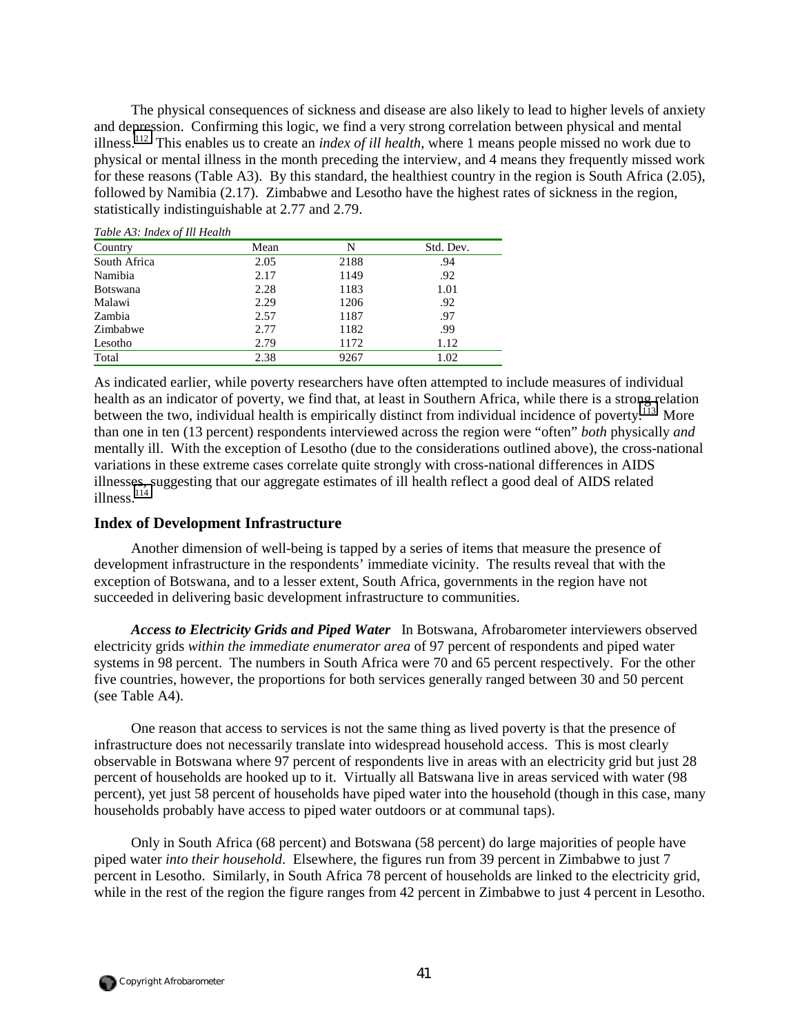The physical consequences of sickness and disease are also likely to lead to higher levels of anxiety and depression. Confirming this logic, we find a very strong correlation between physical and mental illness.[112](#page-65-0) This enables us to create an *index of ill health*, where 1 means people missed no work due to physical or mental illness in the month preceding the interview, and 4 means they frequently missed work for these reasons (Table A3). By this standard, the healthiest country in the region is South Africa (2.05), followed by Namibia (2.17). Zimbabwe and Lesotho have the highest rates of sickness in the region, statistically indistinguishable at 2.77 and 2.79.

| Table <i>T</i> 19. <i>Haden of the Health</i> |      |      |           |
|-----------------------------------------------|------|------|-----------|
| Country                                       | Mean | N    | Std. Dev. |
| South Africa                                  | 2.05 | 2188 | .94       |
| Namibia                                       | 2.17 | 1149 | .92       |
| <b>Botswana</b>                               | 2.28 | 1183 | 1.01      |
| Malawi                                        | 2.29 | 1206 | .92       |
| Zambia                                        | 2.57 | 1187 | .97       |
| Zimbabwe                                      | 2.77 | 1182 | .99       |
| Lesotho                                       | 2.79 | 1172 | 1.12      |
| Total                                         | 2.38 | 9267 | 1.02      |
|                                               |      |      |           |

*Table A3: Index of Ill Health* 

As indicated earlier, while poverty researchers have often attempted to include measures of individual health as an indicator of poverty, we find that, at least in Southern Africa, while there is a strong relation between the two, individual health is empirically distinct from individual incidence of poverty.<sup>113</sup> More than one in ten (13 percent) respondents interviewed across the region were "often" *both* physically *and* mentally ill. With the exception of Lesotho (due to the considerations outlined above), the cross-national variations in these extreme cases correlate quite strongly with cross-national differences in AIDS illnesses, suggesting that our aggregate estimates of ill health reflect a good deal of AIDS related illness. $114$ 

## **Index of Development Infrastructure**

Another dimension of well-being is tapped by a series of items that measure the presence of development infrastructure in the respondents' immediate vicinity. The results reveal that with the exception of Botswana, and to a lesser extent, South Africa, governments in the region have not succeeded in delivering basic development infrastructure to communities.

*Access to Electricity Grids and Piped Water* In Botswana, Afrobarometer interviewers observed electricity grids *within the immediate enumerator area* of 97 percent of respondents and piped water systems in 98 percent. The numbers in South Africa were 70 and 65 percent respectively. For the other five countries, however, the proportions for both services generally ranged between 30 and 50 percent (see Table A4).

One reason that access to services is not the same thing as lived poverty is that the presence of infrastructure does not necessarily translate into widespread household access. This is most clearly observable in Botswana where 97 percent of respondents live in areas with an electricity grid but just 28 percent of households are hooked up to it. Virtually all Batswana live in areas serviced with water (98 percent), yet just 58 percent of households have piped water into the household (though in this case, many households probably have access to piped water outdoors or at communal taps).

Only in South Africa (68 percent) and Botswana (58 percent) do large majorities of people have piped water *into their household*. Elsewhere, the figures run from 39 percent in Zimbabwe to just 7 percent in Lesotho. Similarly, in South Africa 78 percent of households are linked to the electricity grid, while in the rest of the region the figure ranges from 42 percent in Zimbabwe to just 4 percent in Lesotho.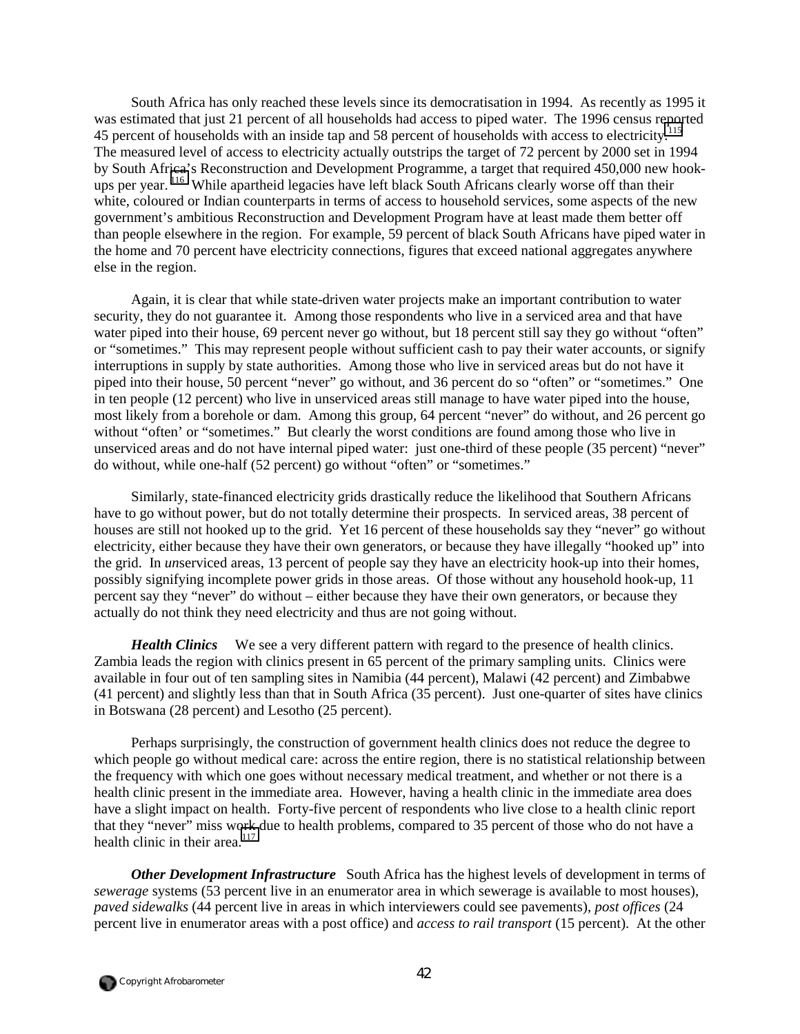South Africa has only reached these levels since its democratisation in 1994. As recently as 1995 it was estimated that just 21 percent of all households had access to piped water. The 1996 census reported 45 percent of households with an inside tap and 58 percent of households with access to electricity.<sup>[115](#page-65-0)</sup> The measured level of access to electricity actually outstrips the target of 72 percent by 2000 set in 1994 by South Africa's Reconstruction and Development Programme, a target that required 450,000 new hookups per year. <sup>116</sup> While apartheid legacies have left black South Africans clearly worse off than their white, coloured or Indian counterparts in terms of access to household services, some aspects of the new government's ambitious Reconstruction and Development Program have at least made them better off than people elsewhere in the region. For example, 59 percent of black South Africans have piped water in the home and 70 percent have electricity connections, figures that exceed national aggregates anywhere else in the region.

Again, it is clear that while state-driven water projects make an important contribution to water security, they do not guarantee it. Among those respondents who live in a serviced area and that have water piped into their house, 69 percent never go without, but 18 percent still say they go without "often" or "sometimes." This may represent people without sufficient cash to pay their water accounts, or signify interruptions in supply by state authorities. Among those who live in serviced areas but do not have it piped into their house, 50 percent "never" go without, and 36 percent do so "often" or "sometimes." One in ten people (12 percent) who live in unserviced areas still manage to have water piped into the house, most likely from a borehole or dam. Among this group, 64 percent "never" do without, and 26 percent go without "often' or "sometimes." But clearly the worst conditions are found among those who live in unserviced areas and do not have internal piped water: just one-third of these people (35 percent) "never" do without, while one-half (52 percent) go without "often" or "sometimes."

Similarly, state-financed electricity grids drastically reduce the likelihood that Southern Africans have to go without power, but do not totally determine their prospects. In serviced areas, 38 percent of houses are still not hooked up to the grid. Yet 16 percent of these households say they "never" go without electricity, either because they have their own generators, or because they have illegally "hooked up" into the grid. In *un*serviced areas, 13 percent of people say they have an electricity hook-up into their homes, possibly signifying incomplete power grids in those areas. Of those without any household hook-up, 11 percent say they "never" do without – either because they have their own generators, or because they actually do not think they need electricity and thus are not going without.

*Health Clinics* We see a very different pattern with regard to the presence of health clinics. Zambia leads the region with clinics present in 65 percent of the primary sampling units. Clinics were available in four out of ten sampling sites in Namibia (44 percent), Malawi (42 percent) and Zimbabwe (41 percent) and slightly less than that in South Africa (35 percent). Just one-quarter of sites have clinics in Botswana (28 percent) and Lesotho (25 percent).

Perhaps surprisingly, the construction of government health clinics does not reduce the degree to which people go without medical care: across the entire region, there is no statistical relationship between the frequency with which one goes without necessary medical treatment, and whether or not there is a health clinic present in the immediate area. However, having a health clinic in the immediate area does have a slight impact on health. Forty-five percent of respondents who live close to a health clinic report that they "never" miss work due to health problems, compared to 35 percent of those who do not have a health clinic in their area.<sup>[117](#page-65-0)</sup>

*Other Development Infrastructure* South Africa has the highest levels of development in terms of *sewerage* systems (53 percent live in an enumerator area in which sewerage is available to most houses), *paved sidewalks* (44 percent live in areas in which interviewers could see pavements), *post offices* (24 percent live in enumerator areas with a post office) and *access to rail transport* (15 percent). At the other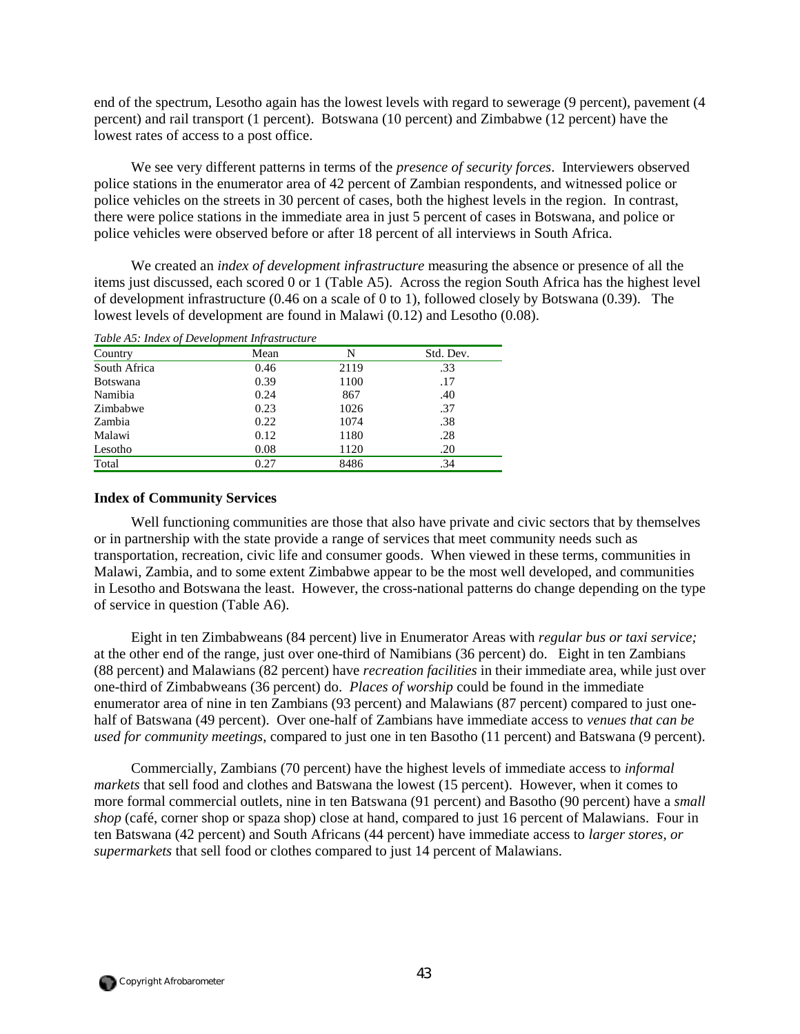end of the spectrum, Lesotho again has the lowest levels with regard to sewerage (9 percent), pavement (4 percent) and rail transport (1 percent). Botswana (10 percent) and Zimbabwe (12 percent) have the lowest rates of access to a post office.

We see very different patterns in terms of the *presence of security forces*. Interviewers observed police stations in the enumerator area of 42 percent of Zambian respondents, and witnessed police or police vehicles on the streets in 30 percent of cases, both the highest levels in the region. In contrast, there were police stations in the immediate area in just 5 percent of cases in Botswana, and police or police vehicles were observed before or after 18 percent of all interviews in South Africa.

We created an *index of development infrastructure* measuring the absence or presence of all the items just discussed, each scored 0 or 1 (Table A5). Across the region South Africa has the highest level of development infrastructure (0.46 on a scale of 0 to 1), followed closely by Botswana (0.39). The lowest levels of development are found in Malawi (0.12) and Lesotho (0.08).

| Table AS: Index of Development Infrastructure |      |      |           |  |  |  |  |  |
|-----------------------------------------------|------|------|-----------|--|--|--|--|--|
| Country                                       | Mean | N    | Std. Dev. |  |  |  |  |  |
| South Africa                                  | 0.46 | 2119 | .33       |  |  |  |  |  |
| <b>Botswana</b>                               | 0.39 | 1100 | .17       |  |  |  |  |  |
| Namibia                                       | 0.24 | 867  | .40       |  |  |  |  |  |
| Zimbabwe                                      | 0.23 | 1026 | .37       |  |  |  |  |  |
| Zambia                                        | 0.22 | 1074 | .38       |  |  |  |  |  |
| Malawi                                        | 0.12 | 1180 | .28       |  |  |  |  |  |
| Lesotho                                       | 0.08 | 1120 | .20       |  |  |  |  |  |
| Total                                         | 0.27 | 8486 | .34       |  |  |  |  |  |

*Table A5: Index of Development Infrastructure* 

## **Index of Community Services**

Well functioning communities are those that also have private and civic sectors that by themselves or in partnership with the state provide a range of services that meet community needs such as transportation, recreation, civic life and consumer goods. When viewed in these terms, communities in Malawi, Zambia, and to some extent Zimbabwe appear to be the most well developed, and communities in Lesotho and Botswana the least. However, the cross-national patterns do change depending on the type of service in question (Table A6).

Eight in ten Zimbabweans (84 percent) live in Enumerator Areas with *regular bus or taxi service;*  at the other end of the range, just over one-third of Namibians (36 percent) do. Eight in ten Zambians (88 percent) and Malawians (82 percent) have *recreation facilities* in their immediate area, while just over one-third of Zimbabweans (36 percent) do. *Places of worship* could be found in the immediate enumerator area of nine in ten Zambians (93 percent) and Malawians (87 percent) compared to just onehalf of Batswana (49 percent). Over one-half of Zambians have immediate access to *venues that can be used for community meetings*, compared to just one in ten Basotho (11 percent) and Batswana (9 percent).

Commercially, Zambians (70 percent) have the highest levels of immediate access to *informal markets* that sell food and clothes and Batswana the lowest (15 percent). However, when it comes to more formal commercial outlets, nine in ten Batswana (91 percent) and Basotho (90 percent) have a *small shop* (café, corner shop or spaza shop) close at hand, compared to just 16 percent of Malawians. Four in ten Batswana (42 percent) and South Africans (44 percent) have immediate access to *larger stores, or supermarkets* that sell food or clothes compared to just 14 percent of Malawians.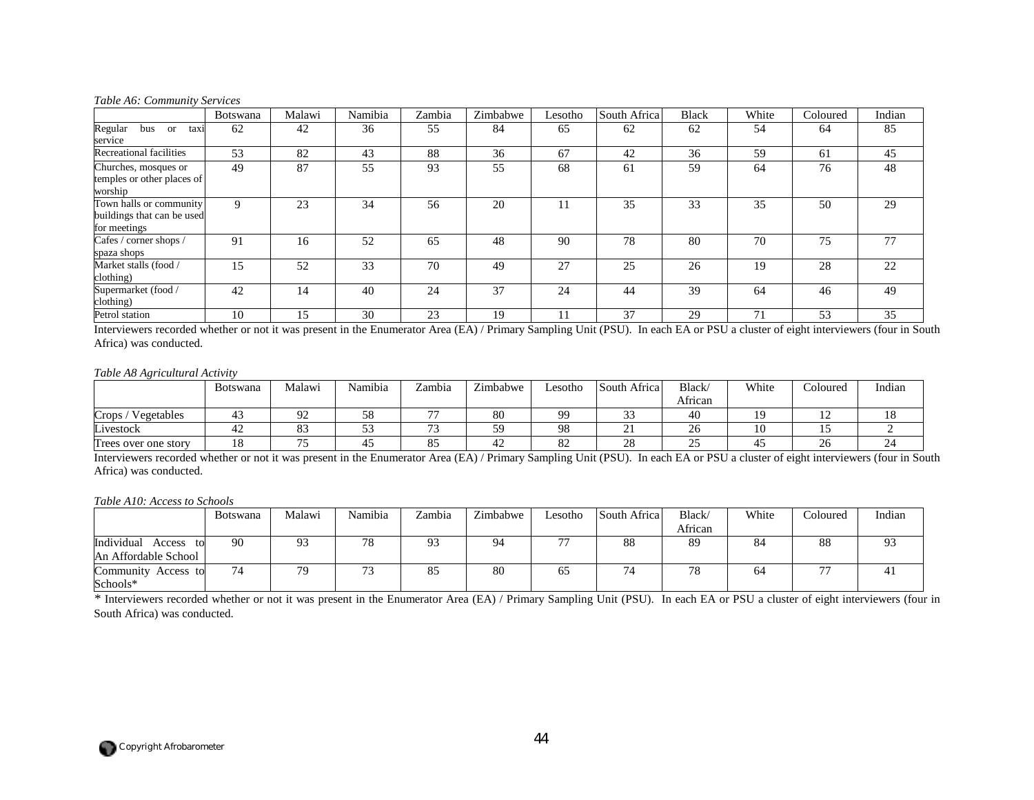#### *Table A6: Community Services*

|                                                                       | Botswana | Malawi | Namibia | Zambia | Zimbabwe | Lesotho | South Africa | <b>Black</b> | White | Coloured | Indian |
|-----------------------------------------------------------------------|----------|--------|---------|--------|----------|---------|--------------|--------------|-------|----------|--------|
| Regular<br>bus<br><sub>or</sub><br>taxi<br>service                    | 62       | 42     | 36      | 55     | 84       | 65      | 62           | 62           | 54    | 64       | 85     |
| Recreational facilities                                               | 53       | 82     | 43      | 88     | 36       | 67      | 42           | 36           | 59    | 61       | 45     |
| Churches, mosques or<br>temples or other places of<br>worship         | 49       | 87     | 55      | 93     | 55       | 68      | 61           | 59           | 64    | 76       | 48     |
| Town halls or community<br>buildings that can be used<br>for meetings | Q        | 23     | 34      | 56     | 20       | 11      | 35           | 33           | 35    | 50       | 29     |
| Cafes / corner shops /<br>spaza shops                                 | 91       | 16     | 52      | 65     | 48       | 90      | 78           | 80           | 70    | 75       | 77     |
| Market stalls (food /<br>clothing)                                    | 15       | 52     | 33      | 70     | 49       | 27      | 25           | 26           | 19    | 28       | 22     |
| Supermarket (food /<br>clothing)                                      | 42       | 14     | 40      | 24     | 37       | 24      | 44           | 39           | 64    | 46       | 49     |
| Petrol station                                                        | 10       | 15     | 30      | 23     | 19       | 11      | 37           | 29           | 71    | 53       | 35     |

Interviewers recorded whether or not it was present in the Enumerator Area (EA) / Primary Sampling Unit (PSU). In each EA or PSU a cluster of eight interviewers (four in South Africa) was conducted.

#### *Table A8 Agricultural Activity*

|                      | <b>Botswana</b> | Malawi   | Namibia  | Zambia              | $\overline{\phantom{a}}$<br>Zimbabwe | ∟esotho       | South Africa   | <b>Black</b><br>African | White | Coloured     | Indian |
|----------------------|-----------------|----------|----------|---------------------|--------------------------------------|---------------|----------------|-------------------------|-------|--------------|--------|
| Vegetables<br>Crops  |                 | $\sim$   | 50<br>υo | $- -$               | 80                                   | QQ            | $\sim$<br>ر. ر | 40                      |       | ∸            |        |
| Livestock            | 4.              | $\Omega$ | ັ        |                     | 59                                   | 98            | ∸              | 26                      | ιv    |              |        |
| Trees over one story | $\overline{ }$  | $- -$    | 4≂       | $O \subseteq$<br>83 | $\sim$<br>┭∠                         | $\circ$<br>ΟŹ | 28             | $\sim$ $\sim$           |       | $\sim$<br>ΖO | 24     |

Interviewers recorded whether or not it was present in the Enumerator Area (EA) / Primary Sampling Unit (PSU). In each EA or PSU a cluster of eight interviewers (four in South Africa) was conducted.

#### *Table A10: Access to Schools*

|                              | Botswana | Malawi | Namibia                  | Zambia      | Zimbabwe | $\text{Lesotho}$ | South Africal            | Black/  | White | Coloured                 | Indian         |
|------------------------------|----------|--------|--------------------------|-------------|----------|------------------|--------------------------|---------|-------|--------------------------|----------------|
|                              |          |        |                          |             |          |                  |                          | African |       |                          |                |
| Individual<br>Access<br>- to | 90       | 02     | 70<br>۰٥                 | $^{\Omega}$ | 94       | $\overline{ }$   | 88                       | 89      | 84    | 88                       | Q <sub>2</sub> |
| An Affordable School         |          |        |                          |             |          |                  |                          |         |       |                          |                |
| Community<br>Access to       | 74       | 79     | $\overline{\phantom{a}}$ | 85          | 80       | OS.              | $\overline{\phantom{a}}$ | 78      | 64    | $\overline{\phantom{a}}$ | 41             |
| Schools*                     |          |        |                          |             |          |                  |                          |         |       |                          |                |

*\** Interviewers recorded whether or not it was present in the Enumerator Area (EA) / Primary Sampling Unit (PSU). In each EA or PSU a cluster of eight interviewers (four in South Africa) was conducted.

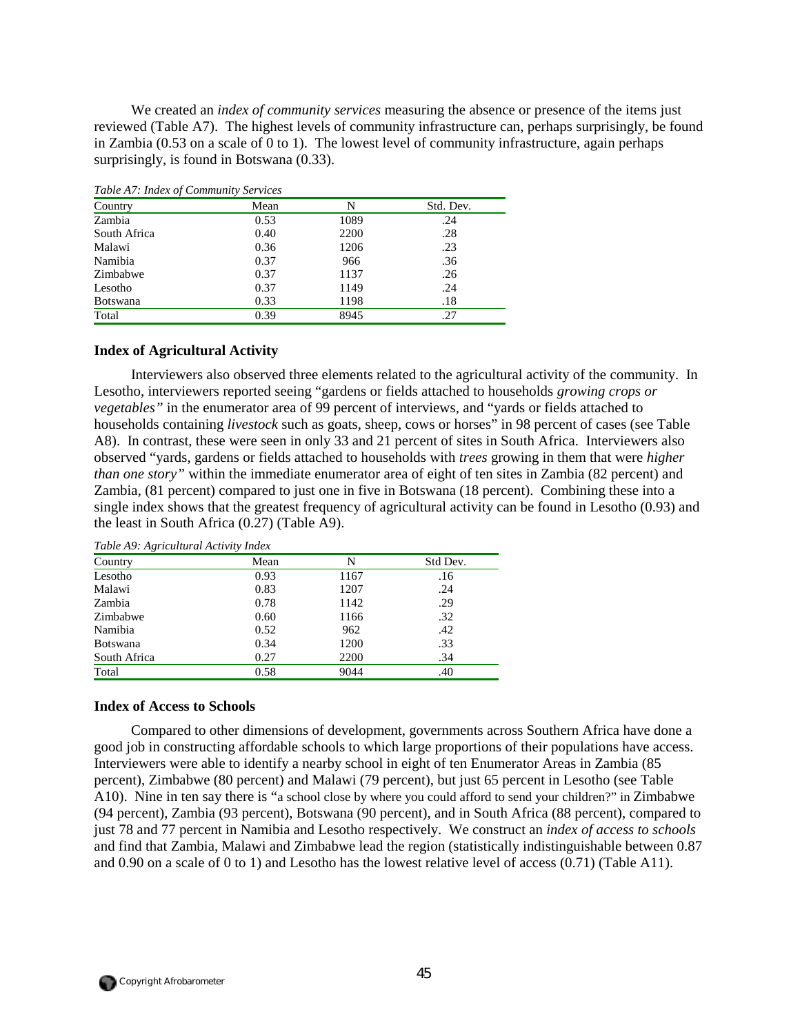We created an *index of community services* measuring the absence or presence of the items just reviewed (Table A7). The highest levels of community infrastructure can, perhaps surprisingly, be found in Zambia (0.53 on a scale of 0 to 1). The lowest level of community infrastructure, again perhaps surprisingly, is found in Botswana  $(0.33)$ .

| Tuble A). Thus by Community Services |      |      |           |
|--------------------------------------|------|------|-----------|
| Country                              | Mean | N    | Std. Dev. |
| Zambia                               | 0.53 | 1089 | .24       |
| South Africa                         | 0.40 | 2200 | .28       |
| Malawi                               | 0.36 | 1206 | .23       |
| Namibia                              | 0.37 | 966  | .36       |
| Zimbabwe                             | 0.37 | 1137 | .26       |
| Lesotho                              | 0.37 | 1149 | .24       |
| <b>Botswana</b>                      | 0.33 | 1198 | .18       |
| Total                                | 0.39 | 8945 | .27       |

*Table A7: Index of Community Services* 

#### **Index of Agricultural Activity**

Interviewers also observed three elements related to the agricultural activity of the community. In Lesotho, interviewers reported seeing "gardens or fields attached to households *growing crops or vegetables"* in the enumerator area of 99 percent of interviews, and "yards or fields attached to households containing *livestock* such as goats, sheep, cows or horses" in 98 percent of cases (see Table A8). In contrast, these were seen in only 33 and 21 percent of sites in South Africa. Interviewers also observed "yards, gardens or fields attached to households with *trees* growing in them that were *higher than one story"* within the immediate enumerator area of eight of ten sites in Zambia (82 percent) and Zambia, (81 percent) compared to just one in five in Botswana (18 percent). Combining these into a single index shows that the greatest frequency of agricultural activity can be found in Lesotho (0.93) and the least in South Africa (0.27) (Table A9).

| Country         | Mean | N    | Std Dev. |
|-----------------|------|------|----------|
| Lesotho         | 0.93 | 1167 | .16      |
| Malawi          | 0.83 | 1207 | .24      |
| Zambia          | 0.78 | 1142 | .29      |
| Zimbabwe        | 0.60 | 1166 | .32      |
| Namibia         | 0.52 | 962  | .42      |
| <b>Botswana</b> | 0.34 | 1200 | .33      |
| South Africa    | 0.27 | 2200 | .34      |
| Total           | 0.58 | 9044 | .40      |

#### **Index of Access to Schools**

Compared to other dimensions of development, governments across Southern Africa have done a good job in constructing affordable schools to which large proportions of their populations have access. Interviewers were able to identify a nearby school in eight of ten Enumerator Areas in Zambia (85 percent), Zimbabwe (80 percent) and Malawi (79 percent), but just 65 percent in Lesotho (see Table A10). Nine in ten say there is "a school close by where you could afford to send your children?" in Zimbabwe (94 percent), Zambia (93 percent), Botswana (90 percent), and in South Africa (88 percent), compared to just 78 and 77 percent in Namibia and Lesotho respectively. We construct an *index of access to schools* and find that Zambia, Malawi and Zimbabwe lead the region (statistically indistinguishable between 0.87 and 0.90 on a scale of 0 to 1) and Lesotho has the lowest relative level of access (0.71) (Table A11).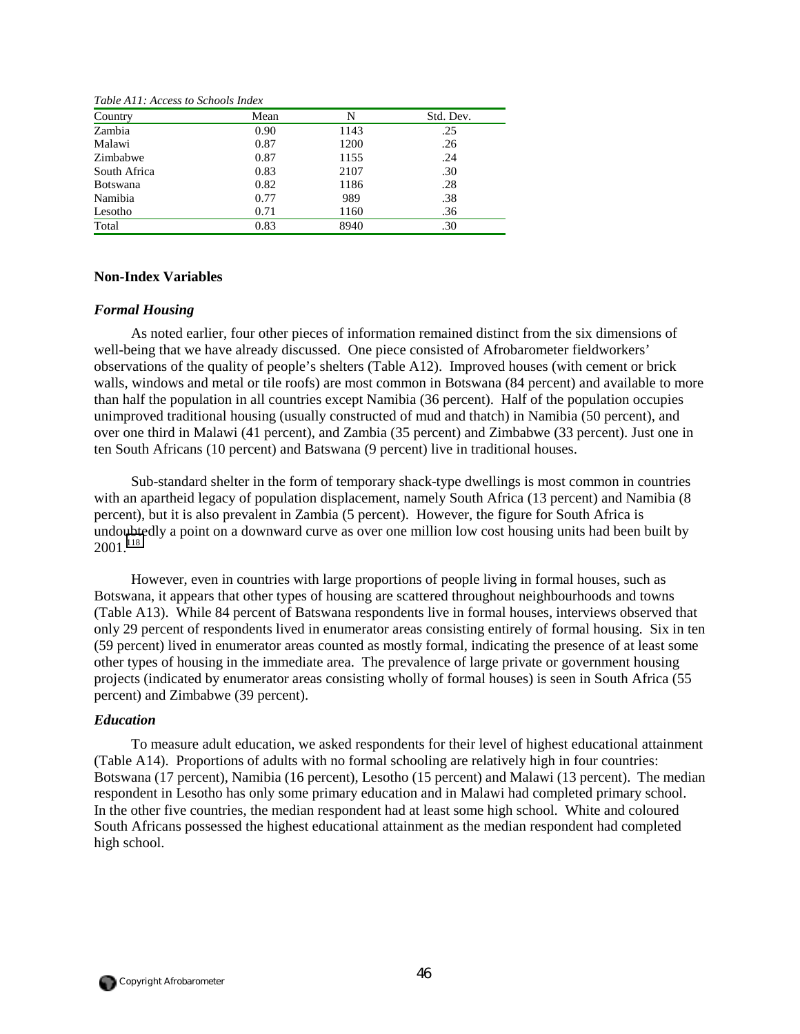| Country         | Mean | N    | Std. Dev. |
|-----------------|------|------|-----------|
| Zambia          | 0.90 | 1143 | .25       |
| Malawi          | 0.87 | 1200 | .26       |
| Zimbabwe        | 0.87 | 1155 | .24       |
| South Africa    | 0.83 | 2107 | .30       |
| <b>Botswana</b> | 0.82 | 1186 | .28       |
| Namibia         | 0.77 | 989  | .38       |
| Lesotho         | 0.71 | 1160 | .36       |
| Total           | 0.83 | 8940 | .30       |

*Table A11: Access to Schools Index* 

#### **Non-Index Variables**

#### *Formal Housing*

As noted earlier, four other pieces of information remained distinct from the six dimensions of well-being that we have already discussed. One piece consisted of Afrobarometer fieldworkers' observations of the quality of people's shelters (Table A12). Improved houses (with cement or brick walls, windows and metal or tile roofs) are most common in Botswana (84 percent) and available to more than half the population in all countries except Namibia (36 percent). Half of the population occupies unimproved traditional housing (usually constructed of mud and thatch) in Namibia (50 percent), and over one third in Malawi (41 percent), and Zambia (35 percent) and Zimbabwe (33 percent). Just one in ten South Africans (10 percent) and Batswana (9 percent) live in traditional houses.

Sub-standard shelter in the form of temporary shack-type dwellings is most common in countries with an apartheid legacy of population displacement, namely South Africa (13 percent) and Namibia (8 percent), but it is also prevalent in Zambia (5 percent). However, the figure for South Africa is undoubtedly a point on a downward curve as over one million low cost housing units had been built by 2001.[118](#page-65-0)

However, even in countries with large proportions of people living in formal houses, such as Botswana, it appears that other types of housing are scattered throughout neighbourhoods and towns (Table A13). While 84 percent of Batswana respondents live in formal houses, interviews observed that only 29 percent of respondents lived in enumerator areas consisting entirely of formal housing. Six in ten (59 percent) lived in enumerator areas counted as mostly formal, indicating the presence of at least some other types of housing in the immediate area. The prevalence of large private or government housing projects (indicated by enumerator areas consisting wholly of formal houses) is seen in South Africa (55 percent) and Zimbabwe (39 percent).

#### *Education*

To measure adult education, we asked respondents for their level of highest educational attainment (Table A14). Proportions of adults with no formal schooling are relatively high in four countries: Botswana (17 percent), Namibia (16 percent), Lesotho (15 percent) and Malawi (13 percent). The median respondent in Lesotho has only some primary education and in Malawi had completed primary school. In the other five countries, the median respondent had at least some high school. White and coloured South Africans possessed the highest educational attainment as the median respondent had completed high school.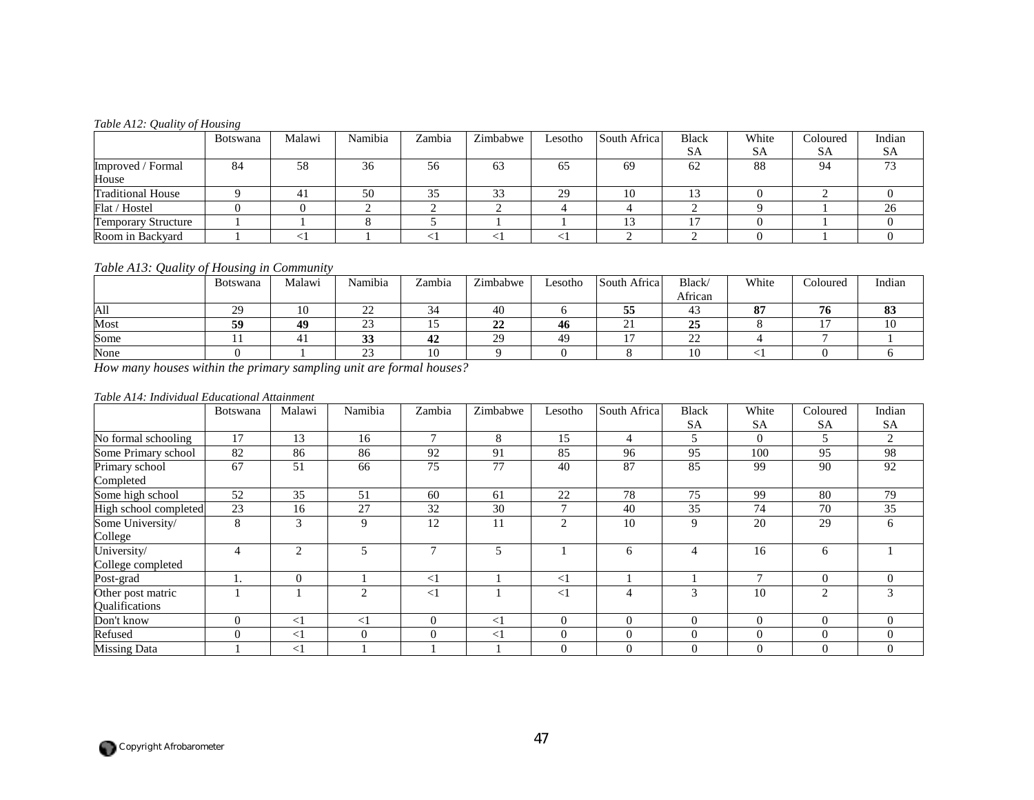#### *Table A12: Quality of Housing*

|                            | <b>Botswana</b> | Malawi | Namibia | Zambia    | Zimbabwe | Lesotho | South Africal | <b>Black</b> | White     | Coloured  | Indian    |
|----------------------------|-----------------|--------|---------|-----------|----------|---------|---------------|--------------|-----------|-----------|-----------|
|                            |                 |        |         |           |          |         |               | <b>SA</b>    | <b>SA</b> | <b>SA</b> | <b>SA</b> |
| Improved / Formal          | 84              | 58     | 36      | 56        | 63       | 65      | 69            | 62           | 88        | 94        | 72        |
| House                      |                 |        |         |           |          |         |               |              |           |           |           |
| <b>Traditional House</b>   |                 |        | 50      | 25<br>ر ر | 33       | 29      | 10            | 13           |           |           |           |
| Flat / Hostel              |                 |        |         |           |          |         |               |              |           |           | 26        |
| <b>Temporary Structure</b> |                 |        |         |           |          |         |               |              |           |           |           |
| Room in Backyard           |                 |        |         |           |          |         |               |              |           |           |           |

## *Table A13: Quality of Housing in Community*

|      | <b>Botswana</b> | Malawi | Namibia                            | Zambia       | Zimbabwe | Lesotho | South Africa         | <b>Black</b> | White             | Coloured | Indian         |
|------|-----------------|--------|------------------------------------|--------------|----------|---------|----------------------|--------------|-------------------|----------|----------------|
|      |                 |        |                                    |              |          |         |                      | African      |                   |          |                |
| All  | 20              |        | $\sim$<br>$\overline{\phantom{a}}$ | $\sim$<br>34 | 40       |         | --<br>55             | 43           | 05<br>$\mathbf o$ | н.<br>70 | $\Omega$<br>89 |
| Most | 59              | 49     | $\sim$<br>ت                        |              | າາ<br>44 | 46      | $\sim$<br><u>، ب</u> | 25           |                   |          | ΙV             |
| Some |                 |        | $\mathbf{A}$<br>ມມ                 | 42           | 29       | 49      |                      | $\cap$<br>∠∠ |                   |          |                |
| None |                 |        | $\sim$                             |              |          |         |                      | 10           |                   |          |                |

*How many houses within the primary sampling unit are formal houses?* 

#### *Table A14: Individual Educational Attainment*

|                                     | Botswana | Malawi         | Namibia        | Zambia        | Zimbabwe | Lesotho        | South Africa   | <b>Black</b>   | White     | Coloured  | Indian         |
|-------------------------------------|----------|----------------|----------------|---------------|----------|----------------|----------------|----------------|-----------|-----------|----------------|
|                                     |          |                |                |               |          |                |                | <b>SA</b>      | <b>SA</b> | <b>SA</b> | <b>SA</b>      |
| No formal schooling                 | 17       | 13             | 16             | $\mathcal{I}$ | 8        | 15             | $\overline{4}$ |                | $\theta$  |           | 2              |
| Some Primary school                 | 82       | 86             | 86             | 92            | 91       | 85             | 96             | 95             | 100       | 95        | 98             |
| Primary school<br>Completed         | 67       | 51             | 66             | 75            | 77       | 40             | 87             | 85             | 99        | 90        | 92             |
| Some high school                    | 52       | 35             | 51             | 60            | 61       | 22             | 78             | 75             | 99        | 80        | 79             |
| High school completed               | 23       | 16             | 27             | 32            | 30       | $\mathbf{r}$   | 40             | 35             | 74        | 70        | 35             |
| Some University/                    | 8        | 3              | 9              | 12            | 11       | $\overline{c}$ | 10             | 9              | 20        | 29        | 6              |
| College                             |          |                |                |               |          |                |                |                |           |           |                |
| University/                         |          | $\mathfrak{D}$ | 5              | $\mathbf{r}$  | 5        |                | 6              |                | 16        | 6         |                |
| College completed                   |          |                |                |               |          |                |                |                |           |           |                |
| Post-grad                           |          | $\theta$       |                | $\leq$ 1      |          | <1             |                |                | 7         | $\Omega$  | $\mathbf{0}$   |
| Other post matric<br>Qualifications |          |                | $\overline{c}$ | $<$ 1         |          | $<$ 1          | 4              | 3              | 10        | 2         | 3              |
| Don't know                          | $\Omega$ | $\leq$ 1       | $\leq$ 1       | $\Omega$      | $\leq$ 1 | $\mathbf{0}$   | $\Omega$       | $\overline{0}$ | $\Omega$  | $\Omega$  | $\overline{0}$ |
| Refused                             | 0        | $\leq$ 1       | $\Omega$       | $\Omega$      | $\leq$ 1 | $\mathbf{0}$   | $\Omega$       | $\Omega$       | $\Omega$  | $\Omega$  | $\Omega$       |
| <b>Missing Data</b>                 |          | $\leq$ 1       |                |               |          | $\Omega$       | $\Omega$       | $\Omega$       | $\Omega$  | $\Omega$  | $\theta$       |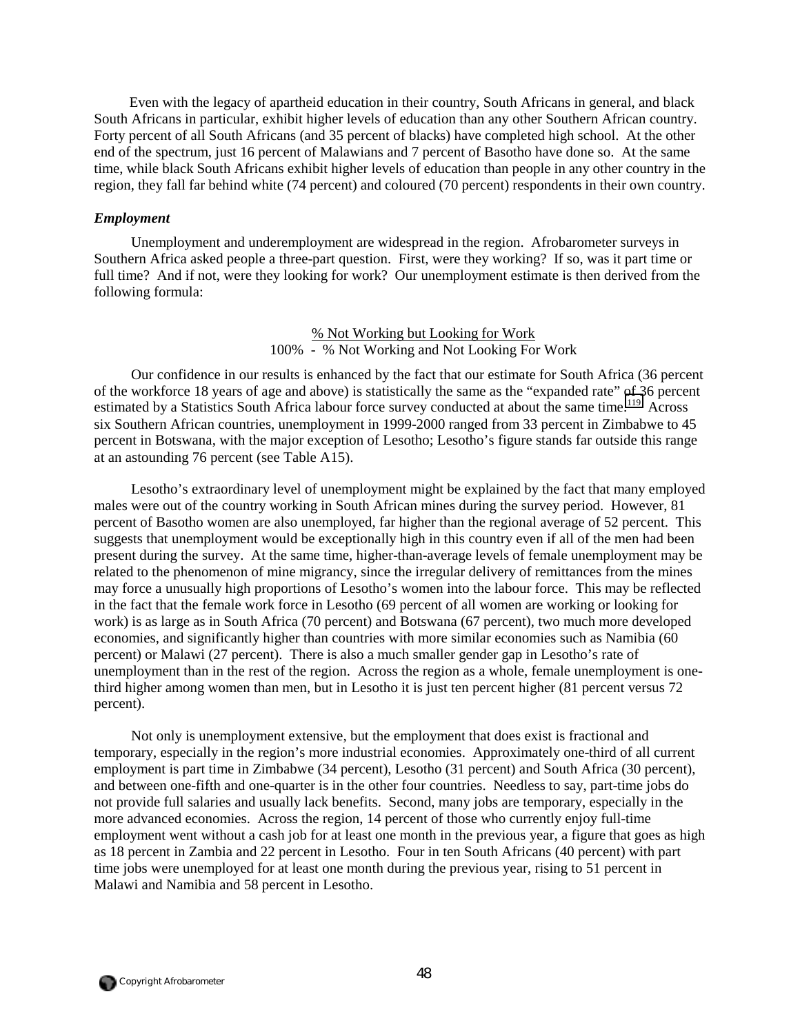Even with the legacy of apartheid education in their country, South Africans in general, and black South Africans in particular, exhibit higher levels of education than any other Southern African country. Forty percent of all South Africans (and 35 percent of blacks) have completed high school. At the other end of the spectrum, just 16 percent of Malawians and 7 percent of Basotho have done so. At the same time, while black South Africans exhibit higher levels of education than people in any other country in the region, they fall far behind white (74 percent) and coloured (70 percent) respondents in their own country.

### *Employment*

Unemployment and underemployment are widespread in the region. Afrobarometer surveys in Southern Africa asked people a three-part question. First, were they working? If so, was it part time or full time? And if not, were they looking for work? Our unemployment estimate is then derived from the following formula:

> % Not Working but Looking for Work 100% - % Not Working and Not Looking For Work

Our confidence in our results is enhanced by the fact that our estimate for South Africa (36 percent of the workforce 18 years of age and above) is statistically the same as the "expanded rate" of 36 percent estimated by a Statistics South Africa labour force survey conducted at about the same time.<sup>119</sup> Across six Southern African countries, unemployment in 1999-2000 ranged from 33 percent in Zimbabwe to 45 percent in Botswana, with the major exception of Lesotho; Lesotho's figure stands far outside this range at an astounding 76 percent (see Table A15).

Lesotho's extraordinary level of unemployment might be explained by the fact that many employed males were out of the country working in South African mines during the survey period. However, 81 percent of Basotho women are also unemployed, far higher than the regional average of 52 percent. This suggests that unemployment would be exceptionally high in this country even if all of the men had been present during the survey. At the same time, higher-than-average levels of female unemployment may be related to the phenomenon of mine migrancy, since the irregular delivery of remittances from the mines may force a unusually high proportions of Lesotho's women into the labour force. This may be reflected in the fact that the female work force in Lesotho (69 percent of all women are working or looking for work) is as large as in South Africa (70 percent) and Botswana (67 percent), two much more developed economies, and significantly higher than countries with more similar economies such as Namibia (60 percent) or Malawi (27 percent). There is also a much smaller gender gap in Lesotho's rate of unemployment than in the rest of the region. Across the region as a whole, female unemployment is onethird higher among women than men, but in Lesotho it is just ten percent higher (81 percent versus 72 percent).

Not only is unemployment extensive, but the employment that does exist is fractional and temporary, especially in the region's more industrial economies. Approximately one-third of all current employment is part time in Zimbabwe (34 percent), Lesotho (31 percent) and South Africa (30 percent), and between one-fifth and one-quarter is in the other four countries. Needless to say, part-time jobs do not provide full salaries and usually lack benefits. Second, many jobs are temporary, especially in the more advanced economies. Across the region, 14 percent of those who currently enjoy full-time employment went without a cash job for at least one month in the previous year, a figure that goes as high as 18 percent in Zambia and 22 percent in Lesotho. Four in ten South Africans (40 percent) with part time jobs were unemployed for at least one month during the previous year, rising to 51 percent in Malawi and Namibia and 58 percent in Lesotho.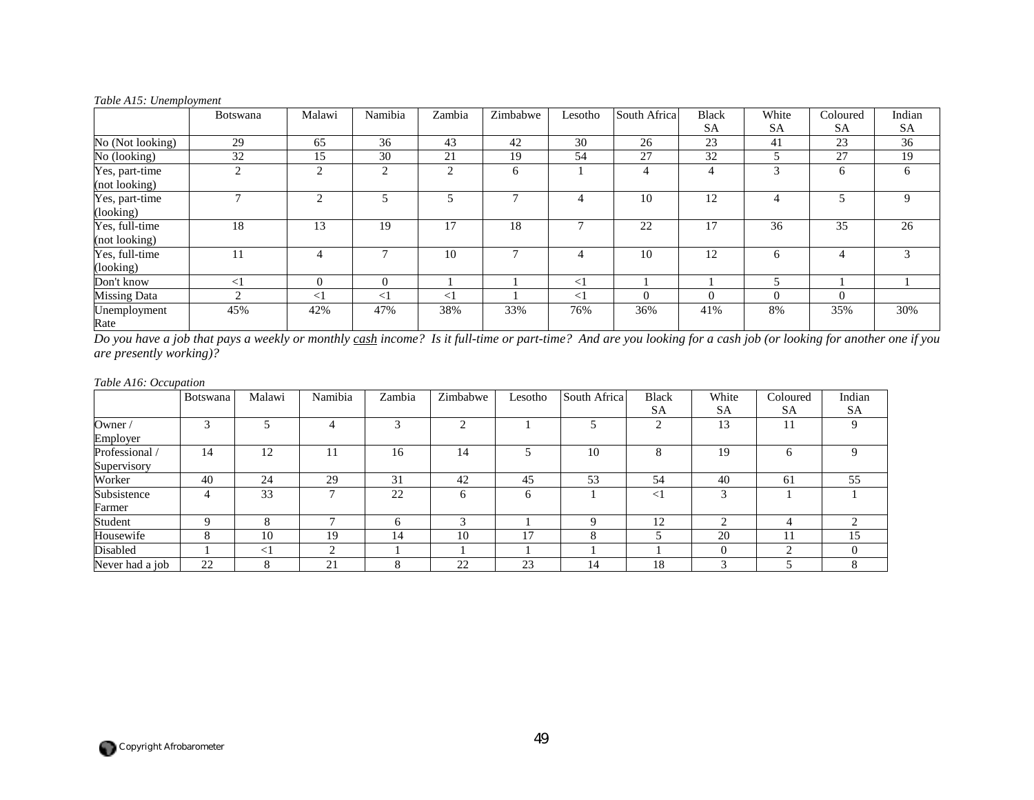| rabic <i>i</i> n <i>b</i> . <i>bhemplo intent</i> | <b>Botswana</b> | Malawi   | Namibia  | Zambia   | Zimbabwe | Lesotho  | South Africa | <b>Black</b> | White    | Coloured       | Indian |
|---------------------------------------------------|-----------------|----------|----------|----------|----------|----------|--------------|--------------|----------|----------------|--------|
|                                                   |                 |          |          |          |          |          |              | <b>SA</b>    | SА       | SA             | SA     |
| No (Not looking)                                  | 29              | 65       | 36       | 43       | 42       | 30       | 26           | 23           | 41       | 23             | 36     |
| No (looking)                                      | 32              | 15       | 30       | 21       | 19       | 54       | 27           | 32           |          | 27             | 19     |
| Yes, part-time<br>(not looking)                   | $\overline{c}$  | 2        | 2        | 2        | 6        |          | 4            | 4            | 3        | 6              | 6      |
| Yes, part-time<br>(looking)                       |                 | 2        |          |          |          |          | 10           | 12           | 4        |                | 9      |
| Yes, full-time<br>(not looking)                   | 18              | 13       | 19       | 17       | 18       |          | 22           | 17           | 36       | 35             | 26     |
| Yes, full-time<br>(looking)                       | 11              |          |          | 10       |          |          | 10           | 12           | 6        | 4              | 3      |
| Don't know                                        | $\leq$          | $\Omega$ | $\Omega$ |          |          | $\leq$ 1 |              |              | 5        |                |        |
| Missing Data                                      | ◠               | $\leq$ 1 | $\leq$ 1 | $\leq$ 1 |          | $\leq$ 1 | 0            | $\Omega$     | $\Omega$ | $\overline{0}$ |        |
| Unemployment<br>Rate                              | 45%             | 42%      | 47%      | 38%      | 33%      | 76%      | 36%          | 41%          | 8%       | 35%            | 30%    |

#### *Table A15: Unemployment*

*Do you have a job that pays a weekly or monthly cash income? Is it full-time or part-time? And are you looking for a cash job (or looking for another one if you are presently working)?* 

#### *Table A16: Occupation*

|                 | Botswana | Malawi   | Namibia | Zambia        | Zimbabwe | Lesotho | South Africa | <b>Black</b> | White     | Coloured       | Indian      |
|-----------------|----------|----------|---------|---------------|----------|---------|--------------|--------------|-----------|----------------|-------------|
|                 |          |          |         |               |          |         |              | <b>SA</b>    | <b>SA</b> | SΑ             | <b>SA</b>   |
| Owner /         | $\sim$   |          | 4       | $\mathcal{R}$ | ◠        |         |              | $\bigcap$    | 13        | 11             | $\mathbf Q$ |
| Employer        |          |          |         |               |          |         |              |              |           |                |             |
| Professional    | 14       | 12       |         | 16            | 14       |         | 10           | 8            | 19        | 6              | Q           |
| Supervisory     |          |          |         |               |          |         |              |              |           |                |             |
| Worker          | 40       | 24       | 29      | 31            | 42       | 45      | 53           | 54           | 40        | 61             | 55          |
| Subsistence     | 4        | 33       | −       | 22            |          | O       |              | $\leq$       | $\sim$    |                |             |
| Farmer          |          |          |         |               |          |         |              |              |           |                |             |
| Student         | C        | 8        | -       | h             |          |         |              | 12           | ◠         | $\overline{4}$ | ◠           |
| Housewife       | 8        | 10       | 19      | 14            | 10       | 17      | $\Delta$     |              | 20        | 11             | 15          |
| Disabled        |          | $\leq$ 1 | ◠       |               |          |         |              |              |           | ◠              | $\Omega$    |
| Never had a job | 22       | 8        | 21      | 8             | 22       | 23      | 14           | 18           | 3         |                |             |

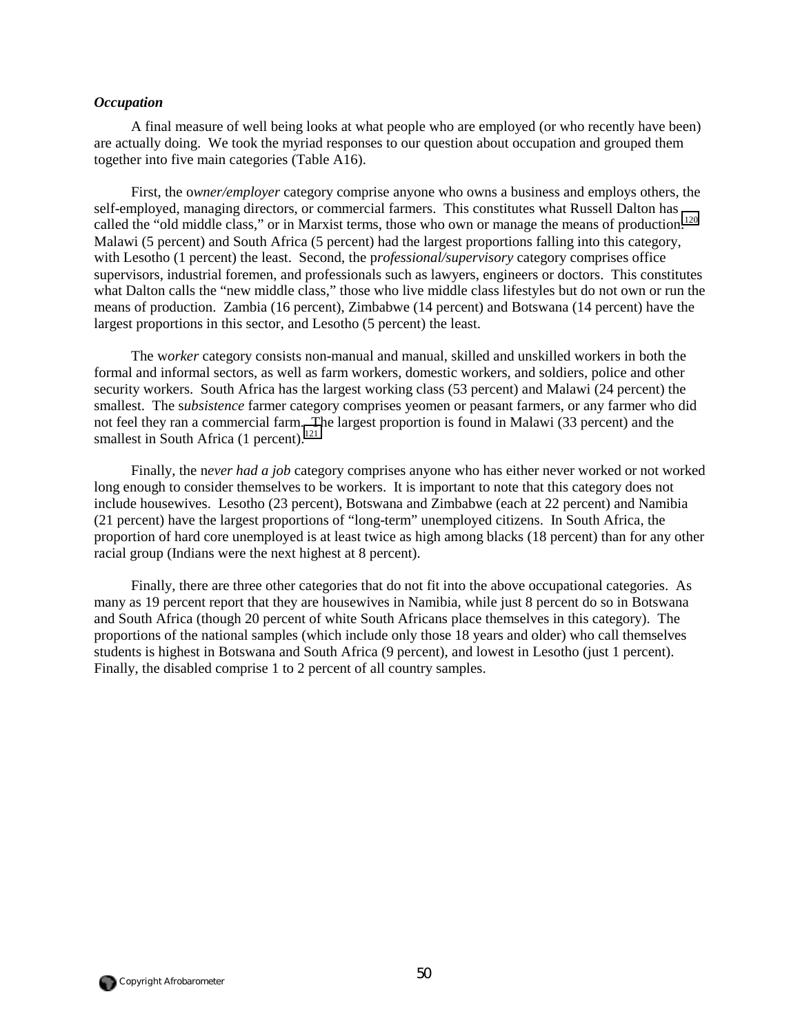#### *Occupation*

A final measure of well being looks at what people who are employed (or who recently have been) are actually doing. We took the myriad responses to our question about occupation and grouped them together into five main categories (Table A16).

First, the o*wner/employer* category comprise anyone who owns a business and employs others, the self-employed, managing directors, or commercial farmers. This constitutes what Russell Dalton has called the "old middle class," or in Marxist terms, those who own or manage the means of production.<sup>120</sup> Malawi (5 percent) and South Africa (5 percent) had the largest proportions falling into this category, with Lesotho (1 percent) the least. Second, the p*rofessional/supervisory* category comprises office supervisors, industrial foremen, and professionals such as lawyers, engineers or doctors. This constitutes what Dalton calls the "new middle class," those who live middle class lifestyles but do not own or run the means of production. Zambia (16 percent), Zimbabwe (14 percent) and Botswana (14 percent) have the largest proportions in this sector, and Lesotho (5 percent) the least.

The w*orker* category consists non-manual and manual, skilled and unskilled workers in both the formal and informal sectors, as well as farm workers, domestic workers, and soldiers, police and other security workers. South Africa has the largest working class (53 percent) and Malawi (24 percent) the smallest. The s*ubsistence* farmer category comprises yeomen or peasant farmers, or any farmer who did not feel they ran a commercial farm. The largest proportion is found in Malawi (33 percent) and the smallest in South Africa  $(1 \text{ percent.}^{121})$  $(1 \text{ percent.}^{121})$  $(1 \text{ percent.}^{121})$ 

Finally, the n*ever had a job* category comprises anyone who has either never worked or not worked long enough to consider themselves to be workers. It is important to note that this category does not include housewives. Lesotho (23 percent), Botswana and Zimbabwe (each at 22 percent) and Namibia (21 percent) have the largest proportions of "long-term" unemployed citizens. In South Africa, the proportion of hard core unemployed is at least twice as high among blacks (18 percent) than for any other racial group (Indians were the next highest at 8 percent).

Finally, there are three other categories that do not fit into the above occupational categories. As many as 19 percent report that they are housewives in Namibia, while just 8 percent do so in Botswana and South Africa (though 20 percent of white South Africans place themselves in this category). The proportions of the national samples (which include only those 18 years and older) who call themselves students is highest in Botswana and South Africa (9 percent), and lowest in Lesotho (just 1 percent). Finally, the disabled comprise 1 to 2 percent of all country samples.

 $\bigcap$  Copyright Afrobarometer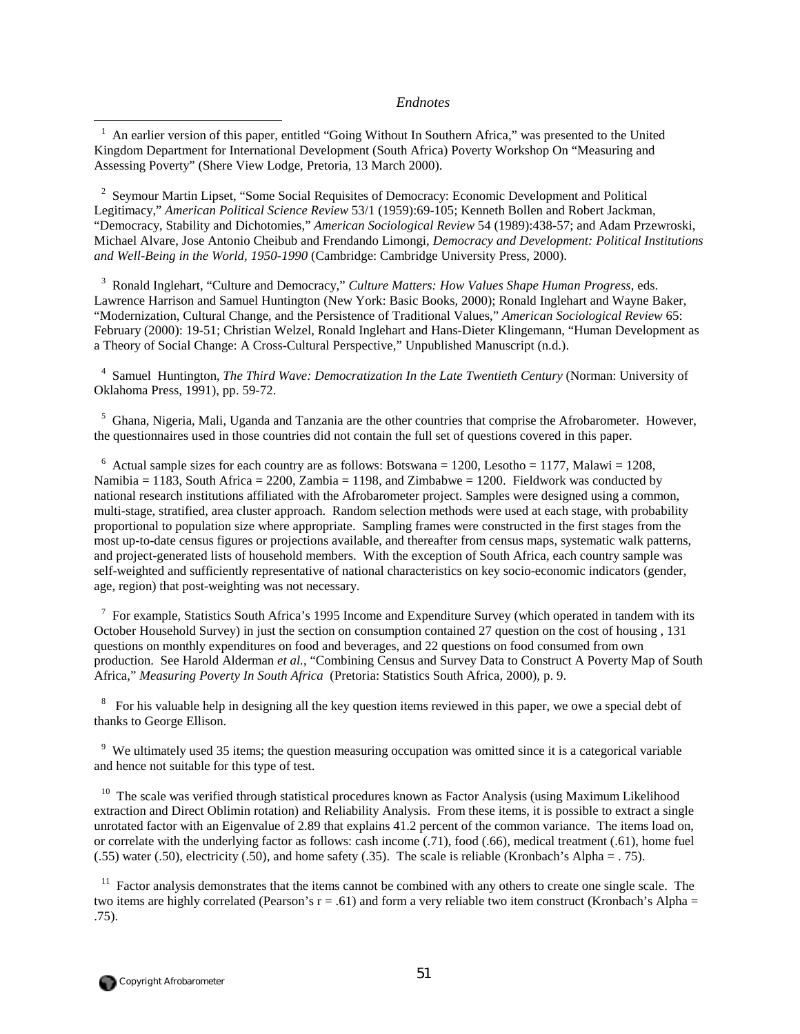#### *Endnotes*

1 An earlier version of this paper, entitled "Going Without In Southern Africa," was presented to the United Kingdom Department for International Development (South Africa) Poverty Workshop On "Measuring and Assessing Poverty" (Shere View Lodge, Pretoria, 13 March 2000).

<sup>2</sup> Seymour Martin Lipset, "Some Social Requisites of Democracy: Economic Development and Political Legitimacy," *American Political Science Review* 53/1 (1959):69-105; Kenneth Bollen and Robert Jackman, "Democracy, Stability and Dichotomies," *American Sociological Review* 54 (1989):438-57; and Adam Przewroski, Michael Alvare, Jose Antonio Cheibub and Frendando Limongi, *Democracy and Development: Political Institutions and Well-Being in the World, 1950-1990* (Cambridge: Cambridge University Press, 2000).

3 Ronald Inglehart, "Culture and Democracy," *Culture Matters: How Values Shape Human Progress*, eds. Lawrence Harrison and Samuel Huntington (New York: Basic Books, 2000); Ronald Inglehart and Wayne Baker, "Modernization, Cultural Change, and the Persistence of Traditional Values," *American Sociological Review* 65: February (2000): 19-51; Christian Welzel, Ronald Inglehart and Hans-Dieter Klingemann, "Human Development as a Theory of Social Change: A Cross-Cultural Perspective," Unpublished Manuscript (n.d.).

4 Samuel Huntington, *The Third Wave: Democratization In the Late Twentieth Century* (Norman: University of Oklahoma Press, 1991), pp. 59-72.

<sup>5</sup> Ghana, Nigeria, Mali, Uganda and Tanzania are the other countries that comprise the Afrobarometer. However, the questionnaires used in those countries did not contain the full set of questions covered in this paper.

 $6$  Actual sample sizes for each country are as follows: Botswana = 1200, Lesotho = 1177, Malawi = 1208, Namibia = 1183, South Africa = 2200, Zambia = 1198, and Zimbabwe = 1200. Fieldwork was conducted by national research institutions affiliated with the Afrobarometer project. Samples were designed using a common, multi-stage, stratified, area cluster approach. Random selection methods were used at each stage, with probability proportional to population size where appropriate. Sampling frames were constructed in the first stages from the most up-to-date census figures or projections available, and thereafter from census maps, systematic walk patterns, and project-generated lists of household members. With the exception of South Africa, each country sample was self-weighted and sufficiently representative of national characteristics on key socio-economic indicators (gender, age, region) that post-weighting was not necessary.

 $7$  For example, Statistics South Africa's 1995 Income and Expenditure Survey (which operated in tandem with its October Household Survey) in just the section on consumption contained 27 question on the cost of housing , 131 questions on monthly expenditures on food and beverages, and 22 questions on food consumed from own production. See Harold Alderman *et al.*, "Combining Census and Survey Data to Construct A Poverty Map of South Africa," *Measuring Poverty In South Africa* (Pretoria: Statistics South Africa, 2000), p. 9.

 $8\degree$  For his valuable help in designing all the key question items reviewed in this paper, we owe a special debt of thanks to George Ellison.

 $9$  We ultimately used 35 items; the question measuring occupation was omitted since it is a categorical variable and hence not suitable for this type of test.

<sup>10</sup> The scale was verified through statistical procedures known as Factor Analysis (using Maximum Likelihood extraction and Direct Oblimin rotation) and Reliability Analysis. From these items, it is possible to extract a single unrotated factor with an Eigenvalue of 2.89 that explains 41.2 percent of the common variance. The items load on, or correlate with the underlying factor as follows: cash income (.71), food (.66), medical treatment (.61), home fuel (.55) water (.50), electricity (.50), and home safety (.35). The scale is reliable (Kronbach's Alpha = . 75).

 $11$  Factor analysis demonstrates that the items cannot be combined with any others to create one single scale. The two items are highly correlated (Pearson's  $r = .61$ ) and form a very reliable two item construct (Kronbach's Alpha = .75).

 $\overline{a}$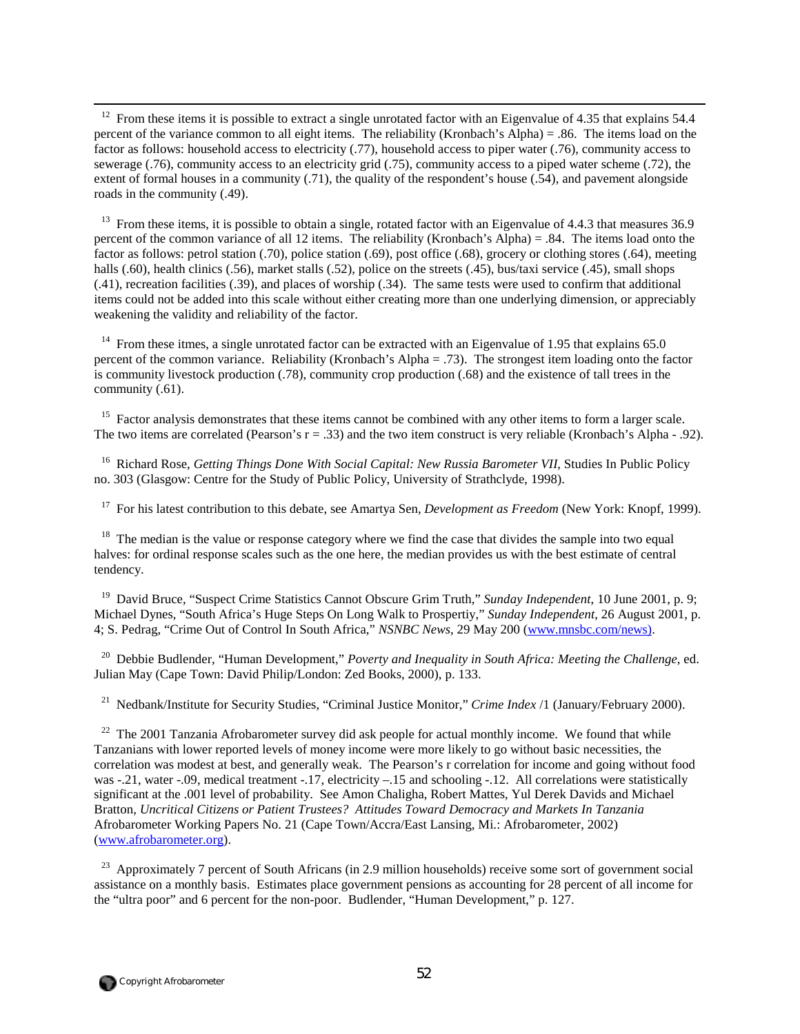$12$  From these items it is possible to extract a single unrotated factor with an Eigenvalue of 4.35 that explains 54.4 percent of the variance common to all eight items. The reliability (Kronbach's Alpha) = .86. The items load on the factor as follows: household access to electricity (.77), household access to piper water (.76), community access to sewerage (.76), community access to an electricity grid (.75), community access to a piped water scheme (.72), the extent of formal houses in a community (.71), the quality of the respondent's house (.54), and pavement alongside roads in the community (.49).

<sup>13</sup> From these items, it is possible to obtain a single, rotated factor with an Eigenvalue of 4.4.3 that measures  $36.9$ percent of the common variance of all 12 items. The reliability (Kronbach's Alpha) = .84. The items load onto the factor as follows: petrol station (.70), police station (.69), post office (.68), grocery or clothing stores (.64), meeting halls (.60), health clinics (.56), market stalls (.52), police on the streets (.45), bus/taxi service (.45), small shops (.41), recreation facilities (.39), and places of worship (.34). The same tests were used to confirm that additional items could not be added into this scale without either creating more than one underlying dimension, or appreciably weakening the validity and reliability of the factor.

<sup>14</sup> From these itmes, a single unrotated factor can be extracted with an Eigenvalue of 1.95 that explains 65.0 percent of the common variance. Reliability (Kronbach's Alpha = .73). The strongest item loading onto the factor is community livestock production (.78), community crop production (.68) and the existence of tall trees in the community (.61).

<sup>15</sup> Factor analysis demonstrates that these items cannot be combined with any other items to form a larger scale. The two items are correlated (Pearson's  $r = .33$ ) and the two item construct is very reliable (Kronbach's Alpha - .92).

<sup>16</sup> Richard Rose, *Getting Things Done With Social Capital: New Russia Barometer VII*, Studies In Public Policy no. 303 (Glasgow: Centre for the Study of Public Policy, University of Strathclyde, 1998).

17 For his latest contribution to this debate, see Amartya Sen, *Development as Freedom* (New York: Knopf, 1999).

<sup>18</sup> The median is the value or response category where we find the case that divides the sample into two equal halves: for ordinal response scales such as the one here, the median provides us with the best estimate of central tendency.

19 David Bruce, "Suspect Crime Statistics Cannot Obscure Grim Truth," *Sunday Independent*, 10 June 2001, p. 9; Michael Dynes, "South Africa's Huge Steps On Long Walk to Prospertiy," *Sunday Independent*, 26 August 2001, p. 4; S. Pedrag, "Crime Out of Control In South Africa," *NSNBC News*, 29 May 200 (www.mnsbc.com/news).

<sup>20</sup> Debbie Budlender, "Human Development," *Poverty and Inequality in South Africa: Meeting the Challenge*, ed. Julian May (Cape Town: David Philip/London: Zed Books, 2000), p. 133.

<sup>21</sup> Nedbank/Institute for Security Studies, "Criminal Justice Monitor," *Crime Index* /1 (January/February 2000).

 $22\,$ 22 The 2001 Tanzania Afrobarometer survey did ask people for actual monthly income. We found that while Tanzanians with lower reported levels of money income were more likely to go without basic necessities, the correlation was modest at best, and generally weak. The Pearson's r correlation for income and going without food was -.21, water -.09, medical treatment -.17, electricity -.15 and schooling -.12. All correlations were statistically significant at the .001 level of probability. See Amon Chaligha, Robert Mattes, Yul Derek Davids and Michael Bratton, *Uncritical Citizens or Patient Trustees? Attitudes Toward Democracy and Markets In Tanzania* Afrobarometer Working Papers No. 21 (Cape Town/Accra/East Lansing, Mi.: Afrobarometer, 2002) (www.afrobarometer.org).

<sup>23</sup> Approximately 7 percent of South Africans (in 2.9 million households) receive some sort of government social assistance on a monthly basis. Estimates place government pensions as accounting for 28 percent of all income for the "ultra poor" and 6 percent for the non-poor. Budlender, "Human Development," p. 127.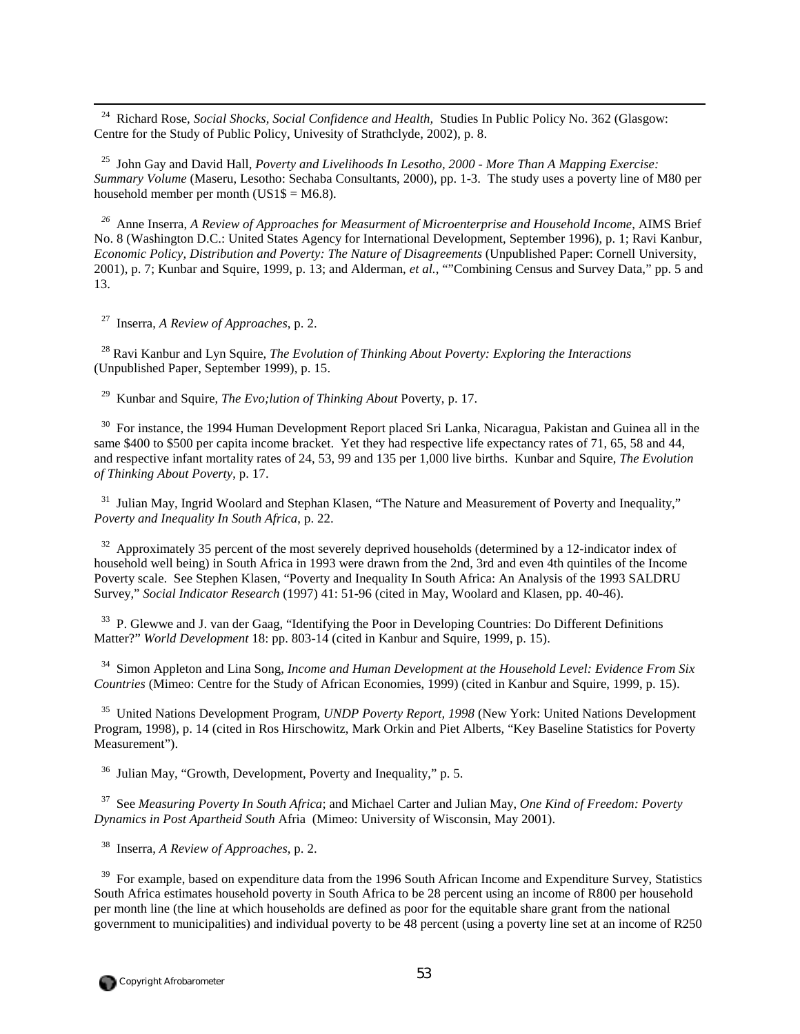24 Richard Rose, *Social Shocks, Social Confidence and Health,* Studies In Public Policy No. 362 (Glasgow: Centre for the Study of Public Policy, Univesity of Strathclyde, 2002), p. 8.

25 John Gay and David Hall, *Poverty and Livelihoods In Lesotho, 2000 - More Than A Mapping Exercise: Summary Volume* (Maseru, Lesotho: Sechaba Consultants, 2000), pp. 1-3. The study uses a poverty line of M80 per household member per month ( $US1\$  = M6.8).

*<sup>26</sup>* Anne Inserra, *A Review of Approaches for Measurment of Microenterprise and Household Income*, AIMS Brief No. 8 (Washington D.C.: United States Agency for International Development, September 1996), p. 1; Ravi Kanbur, *Economic Policy, Distribution and Poverty: The Nature of Disagreements* (Unpublished Paper: Cornell University, 2001), p. 7; Kunbar and Squire, 1999, p. 13; and Alderman, *et al.*, ""Combining Census and Survey Data," pp. 5 and 13.

27 Inserra, *A Review of Approaches*, p. 2.

28 Ravi Kanbur and Lyn Squire, *The Evolution of Thinking About Poverty: Exploring the Interactions* (Unpublished Paper, September 1999), p. 15.

29 Kunbar and Squire, *The Evo;lution of Thinking About* Poverty, p. 17.

<sup>30</sup> For instance, the 1994 Human Development Report placed Sri Lanka, Nicaragua, Pakistan and Guinea all in the same \$400 to \$500 per capita income bracket. Yet they had respective life expectancy rates of 71, 65, 58 and 44, and respective infant mortality rates of 24, 53, 99 and 135 per 1,000 live births. Kunbar and Squire, *The Evolution of Thinking About Poverty*, p. 17.

<sup>31</sup> Julian May, Ingrid Woolard and Stephan Klasen, "The Nature and Measurement of Poverty and Inequality," *Poverty and Inequality In South Africa*, p. 22.

 $32$  Approximately 35 percent of the most severely deprived households (determined by a 12-indicator index of household well being) in South Africa in 1993 were drawn from the 2nd, 3rd and even 4th quintiles of the Income Poverty scale. See Stephen Klasen, "Poverty and Inequality In South Africa: An Analysis of the 1993 SALDRU Survey," *Social Indicator Research* (1997) 41: 51-96 (cited in May, Woolard and Klasen, pp. 40-46).

<sup>33</sup> P. Glewwe and J. van der Gaag, "Identifying the Poor in Developing Countries: Do Different Definitions Matter?" *World Development* 18: pp. 803-14 (cited in Kanbur and Squire, 1999, p. 15).

34 Simon Appleton and Lina Song, *Income and Human Development at the Household Level: Evidence From Six Countries* (Mimeo: Centre for the Study of African Economies, 1999) (cited in Kanbur and Squire, 1999, p. 15).

35 United Nations Development Program, *UNDP Poverty Report, 1998* (New York: United Nations Development Program, 1998), p. 14 (cited in Ros Hirschowitz, Mark Orkin and Piet Alberts, "Key Baseline Statistics for Poverty Measurement").

36 Julian May, "Growth, Development, Poverty and Inequality," p. 5.

37 See *Measuring Poverty In South Africa*; and Michael Carter and Julian May, *One Kind of Freedom: Poverty Dynamics in Post Apartheid South* Afria (Mimeo: University of Wisconsin, May 2001).

38 Inserra, *A Review of Approaches*, p. 2.

<sup>39</sup> For example, based on expenditure data from the 1996 South African Income and Expenditure Survey, Statistics South Africa estimates household poverty in South Africa to be 28 percent using an income of R800 per household per month line (the line at which households are defined as poor for the equitable share grant from the national government to municipalities) and individual poverty to be 48 percent (using a poverty line set at an income of R250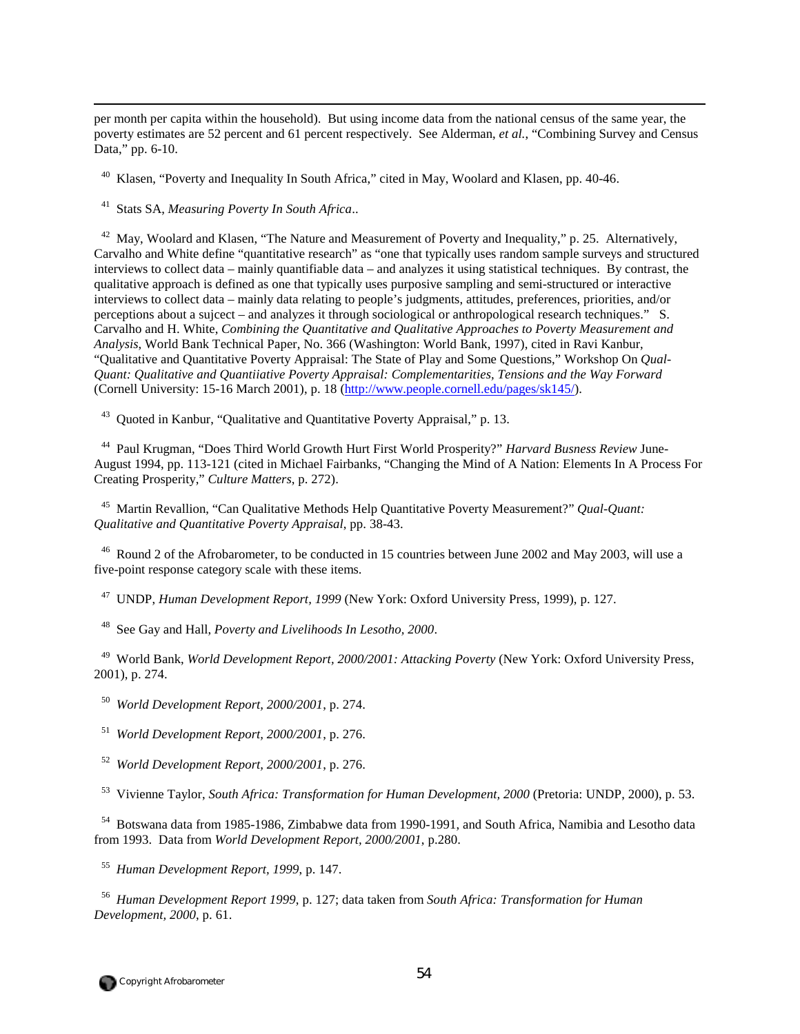per month per capita within the household). But using income data from the national census of the same year, the poverty estimates are 52 percent and 61 percent respectively. See Alderman, *et al.*, "Combining Survey and Census Data," pp. 6-10.

<sup>40</sup> Klasen, "Poverty and Inequality In South Africa," cited in May, Woolard and Klasen, pp. 40-46.

41 Stats SA, *Measuring Poverty In South Africa*..

 $\overline{a}$ 

<sup>42</sup> May, Woolard and Klasen, "The Nature and Measurement of Poverty and Inequality," p. 25. Alternatively, Carvalho and White define "quantitative research" as "one that typically uses random sample surveys and structured interviews to collect data – mainly quantifiable data – and analyzes it using statistical techniques. By contrast, the qualitative approach is defined as one that typically uses purposive sampling and semi-structured or interactive interviews to collect data – mainly data relating to people's judgments, attitudes, preferences, priorities, and/or perceptions about a sujcect – and analyzes it through sociological or anthropological research techniques." S. Carvalho and H. White, *Combining the Quantitative and Qualitative Approaches to Poverty Measurement and Analysis*, World Bank Technical Paper, No. 366 (Washington: World Bank, 1997), cited in Ravi Kanbur, "Qualitative and Quantitative Poverty Appraisal: The State of Play and Some Questions," Workshop On *Qual-Quant: Qualitative and Quantiiative Poverty Appraisal: Complementarities, Tensions and the Way Forward* (Cornell University: 15-16 March 2001), p. 18 (http://www.people.cornell.edu/pages/sk145/).

<sup>43</sup> Ouoted in Kanbur, "Oualitative and Ouantitative Poverty Appraisal," p. 13.

44 Paul Krugman, "Does Third World Growth Hurt First World Prosperity?" *Harvard Busness Review* June-August 1994, pp. 113-121 (cited in Michael Fairbanks, "Changing the Mind of A Nation: Elements In A Process For Creating Prosperity," *Culture Matters*, p. 272).

45 Martin Revallion, "Can Qualitative Methods Help Quantitative Poverty Measurement?" *Qual-Quant: Qualitative and Quantitative Poverty Appraisal*, pp. 38-43.

<sup>46</sup> Round 2 of the Afrobarometer, to be conducted in 15 countries between June 2002 and May 2003, will use a five-point response category scale with these items.

47 UNDP, *Human Development Report, 1999* (New York: Oxford University Press, 1999), p. 127.

48 See Gay and Hall, *Poverty and Livelihoods In Lesotho, 2000*.

49 World Bank, *World Development Report, 2000/2001: Attacking Poverty* (New York: Oxford University Press, 2001), p. 274.

50 *World Development Report, 2000/2001*, p. 274.

51 *World Development Report, 2000/2001*, p. 276.

52 *World Development Report, 2000/2001*, p. 276.

53 Vivienne Taylor, *South Africa: Transformation for Human Development, 2000* (Pretoria: UNDP, 2000), p. 53.

<sup>54</sup> Botswana data from 1985-1986, Zimbabwe data from 1990-1991, and South Africa, Namibia and Lesotho data from 1993. Data from *World Development Report, 2000/2001*, p.280.

55 *Human Development Report, 1999*, p. 147.

56 *Human Development Report 1999*, p. 127; data taken from *South Africa: Transformation for Human Development, 2000*, p. 61.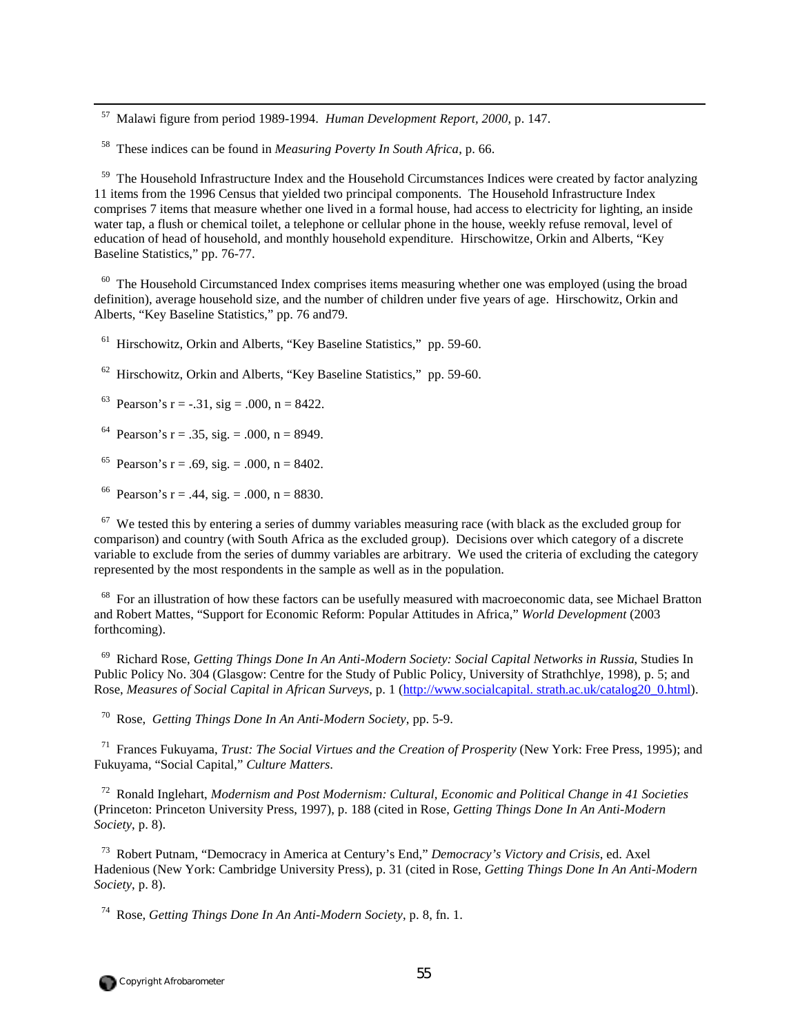57 Malawi figure from period 1989-1994. *Human Development Report, 2000*, p. 147.

58 These indices can be found in *Measuring Poverty In South Africa*, p. 66.

<sup>59</sup> The Household Infrastructure Index and the Household Circumstances Indices were created by factor analyzing 11 items from the 1996 Census that yielded two principal components. The Household Infrastructure Index comprises 7 items that measure whether one lived in a formal house, had access to electricity for lighting, an inside water tap, a flush or chemical toilet, a telephone or cellular phone in the house, weekly refuse removal, level of education of head of household, and monthly household expenditure. Hirschowitze, Orkin and Alberts, "Key Baseline Statistics," pp. 76-77.

<sup>60</sup> The Household Circumstanced Index comprises items measuring whether one was employed (using the broad definition), average household size, and the number of children under five years of age. Hirschowitz, Orkin and Alberts, "Key Baseline Statistics," pp. 76 and79.

<sup>61</sup> Hirschowitz, Orkin and Alberts, "Key Baseline Statistics," pp. 59-60.

62 Hirschowitz, Orkin and Alberts, "Key Baseline Statistics," pp. 59-60.

<sup>63</sup> Pearson's r = -.31, sig = .000, n = 8422.

<sup>64</sup> Pearson's r = .35, sig. = .000, n = 8949.

<sup>65</sup> Pearson's r = .69, sig. = .000, n = 8402.

<sup>66</sup> Pearson's r = .44, sig. = .000, n = 8830.

 $67$  We tested this by entering a series of dummy variables measuring race (with black as the excluded group for comparison) and country (with South Africa as the excluded group). Decisions over which category of a discrete variable to exclude from the series of dummy variables are arbitrary. We used the criteria of excluding the category represented by the most respondents in the sample as well as in the population.

<sup>68</sup> For an illustration of how these factors can be usefully measured with macroeconomic data, see Michael Bratton and Robert Mattes, "Support for Economic Reform: Popular Attitudes in Africa," *World Development* (2003 forthcoming).

69 Richard Rose, *Getting Things Done In An Anti-Modern Society: Social Capital Networks in Russia*, Studies In Public Policy No. 304 (Glasgow: Centre for the Study of Public Policy, University of Strathchly*e,* 1998), p. 5; and Rose, *Measures of Social Capital in African Surveys*, p. 1 (http://www.socialcapital. strath.ac.uk/catalog20\_0.html).

70 Rose, *Getting Things Done In An Anti-Modern Society*, pp. 5-9.

71 Frances Fukuyama, *Trust: The Social Virtues and the Creation of Prosperity* (New York: Free Press, 1995); and Fukuyama, "Social Capital," *Culture Matters*.

72 Ronald Inglehart, *Modernism and Post Modernism: Cultural, Economic and Political Change in 41 Societies* (Princeton: Princeton University Press, 1997), p. 188 (cited in Rose, *Getting Things Done In An Anti-Modern Society*, p. 8).

73 Robert Putnam, "Democracy in America at Century's End," *Democracy's Victory and Crisis*, ed. Axel Hadenious (New York: Cambridge University Press), p. 31 (cited in Rose, *Getting Things Done In An Anti-Modern Society*, p. 8).

74 Rose, *Getting Things Done In An Anti-Modern Society*, p. 8, fn. 1.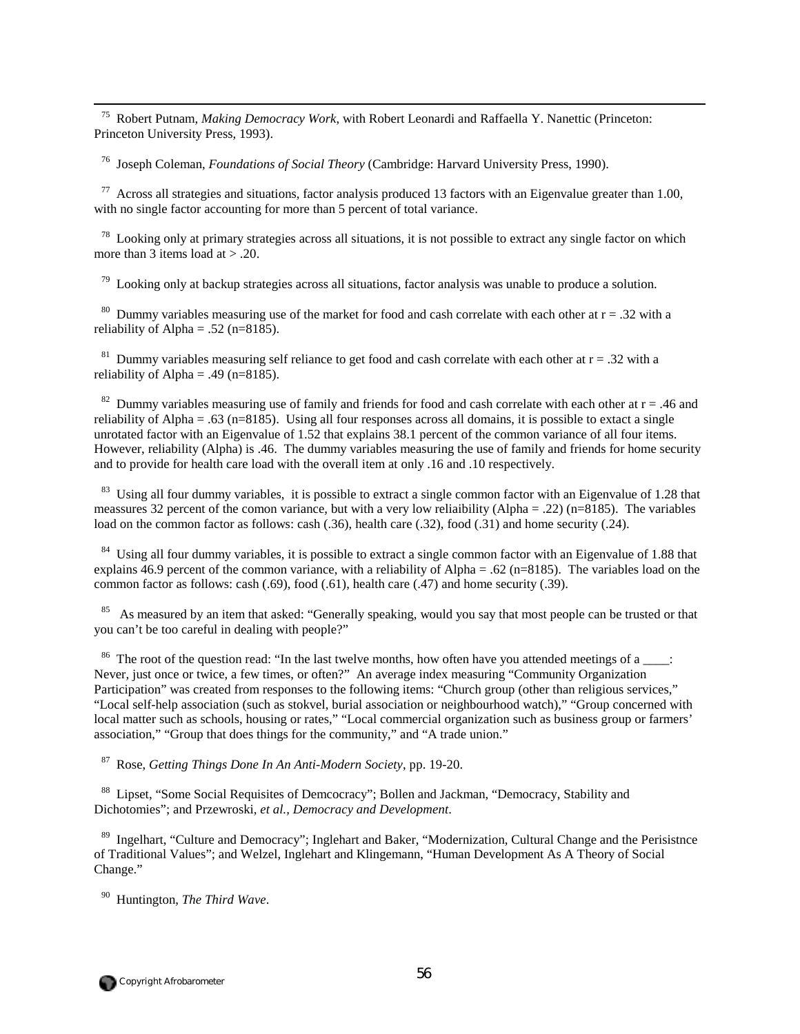75 Robert Putnam, *Making Democracy Work*, with Robert Leonardi and Raffaella Y. Nanettic (Princeton: Princeton University Press, 1993).

76 Joseph Coleman, *Foundations of Social Theory* (Cambridge: Harvard University Press, 1990).

 $77$  Across all strategies and situations, factor analysis produced 13 factors with an Eigenvalue greater than 1.00, with no single factor accounting for more than 5 percent of total variance.

 $78$  Looking only at primary strategies across all situations, it is not possible to extract any single factor on which more than 3 items load at  $> .20$ .

 $79$  Looking only at backup strategies across all situations, factor analysis was unable to produce a solution.

<sup>80</sup> Dummy variables measuring use of the market for food and cash correlate with each other at  $r = .32$  with a reliability of Alpha = .52 ( $n=8185$ ).

<sup>81</sup> Dummy variables measuring self reliance to get food and cash correlate with each other at  $r = .32$  with a reliability of Alpha = .49 ( $n=8185$ ).

<sup>82</sup> Dummy variables measuring use of family and friends for food and cash correlate with each other at  $r = .46$  and reliability of Alpha = .63 (n=8185). Using all four responses across all domains, it is possible to extact a single unrotated factor with an Eigenvalue of 1.52 that explains 38.1 percent of the common variance of all four items. However, reliability (Alpha) is .46. The dummy variables measuring the use of family and friends for home security and to provide for health care load with the overall item at only .16 and .10 respectively.

 $83$  Using all four dummy variables, it is possible to extract a single common factor with an Eigenvalue of 1.28 that meassures 32 percent of the comon variance, but with a very low reliaibility (Alpha = .22) (n=8185). The variables load on the common factor as follows: cash (.36), health care (.32), food (.31) and home security (.24).

<sup>84</sup> Using all four dummy variables, it is possible to extract a single common factor with an Eigenvalue of 1.88 that explains 46.9 percent of the common variance, with a reliability of Alpha = .62 ( $n=8185$ ). The variables load on the common factor as follows: cash (.69), food (.61), health care (.47) and home security (.39).

<sup>85</sup> As measured by an item that asked: "Generally speaking, would you say that most people can be trusted or that you can't be too careful in dealing with people?"

<sup>86</sup> The root of the question read: "In the last twelve months, how often have you attended meetings of a  $\cdot$ : Never, just once or twice, a few times, or often?" An average index measuring "Community Organization Participation" was created from responses to the following items: "Church group (other than religious services," "Local self-help association (such as stokvel, burial association or neighbourhood watch)," "Group concerned with local matter such as schools, housing or rates," "Local commercial organization such as business group or farmers' association," "Group that does things for the community," and "A trade union."

87 Rose, *Getting Things Done In An Anti-Modern Society*, pp. 19-20.

<sup>88</sup> Lipset, "Some Social Requisites of Demcocracy"; Bollen and Jackman, "Democracy, Stability and Dichotomies"; and Przewroski, *et al., Democracy and Development*.

89 Ingelhart, "Culture and Democracy"; Inglehart and Baker, "Modernization, Cultural Change and the Perisistnce of Traditional Values"; and Welzel, Inglehart and Klingemann, "Human Development As A Theory of Social Change."

90 Huntington, *The Third Wave*.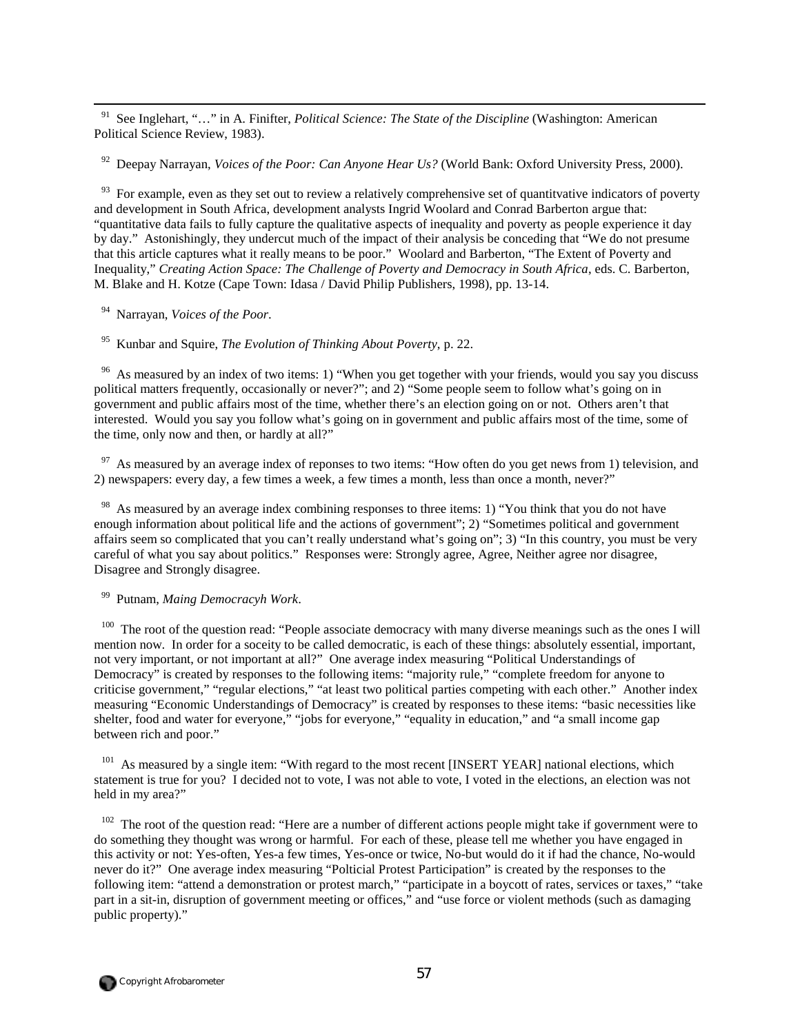<sup>91</sup> See Inglehart, "..." in A. Finifter, *Political Science: The State of the Discipline* (Washington: American Political Science Review, 1983).

92 Deepay Narrayan, *Voices of the Poor: Can Anyone Hear Us?* (World Bank: Oxford University Press, 2000).

<sup>93</sup> For example, even as they set out to review a relatively comprehensive set of quantitvative indicators of poverty and development in South Africa, development analysts Ingrid Woolard and Conrad Barberton argue that: "quantitative data fails to fully capture the qualitative aspects of inequality and poverty as people experience it day by day." Astonishingly, they undercut much of the impact of their analysis be conceding that "We do not presume that this article captures what it really means to be poor." Woolard and Barberton, "The Extent of Poverty and Inequality," *Creating Action Space: The Challenge of Poverty and Democracy in South Africa*, eds. C. Barberton, M. Blake and H. Kotze (Cape Town: Idasa / David Philip Publishers, 1998), pp. 13-14.

94 Narrayan, *Voices of the Poor*.

95 Kunbar and Squire, *The Evolution of Thinking About Poverty*, p. 22.

<sup>96</sup> As measured by an index of two items: 1) "When you get together with your friends, would you say you discuss political matters frequently, occasionally or never?"; and 2) "Some people seem to follow what's going on in government and public affairs most of the time, whether there's an election going on or not. Others aren't that interested. Would you say you follow what's going on in government and public affairs most of the time, some of the time, only now and then, or hardly at all?"

 $97$  As measured by an average index of reponses to two items: "How often do you get news from 1) television, and 2) newspapers: every day, a few times a week, a few times a month, less than once a month, never?"

<sup>98</sup> As measured by an average index combining responses to three items: 1) "You think that you do not have enough information about political life and the actions of government"; 2) "Sometimes political and government affairs seem so complicated that you can't really understand what's going on"; 3) "In this country, you must be very careful of what you say about politics." Responses were: Strongly agree, Agree, Neither agree nor disagree, Disagree and Strongly disagree.

99 Putnam, *Maing Democracyh Work*.

 $100$  The root of the question read: "People associate democracy with many diverse meanings such as the ones I will mention now. In order for a soceity to be called democratic, is each of these things: absolutely essential, important, not very important, or not important at all?" One average index measuring "Political Understandings of Democracy" is created by responses to the following items: "majority rule," "complete freedom for anyone to criticise government," "regular elections," "at least two political parties competing with each other." Another index measuring "Economic Understandings of Democracy" is created by responses to these items: "basic necessities like shelter, food and water for everyone," "jobs for everyone," "equality in education," and "a small income gap between rich and poor."

<sup>101</sup> As measured by a single item: "With regard to the most recent [INSERT YEAR] national elections, which statement is true for you? I decided not to vote, I was not able to vote, I voted in the elections, an election was not held in my area?"

 $102$  The root of the question read: "Here are a number of different actions people might take if government were to do something they thought was wrong or harmful. For each of these, please tell me whether you have engaged in this activity or not: Yes-often, Yes-a few times, Yes-once or twice, No-but would do it if had the chance, No-would never do it?" One average index measuring "Polticial Protest Participation" is created by the responses to the following item: "attend a demonstration or protest march," "participate in a boycott of rates, services or taxes," "take part in a sit-in, disruption of government meeting or offices," and "use force or violent methods (such as damaging public property)."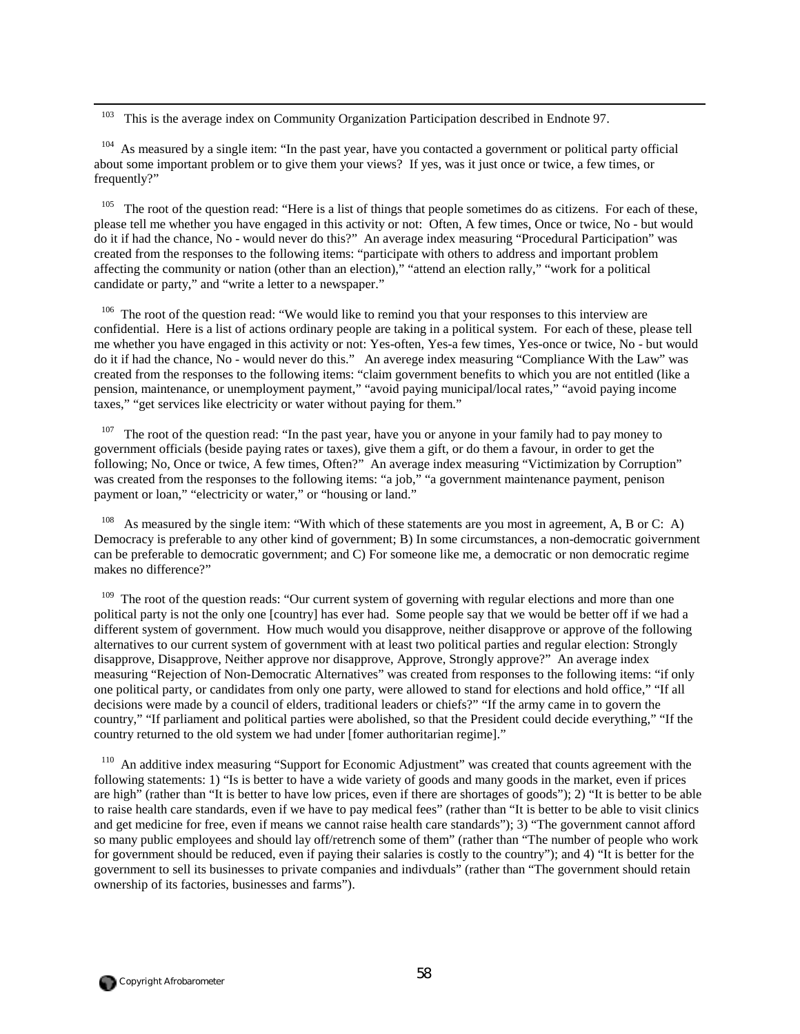<sup>103</sup> This is the average index on Community Organization Participation described in Endnote 97.

<sup>104</sup> As measured by a single item: "In the past year, have you contacted a government or political party official about some important problem or to give them your views? If yes, was it just once or twice, a few times, or frequently?"

 $105$  The root of the question read: "Here is a list of things that people sometimes do as citizens. For each of these, please tell me whether you have engaged in this activity or not: Often, A few times, Once or twice, No - but would do it if had the chance, No - would never do this?" An average index measuring "Procedural Participation" was created from the responses to the following items: "participate with others to address and important problem affecting the community or nation (other than an election)," "attend an election rally," "work for a political candidate or party," and "write a letter to a newspaper."

106 The root of the question read: "We would like to remind you that your responses to this interview are confidential. Here is a list of actions ordinary people are taking in a political system. For each of these, please tell me whether you have engaged in this activity or not: Yes-often, Yes-a few times, Yes-once or twice, No - but would do it if had the chance, No - would never do this." An averege index measuring "Compliance With the Law" was created from the responses to the following items: "claim government benefits to which you are not entitled (like a pension, maintenance, or unemployment payment," "avoid paying municipal/local rates," "avoid paying income taxes," "get services like electricity or water without paying for them."

<sup>107</sup> The root of the question read: "In the past year, have you or anyone in your family had to pay money to government officials (beside paying rates or taxes), give them a gift, or do them a favour, in order to get the following; No, Once or twice, A few times, Often?" An average index measuring "Victimization by Corruption" was created from the responses to the following items: "a job," "a government maintenance payment, penison payment or loan," "electricity or water," or "housing or land."

As measured by the single item: "With which of these statements are you most in agreement, A, B or C: A) Democracy is preferable to any other kind of government; B) In some circumstances, a non-democratic goivernment can be preferable to democratic government; and C) For someone like me, a democratic or non democratic regime makes no difference?"

<sup>109</sup> The root of the question reads: "Our current system of governing with regular elections and more than one political party is not the only one [country] has ever had. Some people say that we would be better off if we had a different system of government. How much would you disapprove, neither disapprove or approve of the following alternatives to our current system of government with at least two political parties and regular election: Strongly disapprove, Disapprove, Neither approve nor disapprove, Approve, Strongly approve?" An average index measuring "Rejection of Non-Democratic Alternatives" was created from responses to the following items: "if only one political party, or candidates from only one party, were allowed to stand for elections and hold office," "If all decisions were made by a council of elders, traditional leaders or chiefs?" "If the army came in to govern the country," "If parliament and political parties were abolished, so that the President could decide everything," "If the country returned to the old system we had under [fomer authoritarian regime]."

<sup>110</sup> An additive index measuring "Support for Economic Adjustment" was created that counts agreement with the following statements: 1) "Is is better to have a wide variety of goods and many goods in the market, even if prices are high" (rather than "It is better to have low prices, even if there are shortages of goods"); 2) "It is better to be able to raise health care standards, even if we have to pay medical fees" (rather than "It is better to be able to visit clinics and get medicine for free, even if means we cannot raise health care standards"); 3) "The government cannot afford so many public employees and should lay off/retrench some of them" (rather than "The number of people who work for government should be reduced, even if paying their salaries is costly to the country"); and 4) "It is better for the government to sell its businesses to private companies and indivduals" (rather than "The government should retain ownership of its factories, businesses and farms").